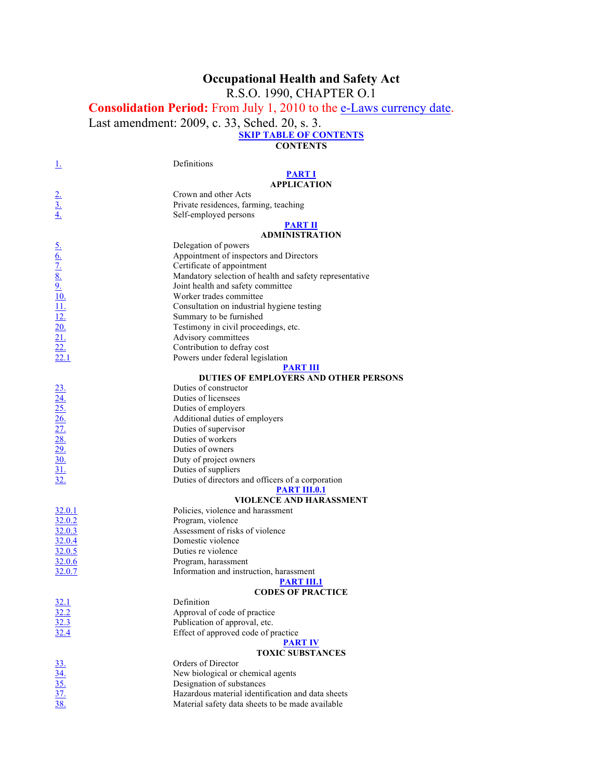# **Occupational Health and Safety Act**

R.S.O. 1990, CHAPTER O.1

**Consolidation Period:** From July 1, 2010 to the e-Laws currency date.

Last amendment: 2009, c. 33, Sched. 20, s. 3.

**SKIP TABLE OF CONTENTS**

**CONTENTS**

| Ţ,                                                                                                                          | Definitions                                             |
|-----------------------------------------------------------------------------------------------------------------------------|---------------------------------------------------------|
|                                                                                                                             | <b>PART I</b>                                           |
|                                                                                                                             | <b>APPLICATION</b>                                      |
|                                                                                                                             | Crown and other Acts                                    |
|                                                                                                                             | Private residences, farming, teaching                   |
| $\frac{2}{3}$<br>$\frac{3}{4}$                                                                                              | Self-employed persons                                   |
|                                                                                                                             | <b>PART II</b>                                          |
|                                                                                                                             | <b>ADMINISTRATION</b>                                   |
|                                                                                                                             | Delegation of powers                                    |
|                                                                                                                             | Appointment of inspectors and Directors                 |
|                                                                                                                             | Certificate of appointment                              |
|                                                                                                                             | Mandatory selection of health and safety representative |
| $\frac{6.}{0.7}$<br>$\frac{8.}{0.9}$<br>$\frac{9.}{10.1}$<br>$\frac{11.}{12.0}$<br>$\frac{20.}{21.2}$<br>$\frac{22.}{22.1}$ | Joint health and safety committee                       |
|                                                                                                                             | Worker trades committee                                 |
|                                                                                                                             | Consultation on industrial hygiene testing              |
|                                                                                                                             | Summary to be furnished                                 |
|                                                                                                                             | Testimony in civil proceedings, etc.                    |
|                                                                                                                             | Advisory committees                                     |
|                                                                                                                             | Contribution to defray cost                             |
|                                                                                                                             | Powers under federal legislation                        |
|                                                                                                                             | <b>PART III</b>                                         |
|                                                                                                                             | DUTIES OF EMPLOYERS AND OTHER PERSONS                   |
|                                                                                                                             | Duties of constructor                                   |
|                                                                                                                             | Duties of licensees                                     |
|                                                                                                                             | Duties of employers                                     |
|                                                                                                                             | Additional duties of employers                          |
|                                                                                                                             | Duties of supervisor                                    |
| $\frac{23.}{24.} \frac{25.}{25.} \frac{26.}{27.} \frac{27.}{28.} \frac{29.}{29.} \frac{29.}{30.}$                           | Duties of workers                                       |
|                                                                                                                             | Duties of owners                                        |
|                                                                                                                             | Duty of project owners                                  |
| 31.                                                                                                                         | Duties of suppliers                                     |
| 32.                                                                                                                         | Duties of directors and officers of a corporation       |
|                                                                                                                             | <b>PART III.0.1</b>                                     |
|                                                                                                                             | <b>VIOLENCE AND HARASSMENT</b>                          |
| 32.0.1                                                                                                                      | Policies, violence and harassment                       |
| 32.0.2                                                                                                                      | Program, violence                                       |
| 32.0.3                                                                                                                      | Assessment of risks of violence                         |
| 32.0.4                                                                                                                      | Domestic violence                                       |
| 32.0.5                                                                                                                      | Duties re violence                                      |
| 32.0.6                                                                                                                      | Program, harassment                                     |
| <u>32.0.7</u>                                                                                                               | Information and instruction, harassment                 |
|                                                                                                                             | <b>PART III.1</b>                                       |
|                                                                                                                             | <b>CODES OF PRACTICE</b>                                |
| 32.1                                                                                                                        | Definition                                              |
| 32.2                                                                                                                        | Approval of code of practice                            |
| 32.3                                                                                                                        | Publication of approval, etc.                           |
| 32.4                                                                                                                        | Effect of approved code of practice                     |
|                                                                                                                             | <b>PART IV</b>                                          |
|                                                                                                                             | <b>TOXIC SUBSTANCES</b>                                 |
| $\frac{33}{\frac{34}{\frac{35}{\cancel{35}}}}$<br>$\frac{37}{\cancel{38}}$                                                  | Orders of Director                                      |
|                                                                                                                             | New biological or chemical agents                       |
|                                                                                                                             | Designation of substances                               |
|                                                                                                                             | Hazardous material identification and data sheets       |
|                                                                                                                             | Material safety data sheets to be made available        |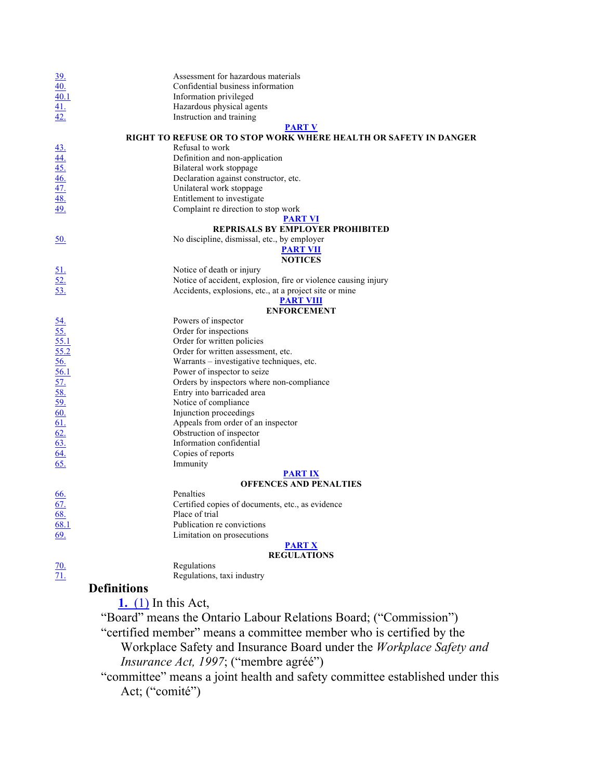|                                                         | Assessment for hazardous materials                               |
|---------------------------------------------------------|------------------------------------------------------------------|
| $\frac{39}{40}$                                         | Confidential business information                                |
|                                                         | Information privileged                                           |
|                                                         | Hazardous physical agents                                        |
| $\frac{40.1}{41}$<br>$\frac{41.}{42}$                   | Instruction and training                                         |
|                                                         | <b>PART V</b>                                                    |
|                                                         | RIGHT TO REFUSE OR TO STOP WORK WHERE HEALTH OR SAFETY IN DANGER |
|                                                         | Refusal to work                                                  |
|                                                         | Definition and non-application                                   |
|                                                         | Bilateral work stoppage                                          |
|                                                         | Declaration against constructor, etc.                            |
|                                                         | Unilateral work stoppage                                         |
| $\frac{43.44}{45.46}$<br>$\frac{46.47}{48.49}$          | Entitlement to investigate                                       |
|                                                         | Complaint re direction to stop work                              |
|                                                         | <b>PART VI</b>                                                   |
|                                                         | REPRISALS BY EMPLOYER PROHIBITED                                 |
| 50.                                                     | No discipline, dismissal, etc., by employer                      |
|                                                         | <u>PART VII</u>                                                  |
|                                                         | <b>NOTICES</b>                                                   |
|                                                         | Notice of death or injury                                        |
| $\frac{51}{52}$                                         | Notice of accident, explosion, fire or violence causing injury   |
| 53.                                                     | Accidents, explosions, etc., at a project site or mine           |
|                                                         | <b>PART VIII</b>                                                 |
|                                                         | <b>ENFORCEMENT</b>                                               |
| $\frac{54}{55}$<br>$\frac{55}{55.2}$<br>$\frac{56}{56}$ | Powers of inspector                                              |
|                                                         | Order for inspections                                            |
|                                                         | Order for written policies                                       |
|                                                         | Order for written assessment, etc.                               |
|                                                         | Warrants - investigative techniques, etc.                        |
| 56.1                                                    | Power of inspector to seize                                      |
| $\frac{57}{58}$                                         | Orders by inspectors where non-compliance                        |
|                                                         | Entry into barricaded area                                       |
|                                                         | Notice of compliance                                             |
|                                                         | Injunction proceedings                                           |
| $\frac{60}{60}$<br>$\frac{61}{62}$<br>$\frac{62}{63}$   | Appeals from order of an inspector                               |
|                                                         | Obstruction of inspector                                         |
|                                                         | Information confidential                                         |
|                                                         | Copies of reports                                                |
| 65.                                                     | Immunity                                                         |
|                                                         | <b>PART IX</b>                                                   |
|                                                         | <b>OFFENCES AND PENALTIES</b>                                    |
| 66.                                                     | Penalties                                                        |
| 67.                                                     | Certified copies of documents, etc., as evidence                 |
| <u>68.</u>                                              | Place of trial                                                   |
| 68.1                                                    | Publication re convictions                                       |
| 69.                                                     | Limitation on prosecutions                                       |
|                                                         | <b>PART X</b>                                                    |
|                                                         | <b>REGULATIONS</b>                                               |
| $\frac{70}{71}$                                         | Regulations                                                      |
|                                                         | Regulations, taxi industry                                       |
| <b>Definitions</b>                                      |                                                                  |
|                                                         |                                                                  |
|                                                         | $1. (1)$ In this Act,                                            |

"Board" means the Ontario Labour Relations Board; ("Commission") "certified member" means a committee member who is certified by the

Workplace Safety and Insurance Board under the *Workplace Safety and Insurance Act, 1997*; ("membre agréé")

"committee" means a joint health and safety committee established under this Act; ("comité")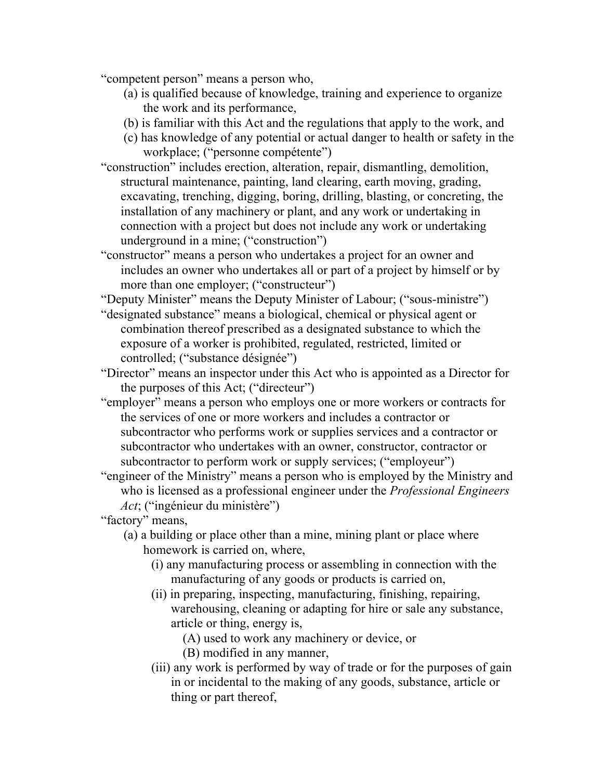"competent person" means a person who,

- (a) is qualified because of knowledge, training and experience to organize the work and its performance,
- (b) is familiar with this Act and the regulations that apply to the work, and
- (c) has knowledge of any potential or actual danger to health or safety in the workplace; ("personne compétente")
- "construction" includes erection, alteration, repair, dismantling, demolition, structural maintenance, painting, land clearing, earth moving, grading, excavating, trenching, digging, boring, drilling, blasting, or concreting, the installation of any machinery or plant, and any work or undertaking in connection with a project but does not include any work or undertaking underground in a mine; ("construction")
- "constructor" means a person who undertakes a project for an owner and includes an owner who undertakes all or part of a project by himself or by more than one employer; ("constructeur")

"Deputy Minister" means the Deputy Minister of Labour; ("sous-ministre")

- "designated substance" means a biological, chemical or physical agent or combination thereof prescribed as a designated substance to which the exposure of a worker is prohibited, regulated, restricted, limited or controlled; ("substance désignée")
- "Director" means an inspector under this Act who is appointed as a Director for the purposes of this Act; ("directeur")
- "employer" means a person who employs one or more workers or contracts for the services of one or more workers and includes a contractor or subcontractor who performs work or supplies services and a contractor or subcontractor who undertakes with an owner, constructor, contractor or subcontractor to perform work or supply services; ("employeur")
- "engineer of the Ministry" means a person who is employed by the Ministry and who is licensed as a professional engineer under the *Professional Engineers Act*; ("ingénieur du ministère")

"factory" means,

- (a) a building or place other than a mine, mining plant or place where homework is carried on, where,
	- (i) any manufacturing process or assembling in connection with the manufacturing of any goods or products is carried on,
	- (ii) in preparing, inspecting, manufacturing, finishing, repairing, warehousing, cleaning or adapting for hire or sale any substance, article or thing, energy is,
		- (A) used to work any machinery or device, or
		- (B) modified in any manner,
	- (iii) any work is performed by way of trade or for the purposes of gain in or incidental to the making of any goods, substance, article or thing or part thereof,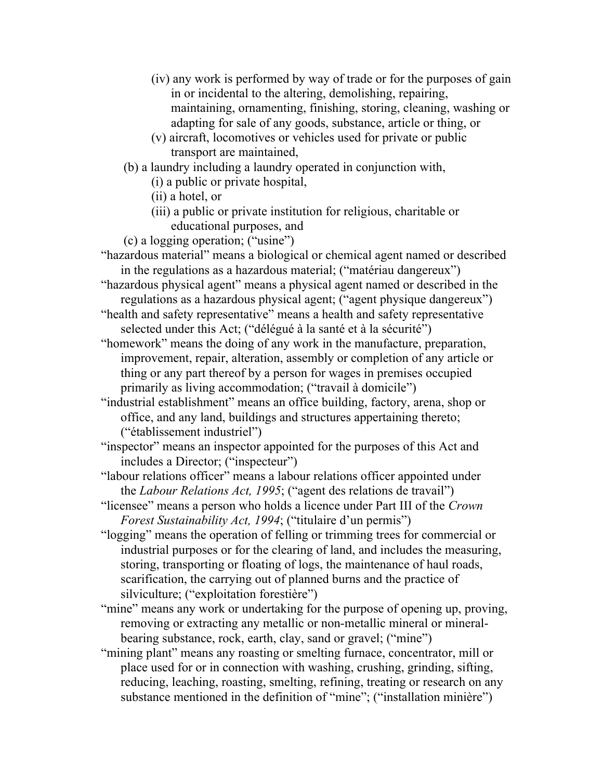- (iv) any work is performed by way of trade or for the purposes of gain in or incidental to the altering, demolishing, repairing, maintaining, ornamenting, finishing, storing, cleaning, washing or adapting for sale of any goods, substance, article or thing, or
- (v) aircraft, locomotives or vehicles used for private or public transport are maintained,
- (b) a laundry including a laundry operated in conjunction with,
	- (i) a public or private hospital,
	- (ii) a hotel, or
	- (iii) a public or private institution for religious, charitable or educational purposes, and
- (c) a logging operation; ("usine")
- "hazardous material" means a biological or chemical agent named or described in the regulations as a hazardous material; ("matériau dangereux")
- "hazardous physical agent" means a physical agent named or described in the regulations as a hazardous physical agent; ("agent physique dangereux")
- "health and safety representative" means a health and safety representative selected under this Act; ("délégué à la santé et à la sécurité")
- "homework" means the doing of any work in the manufacture, preparation, improvement, repair, alteration, assembly or completion of any article or thing or any part thereof by a person for wages in premises occupied primarily as living accommodation; ("travail à domicile")
- "industrial establishment" means an office building, factory, arena, shop or office, and any land, buildings and structures appertaining thereto; ("établissement industriel")
- "inspector" means an inspector appointed for the purposes of this Act and includes a Director; ("inspecteur")
- "labour relations officer" means a labour relations officer appointed under the *Labour Relations Act, 1995*; ("agent des relations de travail")
- "licensee" means a person who holds a licence under Part III of the *Crown Forest Sustainability Act, 1994*; ("titulaire d'un permis")
- "logging" means the operation of felling or trimming trees for commercial or industrial purposes or for the clearing of land, and includes the measuring, storing, transporting or floating of logs, the maintenance of haul roads, scarification, the carrying out of planned burns and the practice of silviculture; ("exploitation forestière")
- "mine" means any work or undertaking for the purpose of opening up, proving, removing or extracting any metallic or non-metallic mineral or mineralbearing substance, rock, earth, clay, sand or gravel; ("mine")
- "mining plant" means any roasting or smelting furnace, concentrator, mill or place used for or in connection with washing, crushing, grinding, sifting, reducing, leaching, roasting, smelting, refining, treating or research on any substance mentioned in the definition of "mine"; ("installation minière")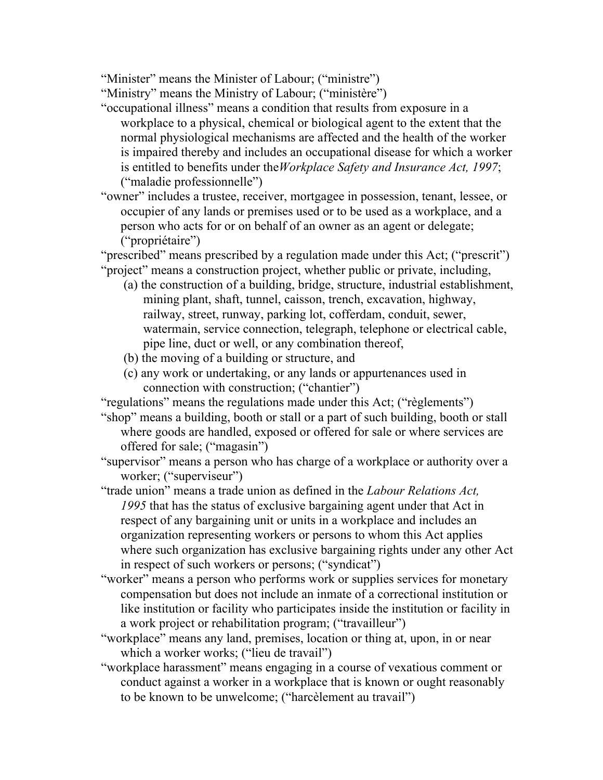"Minister" means the Minister of Labour; ("ministre")

"Ministry" means the Ministry of Labour; ("ministère")

- "occupational illness" means a condition that results from exposure in a workplace to a physical, chemical or biological agent to the extent that the normal physiological mechanisms are affected and the health of the worker is impaired thereby and includes an occupational disease for which a worker is entitled to benefits under the*Workplace Safety and Insurance Act, 1997*; ("maladie professionnelle")
- "owner" includes a trustee, receiver, mortgagee in possession, tenant, lessee, or occupier of any lands or premises used or to be used as a workplace, and a person who acts for or on behalf of an owner as an agent or delegate; ("propriétaire")

"prescribed" means prescribed by a regulation made under this Act; ("prescrit") "project" means a construction project, whether public or private, including,

- (a) the construction of a building, bridge, structure, industrial establishment, mining plant, shaft, tunnel, caisson, trench, excavation, highway, railway, street, runway, parking lot, cofferdam, conduit, sewer, watermain, service connection, telegraph, telephone or electrical cable, pipe line, duct or well, or any combination thereof,
- (b) the moving of a building or structure, and
- (c) any work or undertaking, or any lands or appurtenances used in connection with construction; ("chantier")

"regulations" means the regulations made under this Act; ("règlements")

"shop" means a building, booth or stall or a part of such building, booth or stall where goods are handled, exposed or offered for sale or where services are offered for sale; ("magasin")

"supervisor" means a person who has charge of a workplace or authority over a worker; ("superviseur")

- "trade union" means a trade union as defined in the *Labour Relations Act, 1995* that has the status of exclusive bargaining agent under that Act in respect of any bargaining unit or units in a workplace and includes an organization representing workers or persons to whom this Act applies where such organization has exclusive bargaining rights under any other Act in respect of such workers or persons; ("syndicat")
- "worker" means a person who performs work or supplies services for monetary compensation but does not include an inmate of a correctional institution or like institution or facility who participates inside the institution or facility in a work project or rehabilitation program; ("travailleur")
- "workplace" means any land, premises, location or thing at, upon, in or near which a worker works; ("lieu de travail")
- "workplace harassment" means engaging in a course of vexatious comment or conduct against a worker in a workplace that is known or ought reasonably to be known to be unwelcome; ("harcèlement au travail")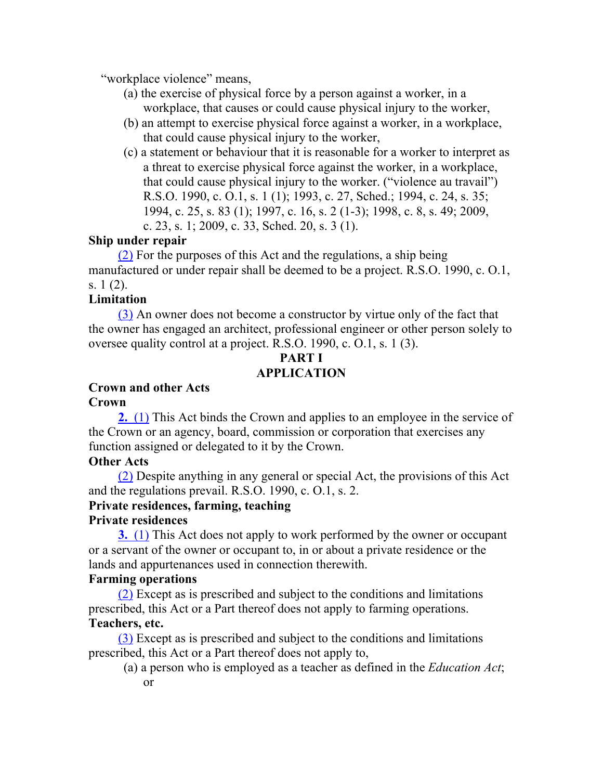"workplace violence" means,

- (a) the exercise of physical force by a person against a worker, in a workplace, that causes or could cause physical injury to the worker,
- (b) an attempt to exercise physical force against a worker, in a workplace, that could cause physical injury to the worker,
- (c) a statement or behaviour that it is reasonable for a worker to interpret as a threat to exercise physical force against the worker, in a workplace, that could cause physical injury to the worker. ("violence au travail") R.S.O. 1990, c. O.1, s. 1 (1); 1993, c. 27, Sched.; 1994, c. 24, s. 35; 1994, c. 25, s. 83 (1); 1997, c. 16, s. 2 (1-3); 1998, c. 8, s. 49; 2009, c. 23, s. 1; 2009, c. 33, Sched. 20, s. 3 (1).

#### **Ship under repair**

(2) For the purposes of this Act and the regulations, a ship being manufactured or under repair shall be deemed to be a project. R.S.O. 1990, c. O.1, s. 1 (2).

## **Limitation**

(3) An owner does not become a constructor by virtue only of the fact that the owner has engaged an architect, professional engineer or other person solely to oversee quality control at a project. R.S.O. 1990, c. O.1, s. 1 (3).

# **PART I APPLICATION**

## **Crown and other Acts**

**Crown**

**2.** (1) This Act binds the Crown and applies to an employee in the service of the Crown or an agency, board, commission or corporation that exercises any function assigned or delegated to it by the Crown.

#### **Other Acts**

(2) Despite anything in any general or special Act, the provisions of this Act and the regulations prevail. R.S.O. 1990, c. O.1, s. 2.

## **Private residences, farming, teaching**

## **Private residences**

**3.** (1) This Act does not apply to work performed by the owner or occupant or a servant of the owner or occupant to, in or about a private residence or the lands and appurtenances used in connection therewith.

## **Farming operations**

(2) Except as is prescribed and subject to the conditions and limitations prescribed, this Act or a Part thereof does not apply to farming operations. **Teachers, etc.**

(3) Except as is prescribed and subject to the conditions and limitations prescribed, this Act or a Part thereof does not apply to,

(a) a person who is employed as a teacher as defined in the *Education Act*;

or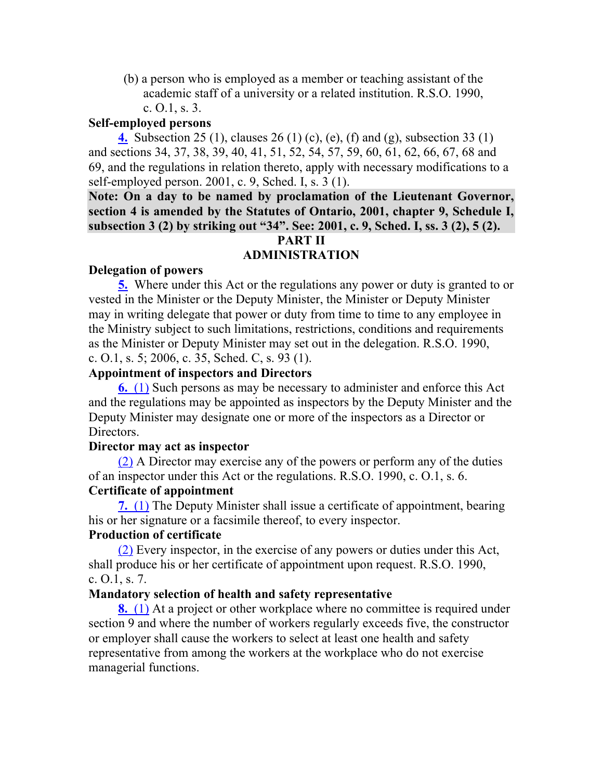(b) a person who is employed as a member or teaching assistant of the academic staff of a university or a related institution. R.S.O. 1990, c. O.1, s. 3.

#### **Self-employed persons**

**4.** Subsection 25 (1), clauses 26 (1) (c), (e), (f) and (g), subsection 33 (1) and sections 34, 37, 38, 39, 40, 41, 51, 52, 54, 57, 59, 60, 61, 62, 66, 67, 68 and 69, and the regulations in relation thereto, apply with necessary modifications to a self-employed person. 2001, c. 9, Sched. I, s. 3 (1).

**Note: On a day to be named by proclamation of the Lieutenant Governor, section 4 is amended by the Statutes of Ontario, 2001, chapter 9, Schedule I, subsection 3 (2) by striking out "34". See: 2001, c. 9, Sched. I, ss. 3 (2), 5 (2). PART II**

# **ADMINISTRATION**

#### **Delegation of powers**

**5.** Where under this Act or the regulations any power or duty is granted to or vested in the Minister or the Deputy Minister, the Minister or Deputy Minister may in writing delegate that power or duty from time to time to any employee in the Ministry subject to such limitations, restrictions, conditions and requirements as the Minister or Deputy Minister may set out in the delegation. R.S.O. 1990, c. O.1, s. 5; 2006, c. 35, Sched. C, s. 93 (1).

#### **Appointment of inspectors and Directors**

**6.** (1) Such persons as may be necessary to administer and enforce this Act and the regulations may be appointed as inspectors by the Deputy Minister and the Deputy Minister may designate one or more of the inspectors as a Director or Directors.

#### **Director may act as inspector**

(2) A Director may exercise any of the powers or perform any of the duties of an inspector under this Act or the regulations. R.S.O. 1990, c. O.1, s. 6. **Certificate of appointment**

**7.** (1) The Deputy Minister shall issue a certificate of appointment, bearing his or her signature or a facsimile thereof, to every inspector.

#### **Production of certificate**

(2) Every inspector, in the exercise of any powers or duties under this Act, shall produce his or her certificate of appointment upon request. R.S.O. 1990, c. O.1, s. 7.

#### **Mandatory selection of health and safety representative**

**8.** (1) At a project or other workplace where no committee is required under section 9 and where the number of workers regularly exceeds five, the constructor or employer shall cause the workers to select at least one health and safety representative from among the workers at the workplace who do not exercise managerial functions.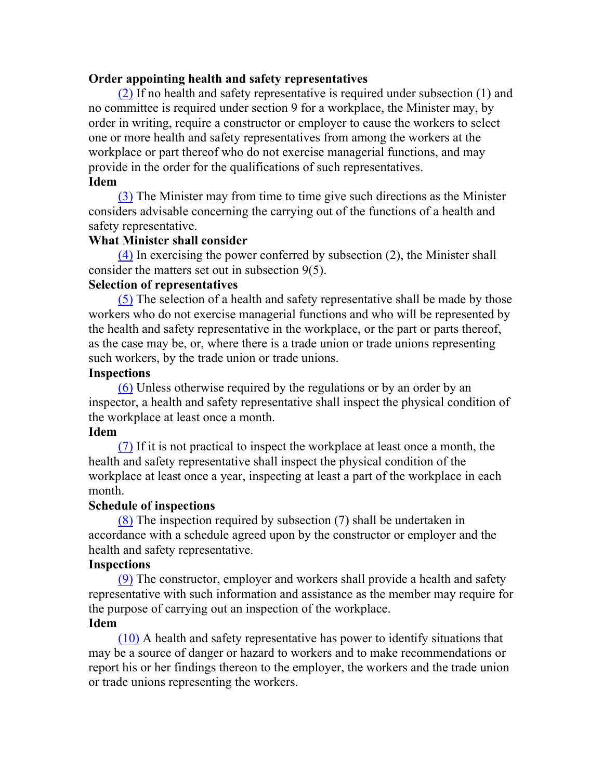#### **Order appointing health and safety representatives**

(2) If no health and safety representative is required under subsection (1) and no committee is required under section 9 for a workplace, the Minister may, by order in writing, require a constructor or employer to cause the workers to select one or more health and safety representatives from among the workers at the workplace or part thereof who do not exercise managerial functions, and may provide in the order for the qualifications of such representatives. **Idem**

(3) The Minister may from time to time give such directions as the Minister considers advisable concerning the carrying out of the functions of a health and safety representative.

#### **What Minister shall consider**

(4) In exercising the power conferred by subsection (2), the Minister shall consider the matters set out in subsection 9(5).

#### **Selection of representatives**

(5) The selection of a health and safety representative shall be made by those workers who do not exercise managerial functions and who will be represented by the health and safety representative in the workplace, or the part or parts thereof, as the case may be, or, where there is a trade union or trade unions representing such workers, by the trade union or trade unions.

#### **Inspections**

(6) Unless otherwise required by the regulations or by an order by an inspector, a health and safety representative shall inspect the physical condition of the workplace at least once a month.

#### **Idem**

(7) If it is not practical to inspect the workplace at least once a month, the health and safety representative shall inspect the physical condition of the workplace at least once a year, inspecting at least a part of the workplace in each month.

#### **Schedule of inspections**

(8) The inspection required by subsection (7) shall be undertaken in accordance with a schedule agreed upon by the constructor or employer and the health and safety representative.

#### **Inspections**

(9) The constructor, employer and workers shall provide a health and safety representative with such information and assistance as the member may require for the purpose of carrying out an inspection of the workplace.

#### **Idem**

(10) A health and safety representative has power to identify situations that may be a source of danger or hazard to workers and to make recommendations or report his or her findings thereon to the employer, the workers and the trade union or trade unions representing the workers.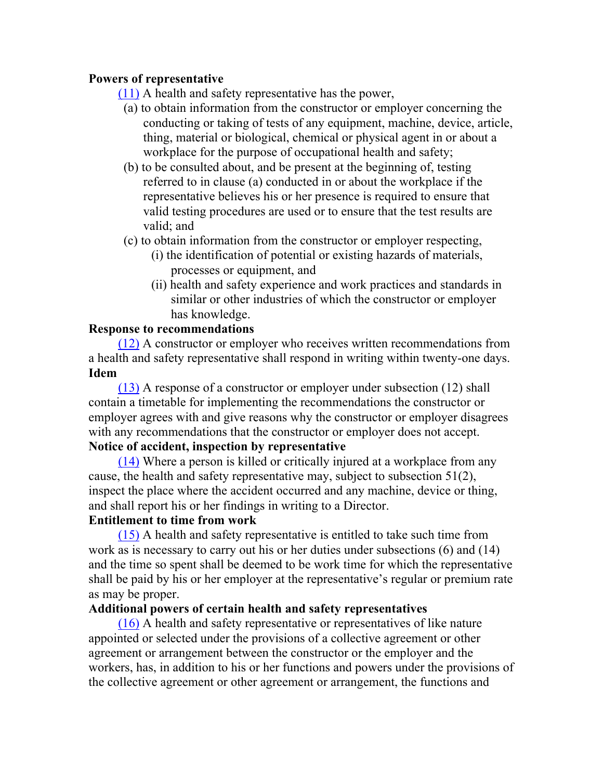## **Powers of representative**

(11) A health and safety representative has the power,

- (a) to obtain information from the constructor or employer concerning the conducting or taking of tests of any equipment, machine, device, article, thing, material or biological, chemical or physical agent in or about a workplace for the purpose of occupational health and safety;
- (b) to be consulted about, and be present at the beginning of, testing referred to in clause (a) conducted in or about the workplace if the representative believes his or her presence is required to ensure that valid testing procedures are used or to ensure that the test results are valid; and
- (c) to obtain information from the constructor or employer respecting,
	- (i) the identification of potential or existing hazards of materials, processes or equipment, and
	- (ii) health and safety experience and work practices and standards in similar or other industries of which the constructor or employer has knowledge.

#### **Response to recommendations**

(12) A constructor or employer who receives written recommendations from a health and safety representative shall respond in writing within twenty-one days. **Idem**

(13) A response of a constructor or employer under subsection (12) shall contain a timetable for implementing the recommendations the constructor or employer agrees with and give reasons why the constructor or employer disagrees with any recommendations that the constructor or employer does not accept. **Notice of accident, inspection by representative**

(14) Where a person is killed or critically injured at a workplace from any cause, the health and safety representative may, subject to subsection 51(2), inspect the place where the accident occurred and any machine, device or thing, and shall report his or her findings in writing to a Director.

## **Entitlement to time from work**

(15) A health and safety representative is entitled to take such time from work as is necessary to carry out his or her duties under subsections (6) and (14) and the time so spent shall be deemed to be work time for which the representative shall be paid by his or her employer at the representative's regular or premium rate as may be proper.

## **Additional powers of certain health and safety representatives**

(16) A health and safety representative or representatives of like nature appointed or selected under the provisions of a collective agreement or other agreement or arrangement between the constructor or the employer and the workers, has, in addition to his or her functions and powers under the provisions of the collective agreement or other agreement or arrangement, the functions and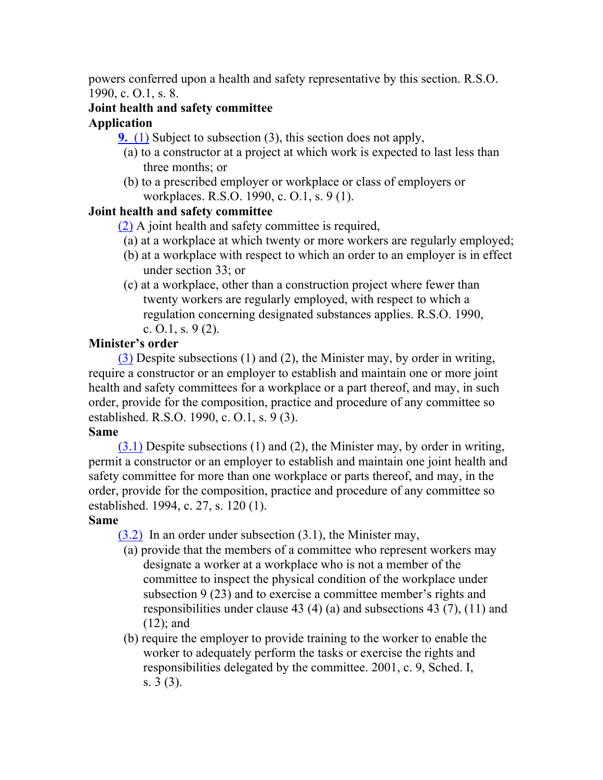powers conferred upon a health and safety representative by this section. R.S.O. 1990, c. O.1, s. 8.

## **Joint health and safety committee**

## **Application**

**9.** (1) Subject to subsection (3), this section does not apply,

- (a) to a constructor at a project at which work is expected to last less than three months; or
- (b) to a prescribed employer or workplace or class of employers or workplaces. R.S.O. 1990, c. O.1, s. 9 (1).

## **Joint health and safety committee**

(2) A joint health and safety committee is required,

- (a) at a workplace at which twenty or more workers are regularly employed;
- (b) at a workplace with respect to which an order to an employer is in effect under section 33; or
- (c) at a workplace, other than a construction project where fewer than twenty workers are regularly employed, with respect to which a regulation concerning designated substances applies. R.S.O. 1990, c.  $0.1$ , s.  $9(2)$ .

## **Minister's order**

(3) Despite subsections (1) and (2), the Minister may, by order in writing, require a constructor or an employer to establish and maintain one or more joint health and safety committees for a workplace or a part thereof, and may, in such order, provide for the composition, practice and procedure of any committee so established. R.S.O. 1990, c. O.1, s. 9 (3).

## **Same**

(3.1) Despite subsections (1) and (2), the Minister may, by order in writing, permit a constructor or an employer to establish and maintain one joint health and safety committee for more than one workplace or parts thereof, and may, in the order, provide for the composition, practice and procedure of any committee so established. 1994, c. 27, s. 120 (1).

## **Same**

(3.2) In an order under subsection (3.1), the Minister may,

- (a) provide that the members of a committee who represent workers may designate a worker at a workplace who is not a member of the committee to inspect the physical condition of the workplace under subsection 9 (23) and to exercise a committee member's rights and responsibilities under clause 43 (4) (a) and subsections 43 (7), (11) and (12); and
- (b) require the employer to provide training to the worker to enable the worker to adequately perform the tasks or exercise the rights and responsibilities delegated by the committee. 2001, c. 9, Sched. I, s. 3 (3).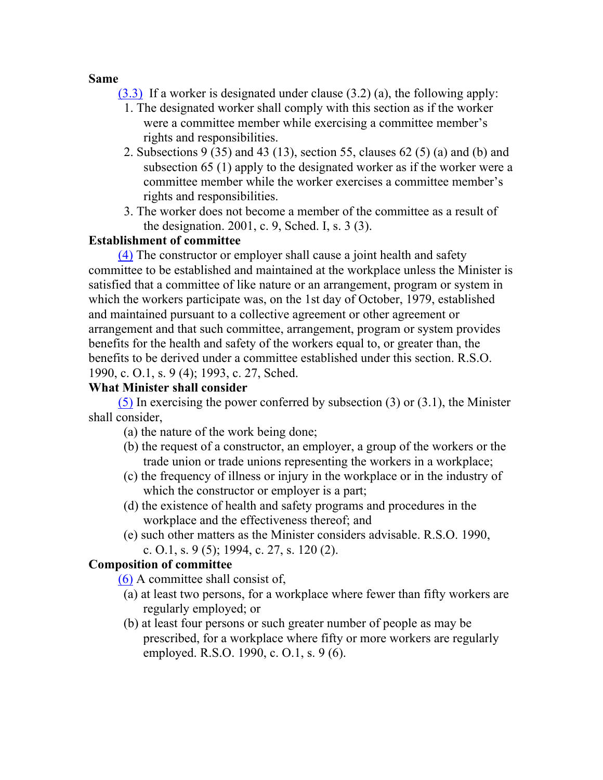#### **Same**

- (3.3) If a worker is designated under clause (3.2) (a), the following apply:
	- 1. The designated worker shall comply with this section as if the worker were a committee member while exercising a committee member's rights and responsibilities.
	- 2. Subsections 9 (35) and 43 (13), section 55, clauses 62 (5) (a) and (b) and subsection 65 (1) apply to the designated worker as if the worker were a committee member while the worker exercises a committee member's rights and responsibilities.
	- 3. The worker does not become a member of the committee as a result of the designation. 2001, c. 9, Sched. I, s. 3 (3).

## **Establishment of committee**

(4) The constructor or employer shall cause a joint health and safety committee to be established and maintained at the workplace unless the Minister is satisfied that a committee of like nature or an arrangement, program or system in which the workers participate was, on the 1st day of October, 1979, established and maintained pursuant to a collective agreement or other agreement or arrangement and that such committee, arrangement, program or system provides benefits for the health and safety of the workers equal to, or greater than, the benefits to be derived under a committee established under this section. R.S.O. 1990, c. O.1, s. 9 (4); 1993, c. 27, Sched.

## **What Minister shall consider**

(5) In exercising the power conferred by subsection (3) or (3.1), the Minister shall consider,

- (a) the nature of the work being done;
- (b) the request of a constructor, an employer, a group of the workers or the trade union or trade unions representing the workers in a workplace;
- (c) the frequency of illness or injury in the workplace or in the industry of which the constructor or employer is a part;
- (d) the existence of health and safety programs and procedures in the workplace and the effectiveness thereof; and
- (e) such other matters as the Minister considers advisable. R.S.O. 1990, c. O.1, s. 9 (5); 1994, c. 27, s. 120 (2).

## **Composition of committee**

(6) A committee shall consist of,

- (a) at least two persons, for a workplace where fewer than fifty workers are regularly employed; or
- (b) at least four persons or such greater number of people as may be prescribed, for a workplace where fifty or more workers are regularly employed. R.S.O. 1990, c. O.1, s. 9 (6).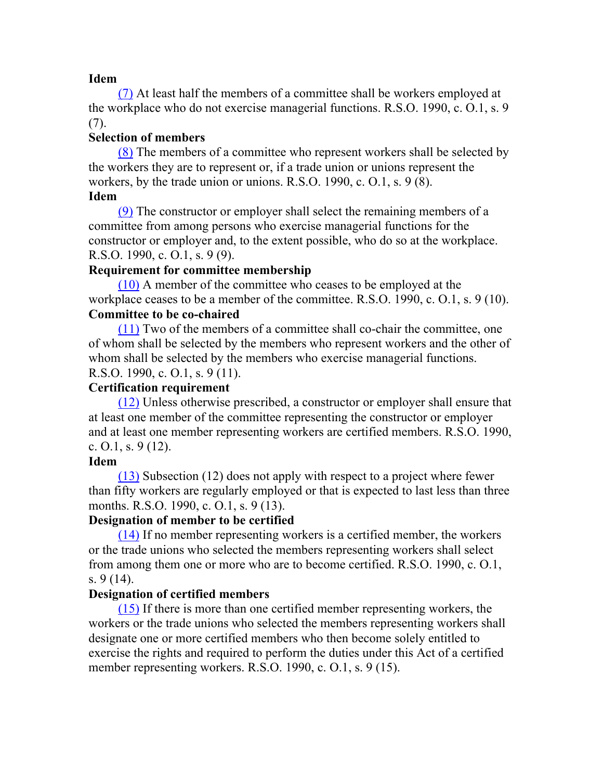(7) At least half the members of a committee shall be workers employed at the workplace who do not exercise managerial functions. R.S.O. 1990, c. O.1, s. 9 (7).

## **Selection of members**

(8) The members of a committee who represent workers shall be selected by the workers they are to represent or, if a trade union or unions represent the workers, by the trade union or unions. R.S.O. 1990, c. O.1, s. 9 (8). **Idem**

(9) The constructor or employer shall select the remaining members of a committee from among persons who exercise managerial functions for the constructor or employer and, to the extent possible, who do so at the workplace. R.S.O. 1990, c. O.1, s. 9 (9).

## **Requirement for committee membership**

(10) A member of the committee who ceases to be employed at the workplace ceases to be a member of the committee. R.S.O. 1990, c. O.1, s. 9 (10). **Committee to be co-chaired**

(11) Two of the members of a committee shall co-chair the committee, one of whom shall be selected by the members who represent workers and the other of whom shall be selected by the members who exercise managerial functions. R.S.O. 1990, c. O.1, s. 9 (11).

## **Certification requirement**

(12) Unless otherwise prescribed, a constructor or employer shall ensure that at least one member of the committee representing the constructor or employer and at least one member representing workers are certified members. R.S.O. 1990, c.  $0.1$ , s.  $9(12)$ .

#### **Idem**

(13) Subsection (12) does not apply with respect to a project where fewer than fifty workers are regularly employed or that is expected to last less than three months. R.S.O. 1990, c. O.1, s. 9 (13).

## **Designation of member to be certified**

(14) If no member representing workers is a certified member, the workers or the trade unions who selected the members representing workers shall select from among them one or more who are to become certified. R.S.O. 1990, c. O.1, s. 9 (14).

## **Designation of certified members**

(15) If there is more than one certified member representing workers, the workers or the trade unions who selected the members representing workers shall designate one or more certified members who then become solely entitled to exercise the rights and required to perform the duties under this Act of a certified member representing workers. R.S.O. 1990, c. O.1, s. 9 (15).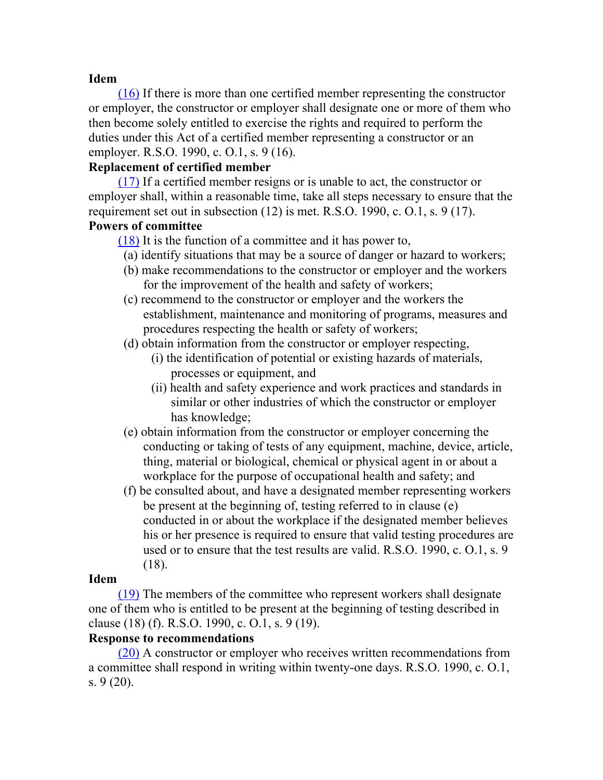(16) If there is more than one certified member representing the constructor or employer, the constructor or employer shall designate one or more of them who then become solely entitled to exercise the rights and required to perform the duties under this Act of a certified member representing a constructor or an employer. R.S.O. 1990, c. O.1, s. 9 (16).

#### **Replacement of certified member**

(17) If a certified member resigns or is unable to act, the constructor or employer shall, within a reasonable time, take all steps necessary to ensure that the requirement set out in subsection  $(12)$  is met. R.S.O. 1990, c. O.1, s. 9  $(17)$ . **Powers of committee**

(18) It is the function of a committee and it has power to,

- (a) identify situations that may be a source of danger or hazard to workers;
- (b) make recommendations to the constructor or employer and the workers for the improvement of the health and safety of workers;
- (c) recommend to the constructor or employer and the workers the establishment, maintenance and monitoring of programs, measures and procedures respecting the health or safety of workers;
- (d) obtain information from the constructor or employer respecting,
	- (i) the identification of potential or existing hazards of materials, processes or equipment, and
	- (ii) health and safety experience and work practices and standards in similar or other industries of which the constructor or employer has knowledge;
- (e) obtain information from the constructor or employer concerning the conducting or taking of tests of any equipment, machine, device, article, thing, material or biological, chemical or physical agent in or about a workplace for the purpose of occupational health and safety; and
- (f) be consulted about, and have a designated member representing workers be present at the beginning of, testing referred to in clause (e) conducted in or about the workplace if the designated member believes his or her presence is required to ensure that valid testing procedures are used or to ensure that the test results are valid. R.S.O. 1990, c. O.1, s. 9 (18).

#### **Idem**

(19) The members of the committee who represent workers shall designate one of them who is entitled to be present at the beginning of testing described in clause (18) (f). R.S.O. 1990, c. O.1, s. 9 (19).

#### **Response to recommendations**

(20) A constructor or employer who receives written recommendations from a committee shall respond in writing within twenty-one days. R.S.O. 1990, c. O.1, s. 9 (20).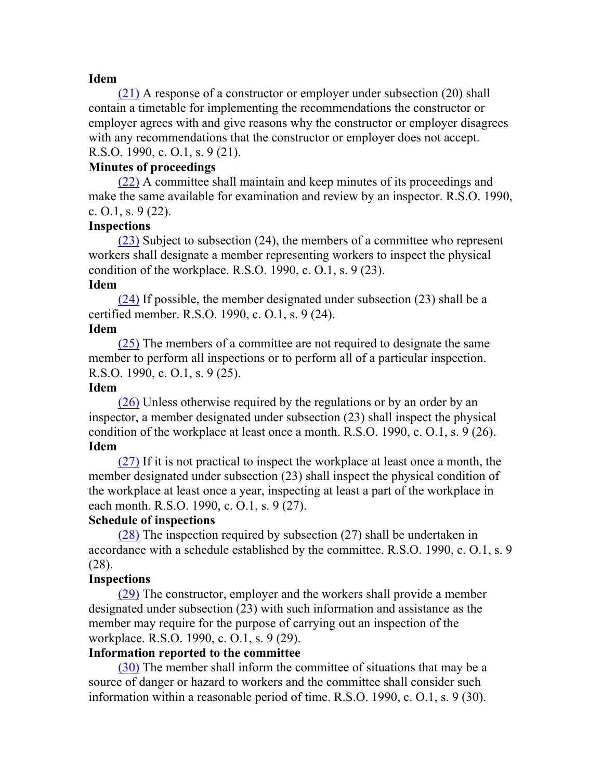(21) A response of a constructor or employer under subsection (20) shall contain a timetable for implementing the recommendations the constructor or employer agrees with and give reasons why the constructor or employer disagrees with any recommendations that the constructor or employer does not accept. R.S.O. 1990, c. O.1, s. 9 (21).

#### **Minutes of proceedings**

(22) A committee shall maintain and keep minutes of its proceedings and make the same available for examination and review by an inspector. R.S.O. 1990, c.  $0.1$ , s.  $9(22)$ .

#### **Inspections**

(23) Subject to subsection (24), the members of a committee who represent workers shall designate a member representing workers to inspect the physical condition of the workplace. R.S.O. 1990, c. O.1, s. 9 (23).

#### **Idem**

(24) If possible, the member designated under subsection (23) shall be a certified member. R.S.O. 1990, c. O.1, s. 9 (24).

#### **Idem**

(25) The members of a committee are not required to designate the same member to perform all inspections or to perform all of a particular inspection. R.S.O. 1990, c. O.1, s. 9 (25).

#### **Idem**

(26) Unless otherwise required by the regulations or by an order by an inspector, a member designated under subsection (23) shall inspect the physical condition of the workplace at least once a month. R.S.O. 1990, c. O.1, s. 9 (26). **Idem**

(27) If it is not practical to inspect the workplace at least once a month, the member designated under subsection (23) shall inspect the physical condition of the workplace at least once a year, inspecting at least a part of the workplace in each month. R.S.O. 1990, c. O.1, s. 9 (27).

## **Schedule of inspections**

(28) The inspection required by subsection (27) shall be undertaken in accordance with a schedule established by the committee. R.S.O. 1990, c. O.1, s. 9 (28).

#### **Inspections**

(29) The constructor, employer and the workers shall provide a member designated under subsection (23) with such information and assistance as the member may require for the purpose of carrying out an inspection of the workplace. R.S.O. 1990, c. O.1, s. 9 (29).

#### **Information reported to the committee**

(30) The member shall inform the committee of situations that may be a source of danger or hazard to workers and the committee shall consider such information within a reasonable period of time. R.S.O. 1990, c. O.1, s. 9 (30).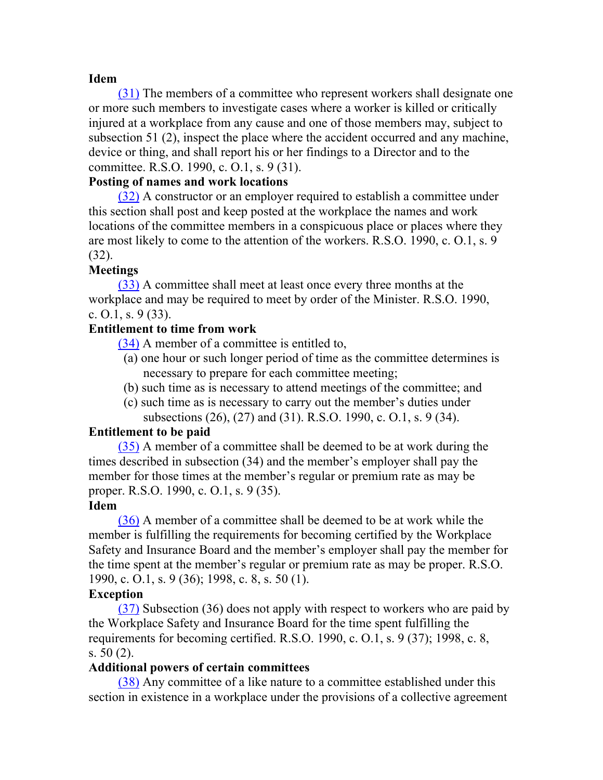(31) The members of a committee who represent workers shall designate one or more such members to investigate cases where a worker is killed or critically injured at a workplace from any cause and one of those members may, subject to subsection 51 (2), inspect the place where the accident occurred and any machine, device or thing, and shall report his or her findings to a Director and to the committee. R.S.O. 1990, c. O.1, s. 9 (31).

#### **Posting of names and work locations**

(32) A constructor or an employer required to establish a committee under this section shall post and keep posted at the workplace the names and work locations of the committee members in a conspicuous place or places where they are most likely to come to the attention of the workers. R.S.O. 1990, c. O.1, s. 9 (32).

#### **Meetings**

(33) A committee shall meet at least once every three months at the workplace and may be required to meet by order of the Minister. R.S.O. 1990, c. O.1, s. 9 (33).

#### **Entitlement to time from work**

(34) A member of a committee is entitled to,

- (a) one hour or such longer period of time as the committee determines is necessary to prepare for each committee meeting;
- (b) such time as is necessary to attend meetings of the committee; and
- (c) such time as is necessary to carry out the member's duties under subsections (26), (27) and (31). R.S.O. 1990, c. O.1, s. 9 (34).

#### **Entitlement to be paid**

(35) A member of a committee shall be deemed to be at work during the times described in subsection (34) and the member's employer shall pay the member for those times at the member's regular or premium rate as may be proper. R.S.O. 1990, c. O.1, s. 9 (35).

#### **Idem**

(36) A member of a committee shall be deemed to be at work while the member is fulfilling the requirements for becoming certified by the Workplace Safety and Insurance Board and the member's employer shall pay the member for the time spent at the member's regular or premium rate as may be proper. R.S.O. 1990, c. O.1, s. 9 (36); 1998, c. 8, s. 50 (1).

#### **Exception**

(37) Subsection (36) does not apply with respect to workers who are paid by the Workplace Safety and Insurance Board for the time spent fulfilling the requirements for becoming certified. R.S.O. 1990, c. O.1, s. 9 (37); 1998, c. 8, s. 50 (2).

#### **Additional powers of certain committees**

(38) Any committee of a like nature to a committee established under this section in existence in a workplace under the provisions of a collective agreement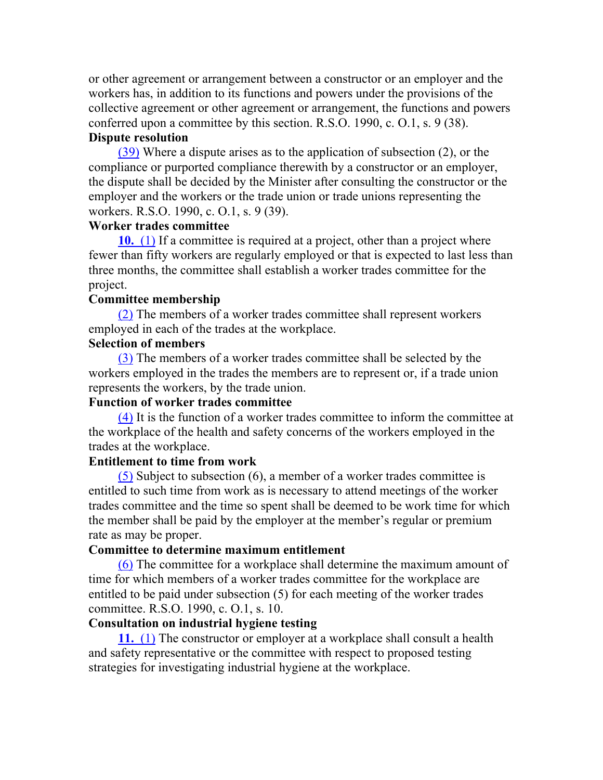or other agreement or arrangement between a constructor or an employer and the workers has, in addition to its functions and powers under the provisions of the collective agreement or other agreement or arrangement, the functions and powers conferred upon a committee by this section. R.S.O. 1990, c. O.1, s. 9 (38).

## **Dispute resolution**

(39) Where a dispute arises as to the application of subsection (2), or the compliance or purported compliance therewith by a constructor or an employer, the dispute shall be decided by the Minister after consulting the constructor or the employer and the workers or the trade union or trade unions representing the workers. R.S.O. 1990, c. O.1, s. 9 (39).

#### **Worker trades committee**

**10.** (1) If a committee is required at a project, other than a project where fewer than fifty workers are regularly employed or that is expected to last less than three months, the committee shall establish a worker trades committee for the project.

#### **Committee membership**

(2) The members of a worker trades committee shall represent workers employed in each of the trades at the workplace.

#### **Selection of members**

(3) The members of a worker trades committee shall be selected by the workers employed in the trades the members are to represent or, if a trade union represents the workers, by the trade union.

### **Function of worker trades committee**

(4) It is the function of a worker trades committee to inform the committee at the workplace of the health and safety concerns of the workers employed in the trades at the workplace.

#### **Entitlement to time from work**

(5) Subject to subsection (6), a member of a worker trades committee is entitled to such time from work as is necessary to attend meetings of the worker trades committee and the time so spent shall be deemed to be work time for which the member shall be paid by the employer at the member's regular or premium rate as may be proper.

#### **Committee to determine maximum entitlement**

(6) The committee for a workplace shall determine the maximum amount of time for which members of a worker trades committee for the workplace are entitled to be paid under subsection (5) for each meeting of the worker trades committee. R.S.O. 1990, c. O.1, s. 10.

#### **Consultation on industrial hygiene testing**

**11.** (1) The constructor or employer at a workplace shall consult a health and safety representative or the committee with respect to proposed testing strategies for investigating industrial hygiene at the workplace.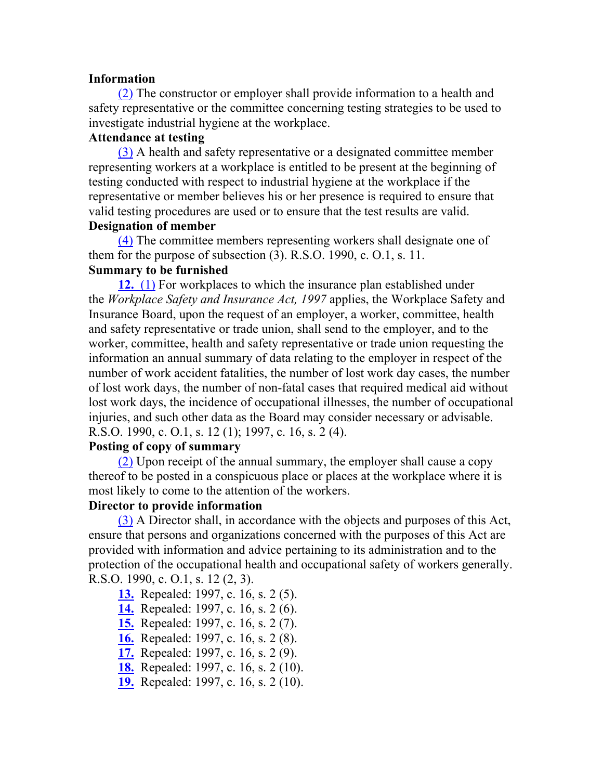#### **Information**

(2) The constructor or employer shall provide information to a health and safety representative or the committee concerning testing strategies to be used to investigate industrial hygiene at the workplace.

## **Attendance at testing**

(3) A health and safety representative or a designated committee member representing workers at a workplace is entitled to be present at the beginning of testing conducted with respect to industrial hygiene at the workplace if the representative or member believes his or her presence is required to ensure that valid testing procedures are used or to ensure that the test results are valid. **Designation of member**

(4) The committee members representing workers shall designate one of them for the purpose of subsection  $(3)$ . R.S.O. 1990, c. O.1, s. 11. **Summary to be furnished**

**12.** (1) For workplaces to which the insurance plan established under the *Workplace Safety and Insurance Act, 1997* applies, the Workplace Safety and Insurance Board, upon the request of an employer, a worker, committee, health and safety representative or trade union, shall send to the employer, and to the worker, committee, health and safety representative or trade union requesting the information an annual summary of data relating to the employer in respect of the number of work accident fatalities, the number of lost work day cases, the number of lost work days, the number of non-fatal cases that required medical aid without lost work days, the incidence of occupational illnesses, the number of occupational injuries, and such other data as the Board may consider necessary or advisable. R.S.O. 1990, c. O.1, s. 12 (1); 1997, c. 16, s. 2 (4).

#### **Posting of copy of summary**

(2) Upon receipt of the annual summary, the employer shall cause a copy thereof to be posted in a conspicuous place or places at the workplace where it is most likely to come to the attention of the workers.

#### **Director to provide information**

(3) A Director shall, in accordance with the objects and purposes of this Act, ensure that persons and organizations concerned with the purposes of this Act are provided with information and advice pertaining to its administration and to the protection of the occupational health and occupational safety of workers generally. R.S.O. 1990, c. O.1, s. 12 (2, 3).

- **13.** Repealed: 1997, c. 16, s. 2 (5).
- **14.** Repealed: 1997, c. 16, s. 2 (6).
- **15.** Repealed: 1997, c. 16, s. 2 (7).
- **16.** Repealed: 1997, c. 16, s. 2 (8).
- **17.** Repealed: 1997, c. 16, s. 2 (9).
- **18.** Repealed: 1997, c. 16, s. 2 (10).
- **19.** Repealed: 1997, c. 16, s. 2 (10).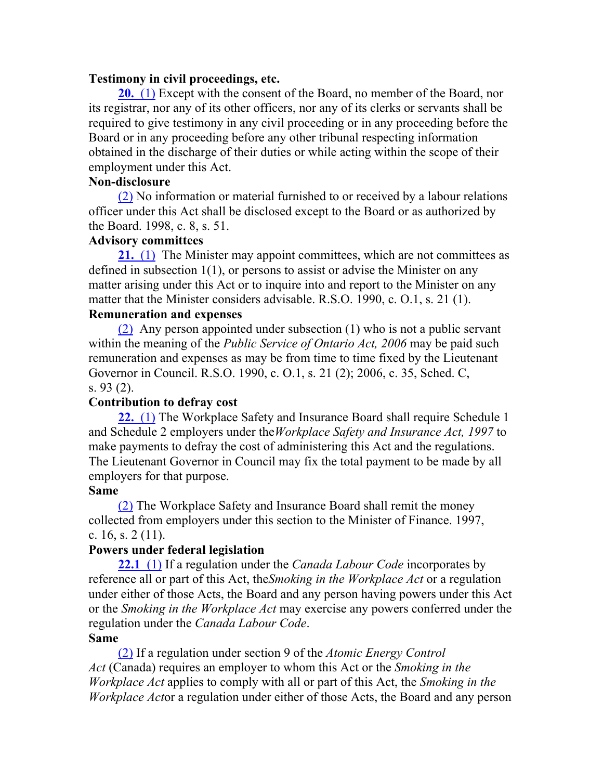#### **Testimony in civil proceedings, etc.**

**20.** (1) Except with the consent of the Board, no member of the Board, nor its registrar, nor any of its other officers, nor any of its clerks or servants shall be required to give testimony in any civil proceeding or in any proceeding before the Board or in any proceeding before any other tribunal respecting information obtained in the discharge of their duties or while acting within the scope of their employment under this Act.

#### **Non-disclosure**

(2) No information or material furnished to or received by a labour relations officer under this Act shall be disclosed except to the Board or as authorized by the Board. 1998, c. 8, s. 51.

## **Advisory committees**

**21.** (1) The Minister may appoint committees, which are not committees as defined in subsection 1(1), or persons to assist or advise the Minister on any matter arising under this Act or to inquire into and report to the Minister on any matter that the Minister considers advisable. R.S.O. 1990, c. O.1, s. 21 (1).

#### **Remuneration and expenses**

(2) Any person appointed under subsection (1) who is not a public servant within the meaning of the *Public Service of Ontario Act, 2006* may be paid such remuneration and expenses as may be from time to time fixed by the Lieutenant Governor in Council. R.S.O. 1990, c. O.1, s. 21 (2); 2006, c. 35, Sched. C, s. 93 (2).

#### **Contribution to defray cost**

**22.** (1) The Workplace Safety and Insurance Board shall require Schedule 1 and Schedule 2 employers under the*Workplace Safety and Insurance Act, 1997* to make payments to defray the cost of administering this Act and the regulations. The Lieutenant Governor in Council may fix the total payment to be made by all employers for that purpose.

#### **Same**

(2) The Workplace Safety and Insurance Board shall remit the money collected from employers under this section to the Minister of Finance. 1997, c. 16, s.  $2(11)$ .

#### **Powers under federal legislation**

**22.1** (1) If a regulation under the *Canada Labour Code* incorporates by reference all or part of this Act, the*Smoking in the Workplace Act* or a regulation under either of those Acts, the Board and any person having powers under this Act or the *Smoking in the Workplace Act* may exercise any powers conferred under the regulation under the *Canada Labour Code*.

#### **Same**

(2) If a regulation under section 9 of the *Atomic Energy Control Act* (Canada) requires an employer to whom this Act or the *Smoking in the Workplace Act* applies to comply with all or part of this Act, the *Smoking in the Workplace Act*or a regulation under either of those Acts, the Board and any person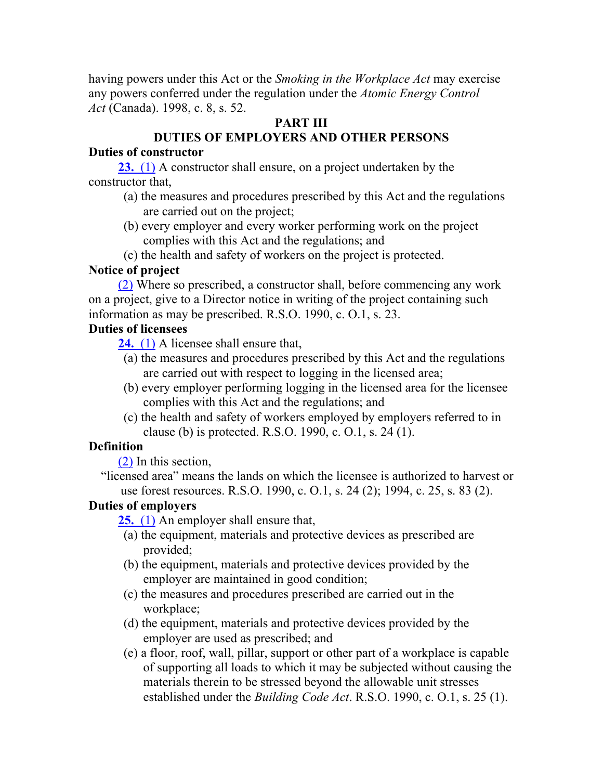having powers under this Act or the *Smoking in the Workplace Act* may exercise any powers conferred under the regulation under the *Atomic Energy Control Act* (Canada). 1998, c. 8, s. 52.

## **PART III**

## **DUTIES OF EMPLOYERS AND OTHER PERSONS**

## **Duties of constructor**

**23.** (1) A constructor shall ensure, on a project undertaken by the constructor that,

- (a) the measures and procedures prescribed by this Act and the regulations are carried out on the project;
- (b) every employer and every worker performing work on the project complies with this Act and the regulations; and
- (c) the health and safety of workers on the project is protected.

## **Notice of project**

(2) Where so prescribed, a constructor shall, before commencing any work on a project, give to a Director notice in writing of the project containing such information as may be prescribed. R.S.O. 1990, c. O.1, s. 23.

## **Duties of licensees**

**24.** (1) A licensee shall ensure that,

- (a) the measures and procedures prescribed by this Act and the regulations are carried out with respect to logging in the licensed area;
- (b) every employer performing logging in the licensed area for the licensee complies with this Act and the regulations; and
- (c) the health and safety of workers employed by employers referred to in clause (b) is protected. R.S.O. 1990, c. O.1, s. 24 (1).

## **Definition**

(2) In this section,

"licensed area" means the lands on which the licensee is authorized to harvest or use forest resources. R.S.O. 1990, c. O.1, s. 24 (2); 1994, c. 25, s. 83 (2).

## **Duties of employers**

**25.** (1) An employer shall ensure that,

- (a) the equipment, materials and protective devices as prescribed are provided;
- (b) the equipment, materials and protective devices provided by the employer are maintained in good condition;
- (c) the measures and procedures prescribed are carried out in the workplace;
- (d) the equipment, materials and protective devices provided by the employer are used as prescribed; and
- (e) a floor, roof, wall, pillar, support or other part of a workplace is capable of supporting all loads to which it may be subjected without causing the materials therein to be stressed beyond the allowable unit stresses established under the *Building Code Act*. R.S.O. 1990, c. O.1, s. 25 (1).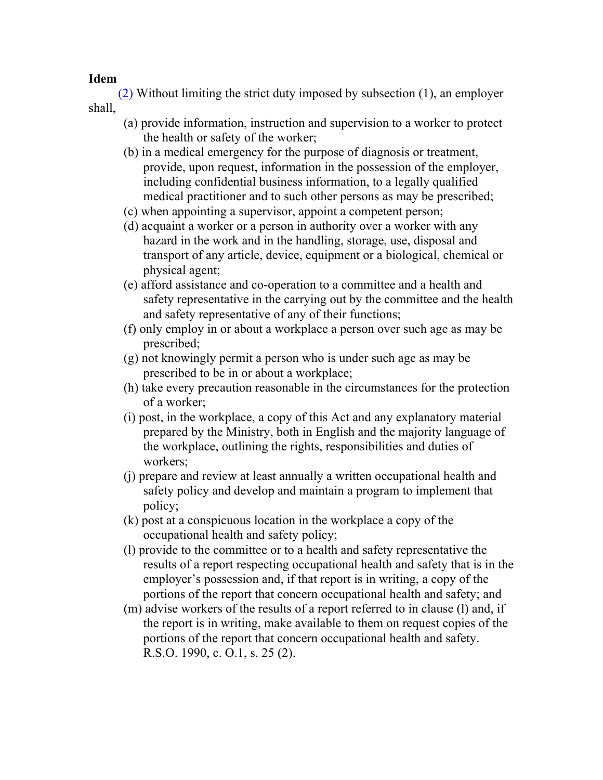(2) Without limiting the strict duty imposed by subsection (1), an employer shall,

- (a) provide information, instruction and supervision to a worker to protect the health or safety of the worker;
- (b) in a medical emergency for the purpose of diagnosis or treatment, provide, upon request, information in the possession of the employer, including confidential business information, to a legally qualified medical practitioner and to such other persons as may be prescribed;
- (c) when appointing a supervisor, appoint a competent person;
- (d) acquaint a worker or a person in authority over a worker with any hazard in the work and in the handling, storage, use, disposal and transport of any article, device, equipment or a biological, chemical or physical agent;
- (e) afford assistance and co-operation to a committee and a health and safety representative in the carrying out by the committee and the health and safety representative of any of their functions;
- (f) only employ in or about a workplace a person over such age as may be prescribed;
- (g) not knowingly permit a person who is under such age as may be prescribed to be in or about a workplace;
- (h) take every precaution reasonable in the circumstances for the protection of a worker;
- (i) post, in the workplace, a copy of this Act and any explanatory material prepared by the Ministry, both in English and the majority language of the workplace, outlining the rights, responsibilities and duties of workers;
- (j) prepare and review at least annually a written occupational health and safety policy and develop and maintain a program to implement that policy;
- (k) post at a conspicuous location in the workplace a copy of the occupational health and safety policy;
- (l) provide to the committee or to a health and safety representative the results of a report respecting occupational health and safety that is in the employer's possession and, if that report is in writing, a copy of the portions of the report that concern occupational health and safety; and
- (m) advise workers of the results of a report referred to in clause (l) and, if the report is in writing, make available to them on request copies of the portions of the report that concern occupational health and safety. R.S.O. 1990, c. O.1, s. 25 (2).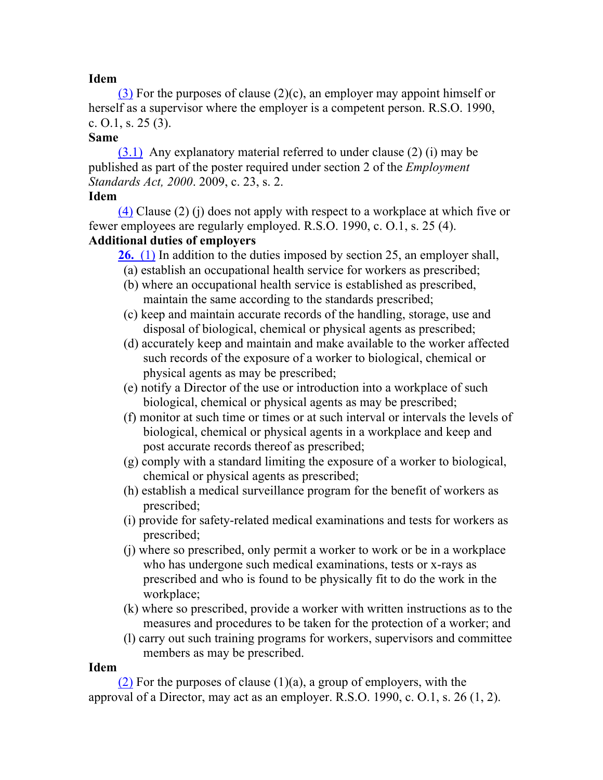(3) For the purposes of clause (2)(c), an employer may appoint himself or herself as a supervisor where the employer is a competent person. R.S.O. 1990, c.  $0.1$ , s.  $25(3)$ .

## **Same**

(3.1) Any explanatory material referred to under clause (2) (i) may be published as part of the poster required under section 2 of the *Employment Standards Act, 2000*. 2009, c. 23, s. 2.

## **Idem**

(4) Clause (2) (j) does not apply with respect to a workplace at which five or fewer employees are regularly employed. R.S.O. 1990, c. O.1, s. 25 (4).

## **Additional duties of employers**

**26.** (1) In addition to the duties imposed by section 25, an employer shall,

(a) establish an occupational health service for workers as prescribed;

- (b) where an occupational health service is established as prescribed, maintain the same according to the standards prescribed;
- (c) keep and maintain accurate records of the handling, storage, use and disposal of biological, chemical or physical agents as prescribed;
- (d) accurately keep and maintain and make available to the worker affected such records of the exposure of a worker to biological, chemical or physical agents as may be prescribed;
- (e) notify a Director of the use or introduction into a workplace of such biological, chemical or physical agents as may be prescribed;
- (f) monitor at such time or times or at such interval or intervals the levels of biological, chemical or physical agents in a workplace and keep and post accurate records thereof as prescribed;
- (g) comply with a standard limiting the exposure of a worker to biological, chemical or physical agents as prescribed;
- (h) establish a medical surveillance program for the benefit of workers as prescribed;
- (i) provide for safety-related medical examinations and tests for workers as prescribed;
- (j) where so prescribed, only permit a worker to work or be in a workplace who has undergone such medical examinations, tests or x-rays as prescribed and who is found to be physically fit to do the work in the workplace;
- (k) where so prescribed, provide a worker with written instructions as to the measures and procedures to be taken for the protection of a worker; and
- (l) carry out such training programs for workers, supervisors and committee members as may be prescribed.

## **Idem**

(2) For the purposes of clause  $(1)(a)$ , a group of employers, with the approval of a Director, may act as an employer. R.S.O. 1990, c. O.1, s. 26 (1, 2).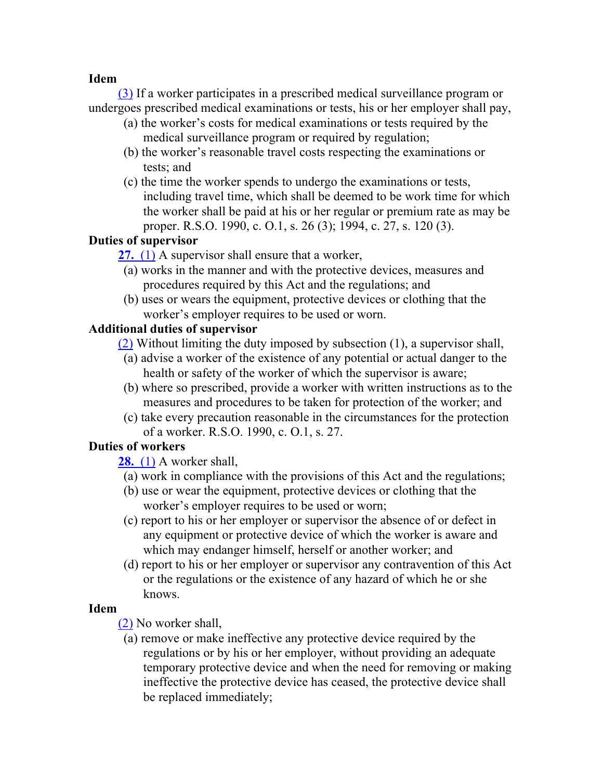(3) If a worker participates in a prescribed medical surveillance program or undergoes prescribed medical examinations or tests, his or her employer shall pay,

- (a) the worker's costs for medical examinations or tests required by the medical surveillance program or required by regulation;
- (b) the worker's reasonable travel costs respecting the examinations or tests; and
- (c) the time the worker spends to undergo the examinations or tests, including travel time, which shall be deemed to be work time for which the worker shall be paid at his or her regular or premium rate as may be proper. R.S.O. 1990, c. O.1, s. 26 (3); 1994, c. 27, s. 120 (3).

## **Duties of supervisor**

**27.** (1) A supervisor shall ensure that a worker,

- (a) works in the manner and with the protective devices, measures and procedures required by this Act and the regulations; and
- (b) uses or wears the equipment, protective devices or clothing that the worker's employer requires to be used or worn.

## **Additional duties of supervisor**

(2) Without limiting the duty imposed by subsection (1), a supervisor shall,

- (a) advise a worker of the existence of any potential or actual danger to the health or safety of the worker of which the supervisor is aware;
- (b) where so prescribed, provide a worker with written instructions as to the measures and procedures to be taken for protection of the worker; and
- (c) take every precaution reasonable in the circumstances for the protection of a worker. R.S.O. 1990, c. O.1, s. 27.

## **Duties of workers**

**28.** (1) A worker shall,

- (a) work in compliance with the provisions of this Act and the regulations;
- (b) use or wear the equipment, protective devices or clothing that the worker's employer requires to be used or worn;
- (c) report to his or her employer or supervisor the absence of or defect in any equipment or protective device of which the worker is aware and which may endanger himself, herself or another worker; and
- (d) report to his or her employer or supervisor any contravention of this Act or the regulations or the existence of any hazard of which he or she knows.

## **Idem**

(2) No worker shall,

(a) remove or make ineffective any protective device required by the regulations or by his or her employer, without providing an adequate temporary protective device and when the need for removing or making ineffective the protective device has ceased, the protective device shall be replaced immediately;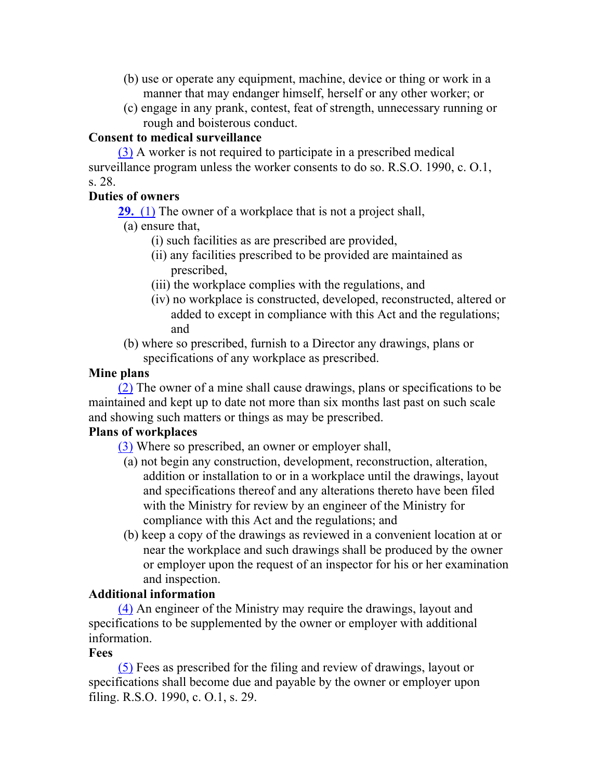- (b) use or operate any equipment, machine, device or thing or work in a manner that may endanger himself, herself or any other worker; or
- (c) engage in any prank, contest, feat of strength, unnecessary running or rough and boisterous conduct.

## **Consent to medical surveillance**

(3) A worker is not required to participate in a prescribed medical surveillance program unless the worker consents to do so. R.S.O. 1990, c. O.1, s. 28.

## **Duties of owners**

**29.** (1) The owner of a workplace that is not a project shall,

- (a) ensure that,
	- (i) such facilities as are prescribed are provided,
	- (ii) any facilities prescribed to be provided are maintained as prescribed,
	- (iii) the workplace complies with the regulations, and
	- (iv) no workplace is constructed, developed, reconstructed, altered or added to except in compliance with this Act and the regulations; and
- (b) where so prescribed, furnish to a Director any drawings, plans or specifications of any workplace as prescribed.

## **Mine plans**

(2) The owner of a mine shall cause drawings, plans or specifications to be maintained and kept up to date not more than six months last past on such scale and showing such matters or things as may be prescribed.

## **Plans of workplaces**

(3) Where so prescribed, an owner or employer shall,

- (a) not begin any construction, development, reconstruction, alteration, addition or installation to or in a workplace until the drawings, layout and specifications thereof and any alterations thereto have been filed with the Ministry for review by an engineer of the Ministry for compliance with this Act and the regulations; and
- (b) keep a copy of the drawings as reviewed in a convenient location at or near the workplace and such drawings shall be produced by the owner or employer upon the request of an inspector for his or her examination and inspection.

## **Additional information**

(4) An engineer of the Ministry may require the drawings, layout and specifications to be supplemented by the owner or employer with additional information.

## **Fees**

(5) Fees as prescribed for the filing and review of drawings, layout or specifications shall become due and payable by the owner or employer upon filing. R.S.O. 1990, c. O.1, s. 29.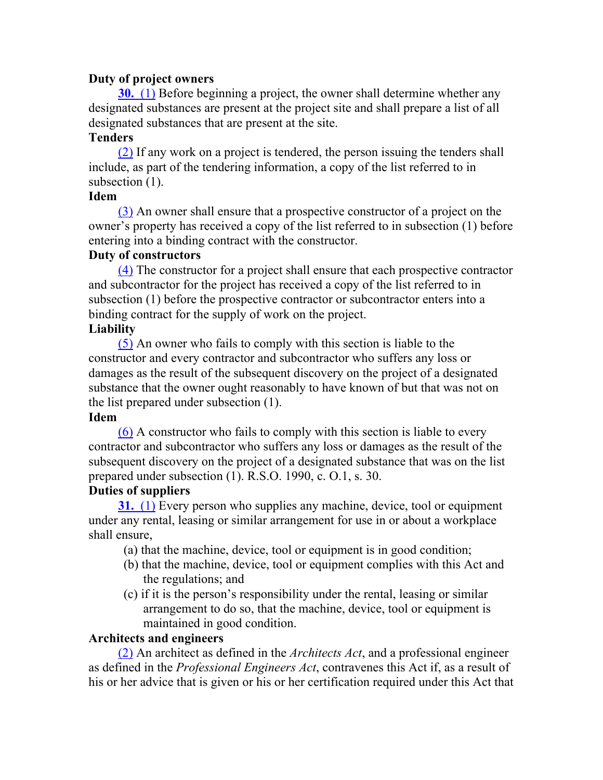## **Duty of project owners**

**30.** (1) Before beginning a project, the owner shall determine whether any designated substances are present at the project site and shall prepare a list of all designated substances that are present at the site.

## **Tenders**

(2) If any work on a project is tendered, the person issuing the tenders shall include, as part of the tendering information, a copy of the list referred to in subsection  $(1)$ .

## **Idem**

(3) An owner shall ensure that a prospective constructor of a project on the owner's property has received a copy of the list referred to in subsection (1) before entering into a binding contract with the constructor.

## **Duty of constructors**

(4) The constructor for a project shall ensure that each prospective contractor and subcontractor for the project has received a copy of the list referred to in subsection (1) before the prospective contractor or subcontractor enters into a binding contract for the supply of work on the project.

## **Liability**

(5) An owner who fails to comply with this section is liable to the constructor and every contractor and subcontractor who suffers any loss or damages as the result of the subsequent discovery on the project of a designated substance that the owner ought reasonably to have known of but that was not on the list prepared under subsection (1).

#### **Idem**

(6) A constructor who fails to comply with this section is liable to every contractor and subcontractor who suffers any loss or damages as the result of the subsequent discovery on the project of a designated substance that was on the list prepared under subsection (1). R.S.O. 1990, c. O.1, s. 30.

## **Duties of suppliers**

**31.** (1) Every person who supplies any machine, device, tool or equipment under any rental, leasing or similar arrangement for use in or about a workplace shall ensure,

(a) that the machine, device, tool or equipment is in good condition;

- (b) that the machine, device, tool or equipment complies with this Act and the regulations; and
- (c) if it is the person's responsibility under the rental, leasing or similar arrangement to do so, that the machine, device, tool or equipment is maintained in good condition.

## **Architects and engineers**

(2) An architect as defined in the *Architects Act*, and a professional engineer as defined in the *Professional Engineers Act*, contravenes this Act if, as a result of his or her advice that is given or his or her certification required under this Act that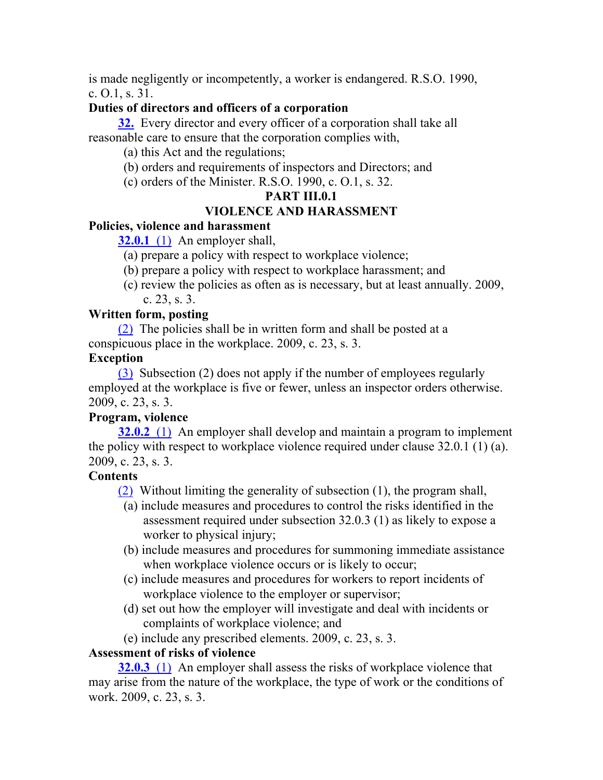is made negligently or incompetently, a worker is endangered. R.S.O. 1990, c. O.1, s. 31.

## **Duties of directors and officers of a corporation**

**32.** Every director and every officer of a corporation shall take all reasonable care to ensure that the corporation complies with,

(a) this Act and the regulations;

- (b) orders and requirements of inspectors and Directors; and
- (c) orders of the Minister. R.S.O. 1990, c. O.1, s. 32.

## **PART III.0.1**

## **VIOLENCE AND HARASSMENT**

## **Policies, violence and harassment**

**32.0.1** (1) An employer shall,

(a) prepare a policy with respect to workplace violence;

- (b) prepare a policy with respect to workplace harassment; and
- (c) review the policies as often as is necessary, but at least annually. 2009, c. 23, s. 3.

## **Written form, posting**

(2) The policies shall be in written form and shall be posted at a conspicuous place in the workplace. 2009, c. 23, s. 3.

## **Exception**

(3) Subsection (2) does not apply if the number of employees regularly employed at the workplace is five or fewer, unless an inspector orders otherwise. 2009, c. 23, s. 3.

## **Program, violence**

**32.0.2** (1) An employer shall develop and maintain a program to implement the policy with respect to workplace violence required under clause 32.0.1 (1) (a). 2009, c. 23, s. 3.

### **Contents**

(2) Without limiting the generality of subsection (1), the program shall,

- (a) include measures and procedures to control the risks identified in the assessment required under subsection 32.0.3 (1) as likely to expose a worker to physical injury;
- (b) include measures and procedures for summoning immediate assistance when workplace violence occurs or is likely to occur;
- (c) include measures and procedures for workers to report incidents of workplace violence to the employer or supervisor;
- (d) set out how the employer will investigate and deal with incidents or complaints of workplace violence; and
- (e) include any prescribed elements. 2009, c. 23, s. 3.

## **Assessment of risks of violence**

**32.0.3** (1) An employer shall assess the risks of workplace violence that may arise from the nature of the workplace, the type of work or the conditions of work. 2009, c. 23, s. 3.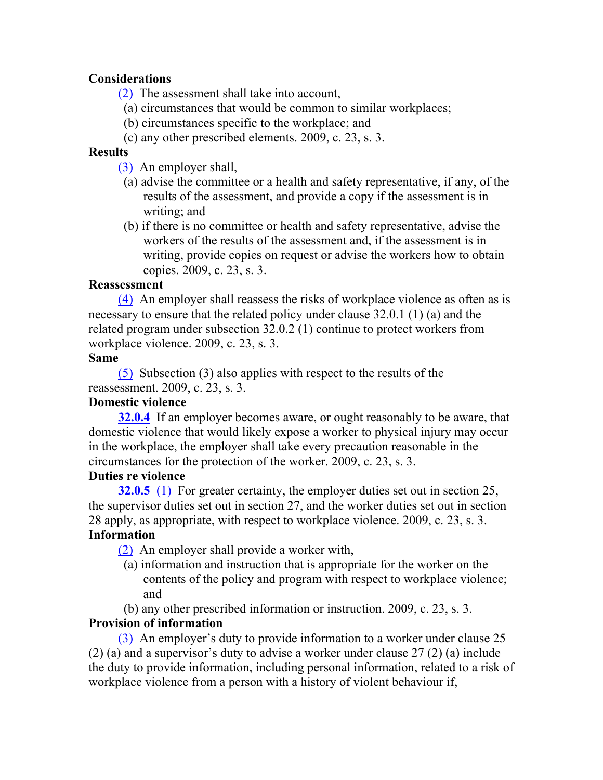## **Considerations**

(2) The assessment shall take into account,

- (a) circumstances that would be common to similar workplaces;
- (b) circumstances specific to the workplace; and
- (c) any other prescribed elements. 2009, c. 23, s. 3.

#### **Results**

(3) An employer shall,

- (a) advise the committee or a health and safety representative, if any, of the results of the assessment, and provide a copy if the assessment is in writing; and
- (b) if there is no committee or health and safety representative, advise the workers of the results of the assessment and, if the assessment is in writing, provide copies on request or advise the workers how to obtain copies. 2009, c. 23, s. 3.

#### **Reassessment**

(4) An employer shall reassess the risks of workplace violence as often as is necessary to ensure that the related policy under clause 32.0.1 (1) (a) and the related program under subsection 32.0.2 (1) continue to protect workers from workplace violence. 2009, c. 23, s. 3.

#### **Same**

(5) Subsection (3) also applies with respect to the results of the reassessment. 2009, c. 23, s. 3.

### **Domestic violence**

**32.0.4** If an employer becomes aware, or ought reasonably to be aware, that domestic violence that would likely expose a worker to physical injury may occur in the workplace, the employer shall take every precaution reasonable in the circumstances for the protection of the worker. 2009, c. 23, s. 3.

#### **Duties re violence**

**32.0.5** (1) For greater certainty, the employer duties set out in section 25, the supervisor duties set out in section 27, and the worker duties set out in section 28 apply, as appropriate, with respect to workplace violence. 2009, c. 23, s. 3. **Information**

(2) An employer shall provide a worker with,

- (a) information and instruction that is appropriate for the worker on the contents of the policy and program with respect to workplace violence; and
- (b) any other prescribed information or instruction. 2009, c. 23, s. 3.

#### **Provision of information**

(3) An employer's duty to provide information to a worker under clause 25 (2) (a) and a supervisor's duty to advise a worker under clause 27 (2) (a) include the duty to provide information, including personal information, related to a risk of workplace violence from a person with a history of violent behaviour if,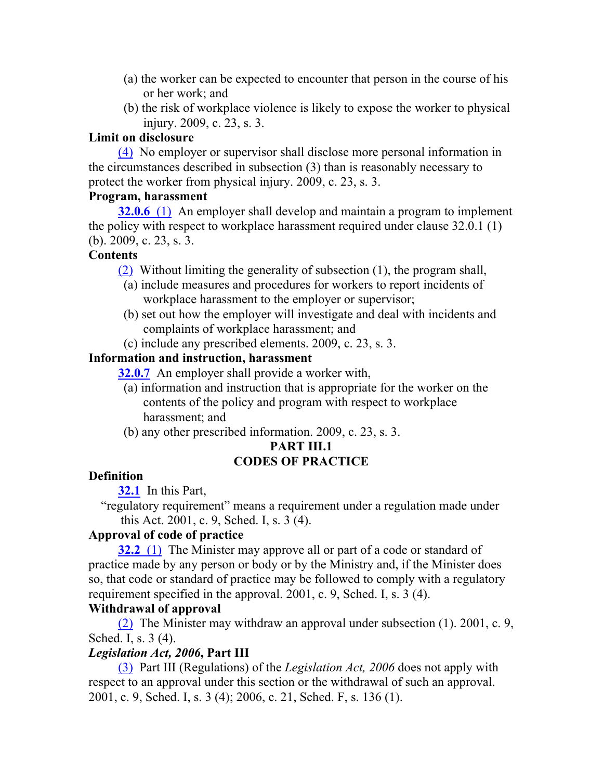- (a) the worker can be expected to encounter that person in the course of his or her work; and
- (b) the risk of workplace violence is likely to expose the worker to physical injury. 2009, c. 23, s. 3.

## **Limit on disclosure**

(4) No employer or supervisor shall disclose more personal information in the circumstances described in subsection (3) than is reasonably necessary to protect the worker from physical injury. 2009, c. 23, s. 3.

#### **Program, harassment**

**32.0.6** (1) An employer shall develop and maintain a program to implement the policy with respect to workplace harassment required under clause 32.0.1 (1) (b). 2009, c. 23, s. 3.

#### **Contents**

(2) Without limiting the generality of subsection (1), the program shall,

- (a) include measures and procedures for workers to report incidents of workplace harassment to the employer or supervisor;
- (b) set out how the employer will investigate and deal with incidents and complaints of workplace harassment; and
- (c) include any prescribed elements. 2009, c. 23, s. 3.

## **Information and instruction, harassment**

**32.0.7** An employer shall provide a worker with,

- (a) information and instruction that is appropriate for the worker on the contents of the policy and program with respect to workplace harassment; and
- (b) any other prescribed information. 2009, c. 23, s. 3.

#### **PART III.1**

## **CODES OF PRACTICE**

## **Definition**

**32.1** In this Part,

"regulatory requirement" means a requirement under a regulation made under this Act. 2001, c. 9, Sched. I, s. 3 (4).

#### **Approval of code of practice**

**32.2** (1) The Minister may approve all or part of a code or standard of practice made by any person or body or by the Ministry and, if the Minister does so, that code or standard of practice may be followed to comply with a regulatory requirement specified in the approval. 2001, c. 9, Sched. I, s. 3 (4).

#### **Withdrawal of approval**

(2) The Minister may withdraw an approval under subsection (1). 2001, c. 9, Sched. I, s. 3 (4).

## *Legislation Act, 2006***, Part III**

(3) Part III (Regulations) of the *Legislation Act, 2006* does not apply with respect to an approval under this section or the withdrawal of such an approval. 2001, c. 9, Sched. I, s. 3 (4); 2006, c. 21, Sched. F, s. 136 (1).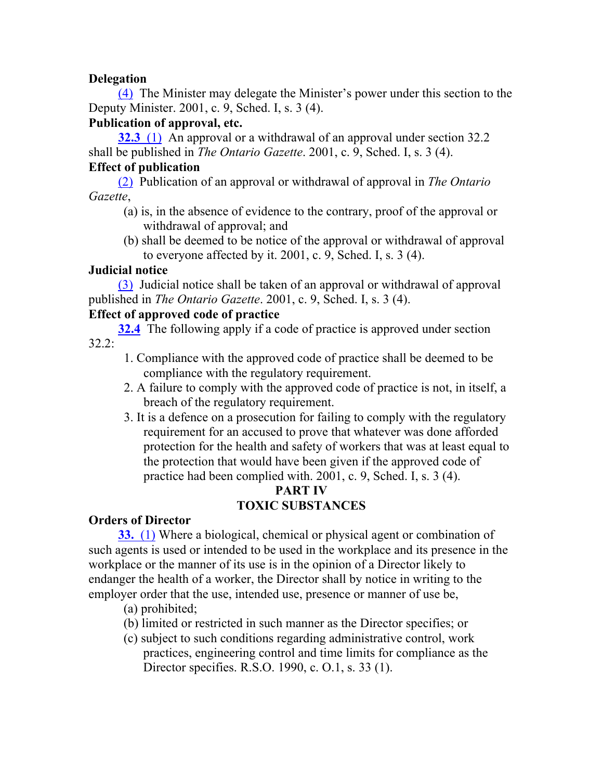## **Delegation**

(4) The Minister may delegate the Minister's power under this section to the Deputy Minister. 2001, c. 9, Sched. I, s. 3 (4).

## **Publication of approval, etc.**

**32.3** (1) An approval or a withdrawal of an approval under section 32.2 shall be published in *The Ontario Gazette*. 2001, c. 9, Sched. I, s. 3 (4).

## **Effect of publication**

(2) Publication of an approval or withdrawal of approval in *The Ontario Gazette*,

- (a) is, in the absence of evidence to the contrary, proof of the approval or withdrawal of approval; and
- (b) shall be deemed to be notice of the approval or withdrawal of approval to everyone affected by it. 2001, c. 9, Sched. I, s. 3 (4).

## **Judicial notice**

(3) Judicial notice shall be taken of an approval or withdrawal of approval published in *The Ontario Gazette*. 2001, c. 9, Sched. I, s. 3 (4).

## **Effect of approved code of practice**

**32.4** The following apply if a code of practice is approved under section 32.2:

- 1. Compliance with the approved code of practice shall be deemed to be compliance with the regulatory requirement.
- 2. A failure to comply with the approved code of practice is not, in itself, a breach of the regulatory requirement.
- 3. It is a defence on a prosecution for failing to comply with the regulatory requirement for an accused to prove that whatever was done afforded protection for the health and safety of workers that was at least equal to the protection that would have been given if the approved code of practice had been complied with. 2001, c. 9, Sched. I, s. 3 (4).

## **PART IV TOXIC SUBSTANCES**

## **Orders of Director**

**33.** (1) Where a biological, chemical or physical agent or combination of such agents is used or intended to be used in the workplace and its presence in the workplace or the manner of its use is in the opinion of a Director likely to endanger the health of a worker, the Director shall by notice in writing to the employer order that the use, intended use, presence or manner of use be,

- (a) prohibited;
- (b) limited or restricted in such manner as the Director specifies; or
- (c) subject to such conditions regarding administrative control, work practices, engineering control and time limits for compliance as the Director specifies. R.S.O. 1990, c. O.1, s. 33 (1).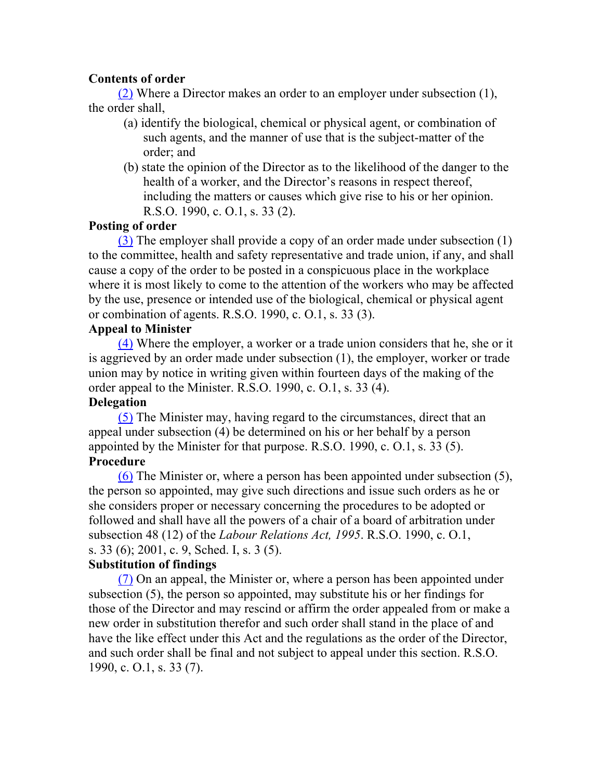## **Contents of order**

(2) Where a Director makes an order to an employer under subsection (1), the order shall,

- (a) identify the biological, chemical or physical agent, or combination of such agents, and the manner of use that is the subject-matter of the order; and
- (b) state the opinion of the Director as to the likelihood of the danger to the health of a worker, and the Director's reasons in respect thereof, including the matters or causes which give rise to his or her opinion. R.S.O. 1990, c. O.1, s. 33 (2).

## **Posting of order**

(3) The employer shall provide a copy of an order made under subsection (1) to the committee, health and safety representative and trade union, if any, and shall cause a copy of the order to be posted in a conspicuous place in the workplace where it is most likely to come to the attention of the workers who may be affected by the use, presence or intended use of the biological, chemical or physical agent or combination of agents. R.S.O. 1990, c. O.1, s. 33 (3).

## **Appeal to Minister**

(4) Where the employer, a worker or a trade union considers that he, she or it is aggrieved by an order made under subsection (1), the employer, worker or trade union may by notice in writing given within fourteen days of the making of the order appeal to the Minister. R.S.O. 1990, c. O.1, s. 33 (4).

### **Delegation**

(5) The Minister may, having regard to the circumstances, direct that an appeal under subsection (4) be determined on his or her behalf by a person appointed by the Minister for that purpose. R.S.O. 1990, c. O.1, s. 33 (5). **Procedure**

(6) The Minister or, where a person has been appointed under subsection (5), the person so appointed, may give such directions and issue such orders as he or she considers proper or necessary concerning the procedures to be adopted or followed and shall have all the powers of a chair of a board of arbitration under subsection 48 (12) of the *Labour Relations Act, 1995*. R.S.O. 1990, c. O.1, s. 33 (6); 2001, c. 9, Sched. I, s. 3 (5).

## **Substitution of findings**

(7) On an appeal, the Minister or, where a person has been appointed under subsection (5), the person so appointed, may substitute his or her findings for those of the Director and may rescind or affirm the order appealed from or make a new order in substitution therefor and such order shall stand in the place of and have the like effect under this Act and the regulations as the order of the Director, and such order shall be final and not subject to appeal under this section. R.S.O. 1990, c. O.1, s. 33 (7).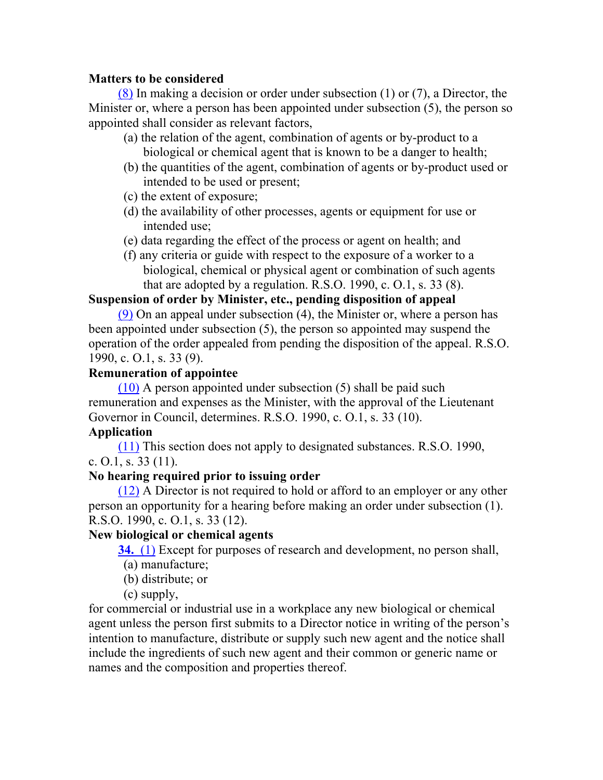## **Matters to be considered**

(8) In making a decision or order under subsection (1) or (7), a Director, the Minister or, where a person has been appointed under subsection (5), the person so appointed shall consider as relevant factors,

- (a) the relation of the agent, combination of agents or by-product to a biological or chemical agent that is known to be a danger to health;
- (b) the quantities of the agent, combination of agents or by-product used or intended to be used or present;
- (c) the extent of exposure;
- (d) the availability of other processes, agents or equipment for use or intended use;
- (e) data regarding the effect of the process or agent on health; and
- (f) any criteria or guide with respect to the exposure of a worker to a biological, chemical or physical agent or combination of such agents that are adopted by a regulation. R.S.O. 1990, c. O.1, s. 33 (8).

## **Suspension of order by Minister, etc., pending disposition of appeal**

(9) On an appeal under subsection (4), the Minister or, where a person has been appointed under subsection (5), the person so appointed may suspend the operation of the order appealed from pending the disposition of the appeal. R.S.O. 1990, c. O.1, s. 33 (9).

## **Remuneration of appointee**

(10) A person appointed under subsection (5) shall be paid such remuneration and expenses as the Minister, with the approval of the Lieutenant Governor in Council, determines. R.S.O. 1990, c. O.1, s. 33 (10).

## **Application**

(11) This section does not apply to designated substances. R.S.O. 1990, c. O.1, s. 33 (11).

## **No hearing required prior to issuing order**

(12) A Director is not required to hold or afford to an employer or any other person an opportunity for a hearing before making an order under subsection (1). R.S.O. 1990, c. O.1, s. 33 (12).

## **New biological or chemical agents**

**34.** (1) Except for purposes of research and development, no person shall,

- (a) manufacture;
- (b) distribute; or

(c) supply,

for commercial or industrial use in a workplace any new biological or chemical agent unless the person first submits to a Director notice in writing of the person's intention to manufacture, distribute or supply such new agent and the notice shall include the ingredients of such new agent and their common or generic name or names and the composition and properties thereof.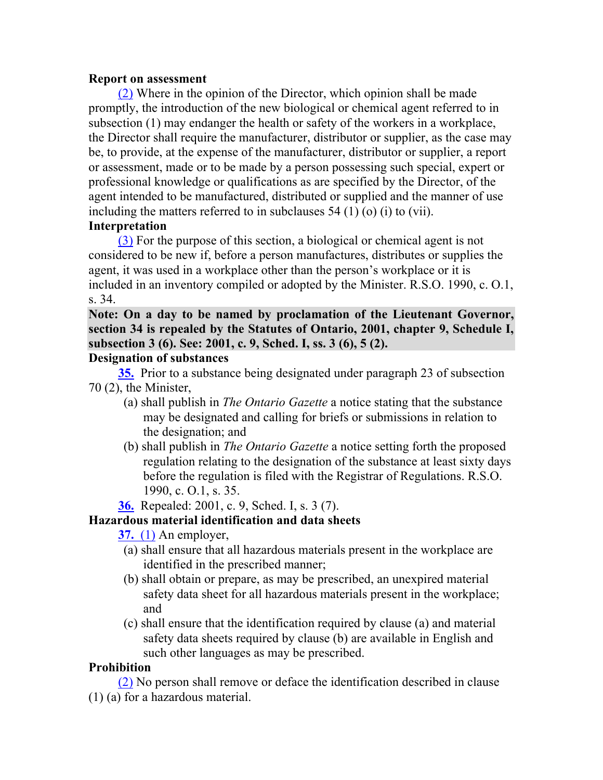#### **Report on assessment**

(2) Where in the opinion of the Director, which opinion shall be made promptly, the introduction of the new biological or chemical agent referred to in subsection (1) may endanger the health or safety of the workers in a workplace, the Director shall require the manufacturer, distributor or supplier, as the case may be, to provide, at the expense of the manufacturer, distributor or supplier, a report or assessment, made or to be made by a person possessing such special, expert or professional knowledge or qualifications as are specified by the Director, of the agent intended to be manufactured, distributed or supplied and the manner of use including the matters referred to in subclauses 54 (1) (o) (i) to (vii).

## **Interpretation**

(3) For the purpose of this section, a biological or chemical agent is not considered to be new if, before a person manufactures, distributes or supplies the agent, it was used in a workplace other than the person's workplace or it is included in an inventory compiled or adopted by the Minister. R.S.O. 1990, c. O.1, s. 34.

**Note: On a day to be named by proclamation of the Lieutenant Governor, section 34 is repealed by the Statutes of Ontario, 2001, chapter 9, Schedule I, subsection 3 (6). See: 2001, c. 9, Sched. I, ss. 3 (6), 5 (2).**

## **Designation of substances**

**35.** Prior to a substance being designated under paragraph 23 of subsection 70 (2), the Minister,

- (a) shall publish in *The Ontario Gazette* a notice stating that the substance may be designated and calling for briefs or submissions in relation to the designation; and
- (b) shall publish in *The Ontario Gazette* a notice setting forth the proposed regulation relating to the designation of the substance at least sixty days before the regulation is filed with the Registrar of Regulations. R.S.O. 1990, c. O.1, s. 35.

**36.** Repealed: 2001, c. 9, Sched. I, s. 3 (7).

#### **Hazardous material identification and data sheets**

**37.** (1) An employer,

- (a) shall ensure that all hazardous materials present in the workplace are identified in the prescribed manner;
- (b) shall obtain or prepare, as may be prescribed, an unexpired material safety data sheet for all hazardous materials present in the workplace; and
- (c) shall ensure that the identification required by clause (a) and material safety data sheets required by clause (b) are available in English and such other languages as may be prescribed.

#### **Prohibition**

(2) No person shall remove or deface the identification described in clause (1) (a) for a hazardous material.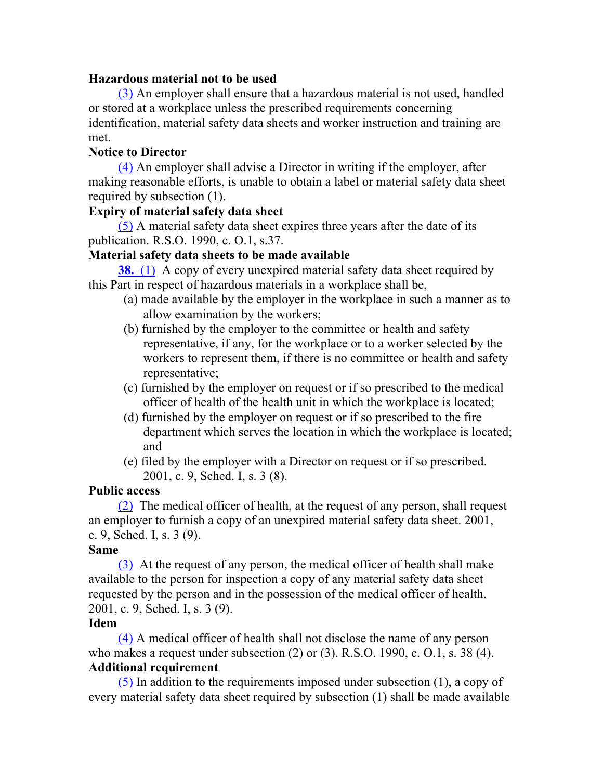#### **Hazardous material not to be used**

(3) An employer shall ensure that a hazardous material is not used, handled or stored at a workplace unless the prescribed requirements concerning identification, material safety data sheets and worker instruction and training are met.

## **Notice to Director**

(4) An employer shall advise a Director in writing if the employer, after making reasonable efforts, is unable to obtain a label or material safety data sheet required by subsection (1).

## **Expiry of material safety data sheet**

(5) A material safety data sheet expires three years after the date of its publication. R.S.O. 1990, c. O.1, s.37.

## **Material safety data sheets to be made available**

**38.** (1) A copy of every unexpired material safety data sheet required by this Part in respect of hazardous materials in a workplace shall be,

- (a) made available by the employer in the workplace in such a manner as to allow examination by the workers;
- (b) furnished by the employer to the committee or health and safety representative, if any, for the workplace or to a worker selected by the workers to represent them, if there is no committee or health and safety representative;
- (c) furnished by the employer on request or if so prescribed to the medical officer of health of the health unit in which the workplace is located;
- (d) furnished by the employer on request or if so prescribed to the fire department which serves the location in which the workplace is located; and
- (e) filed by the employer with a Director on request or if so prescribed. 2001, c. 9, Sched. I, s. 3 (8).

## **Public access**

(2) The medical officer of health, at the request of any person, shall request an employer to furnish a copy of an unexpired material safety data sheet. 2001, c. 9, Sched. I, s. 3 (9).

## **Same**

(3) At the request of any person, the medical officer of health shall make available to the person for inspection a copy of any material safety data sheet requested by the person and in the possession of the medical officer of health. 2001, c. 9, Sched. I, s. 3 (9).

#### **Idem**

(4) A medical officer of health shall not disclose the name of any person who makes a request under subsection (2) or (3). R.S.O. 1990, c. O.1, s. 38 (4). **Additional requirement**

(5) In addition to the requirements imposed under subsection (1), a copy of every material safety data sheet required by subsection (1) shall be made available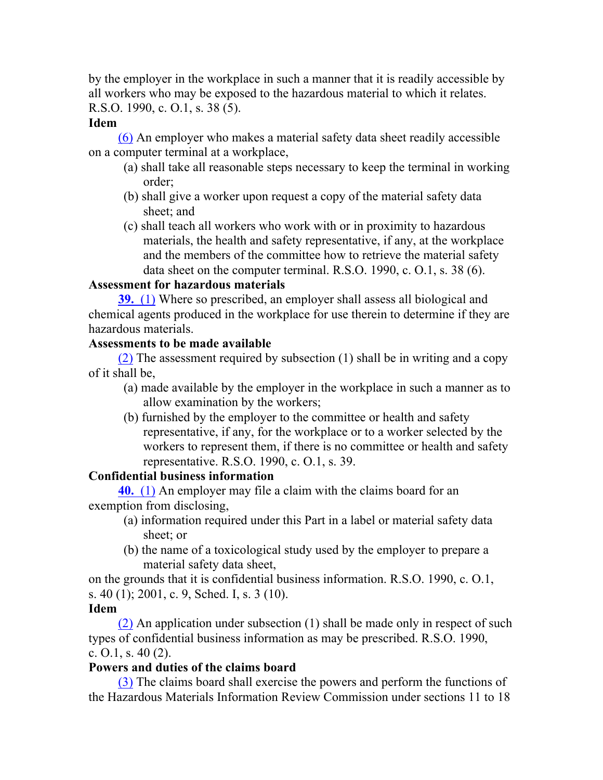by the employer in the workplace in such a manner that it is readily accessible by all workers who may be exposed to the hazardous material to which it relates. R.S.O. 1990, c. O.1, s. 38 (5).

## **Idem**

(6) An employer who makes a material safety data sheet readily accessible on a computer terminal at a workplace,

- (a) shall take all reasonable steps necessary to keep the terminal in working order;
- (b) shall give a worker upon request a copy of the material safety data sheet; and
- (c) shall teach all workers who work with or in proximity to hazardous materials, the health and safety representative, if any, at the workplace and the members of the committee how to retrieve the material safety data sheet on the computer terminal. R.S.O. 1990, c. O.1, s. 38 (6).

## **Assessment for hazardous materials**

**39.** (1) Where so prescribed, an employer shall assess all biological and chemical agents produced in the workplace for use therein to determine if they are hazardous materials.

## **Assessments to be made available**

(2) The assessment required by subsection (1) shall be in writing and a copy of it shall be,

- (a) made available by the employer in the workplace in such a manner as to allow examination by the workers;
- (b) furnished by the employer to the committee or health and safety representative, if any, for the workplace or to a worker selected by the workers to represent them, if there is no committee or health and safety representative. R.S.O. 1990, c. O.1, s. 39.

## **Confidential business information**

**40.** (1) An employer may file a claim with the claims board for an exemption from disclosing,

- (a) information required under this Part in a label or material safety data sheet; or
- (b) the name of a toxicological study used by the employer to prepare a material safety data sheet,

on the grounds that it is confidential business information. R.S.O. 1990, c. O.1, s. 40 (1); 2001, c. 9, Sched. I, s. 3 (10).

## **Idem**

(2) An application under subsection (1) shall be made only in respect of such types of confidential business information as may be prescribed. R.S.O. 1990, c.  $Q_1$ , s. 40 (2).

## **Powers and duties of the claims board**

(3) The claims board shall exercise the powers and perform the functions of the Hazardous Materials Information Review Commission under sections 11 to 18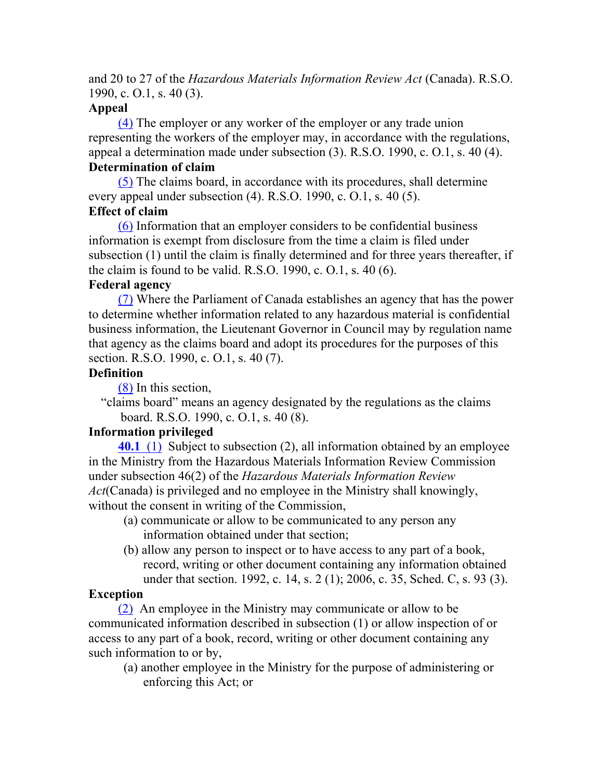and 20 to 27 of the *Hazardous Materials Information Review Act* (Canada). R.S.O. 1990, c. O.1, s. 40 (3).

#### **Appeal**

(4) The employer or any worker of the employer or any trade union representing the workers of the employer may, in accordance with the regulations, appeal a determination made under subsection (3). R.S.O. 1990, c. O.1, s. 40 (4).

## **Determination of claim**

(5) The claims board, in accordance with its procedures, shall determine every appeal under subsection (4). R.S.O. 1990, c. O.1, s. 40 (5).

## **Effect of claim**

(6) Information that an employer considers to be confidential business information is exempt from disclosure from the time a claim is filed under subsection (1) until the claim is finally determined and for three years thereafter, if the claim is found to be valid. R.S.O. 1990, c. O.1, s. 40 (6).

## **Federal agency**

(7) Where the Parliament of Canada establishes an agency that has the power to determine whether information related to any hazardous material is confidential business information, the Lieutenant Governor in Council may by regulation name that agency as the claims board and adopt its procedures for the purposes of this section. R.S.O. 1990, c. O.1, s. 40 (7).

## **Definition**

(8) In this section,

"claims board" means an agency designated by the regulations as the claims board. R.S.O. 1990, c. O.1, s. 40 (8).

## **Information privileged**

**40.1** (1) Subject to subsection (2), all information obtained by an employee in the Ministry from the Hazardous Materials Information Review Commission under subsection 46(2) of the *Hazardous Materials Information Review Act*(Canada) is privileged and no employee in the Ministry shall knowingly, without the consent in writing of the Commission,

- (a) communicate or allow to be communicated to any person any information obtained under that section;
- (b) allow any person to inspect or to have access to any part of a book, record, writing or other document containing any information obtained under that section. 1992, c. 14, s. 2 (1); 2006, c. 35, Sched. C, s. 93 (3).

## **Exception**

(2) An employee in the Ministry may communicate or allow to be communicated information described in subsection (1) or allow inspection of or access to any part of a book, record, writing or other document containing any such information to or by,

(a) another employee in the Ministry for the purpose of administering or enforcing this Act; or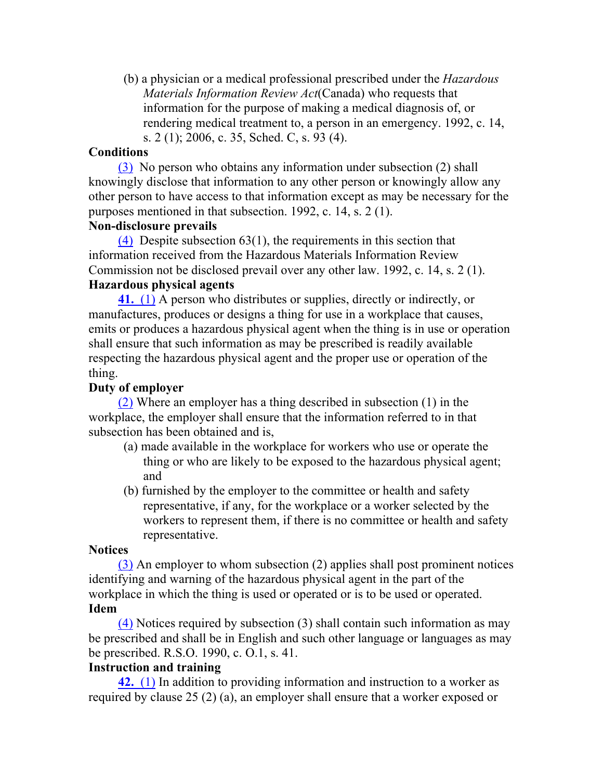(b) a physician or a medical professional prescribed under the *Hazardous Materials Information Review Act*(Canada) who requests that information for the purpose of making a medical diagnosis of, or rendering medical treatment to, a person in an emergency. 1992, c. 14, s. 2 (1); 2006, c. 35, Sched. C, s. 93 (4).

#### **Conditions**

(3) No person who obtains any information under subsection (2) shall knowingly disclose that information to any other person or knowingly allow any other person to have access to that information except as may be necessary for the purposes mentioned in that subsection. 1992, c. 14, s. 2 (1).

## **Non-disclosure prevails**

(4) Despite subsection 63(1), the requirements in this section that information received from the Hazardous Materials Information Review Commission not be disclosed prevail over any other law. 1992, c. 14, s. 2 (1). **Hazardous physical agents**

**41.** (1) A person who distributes or supplies, directly or indirectly, or manufactures, produces or designs a thing for use in a workplace that causes, emits or produces a hazardous physical agent when the thing is in use or operation shall ensure that such information as may be prescribed is readily available respecting the hazardous physical agent and the proper use or operation of the thing.

#### **Duty of employer**

(2) Where an employer has a thing described in subsection (1) in the workplace, the employer shall ensure that the information referred to in that subsection has been obtained and is,

- (a) made available in the workplace for workers who use or operate the thing or who are likely to be exposed to the hazardous physical agent; and
- (b) furnished by the employer to the committee or health and safety representative, if any, for the workplace or a worker selected by the workers to represent them, if there is no committee or health and safety representative.

#### **Notices**

(3) An employer to whom subsection (2) applies shall post prominent notices identifying and warning of the hazardous physical agent in the part of the workplace in which the thing is used or operated or is to be used or operated. **Idem**

(4) Notices required by subsection (3) shall contain such information as may be prescribed and shall be in English and such other language or languages as may be prescribed. R.S.O. 1990, c. O.1, s. 41.

#### **Instruction and training**

**42.** (1) In addition to providing information and instruction to a worker as required by clause 25 (2) (a), an employer shall ensure that a worker exposed or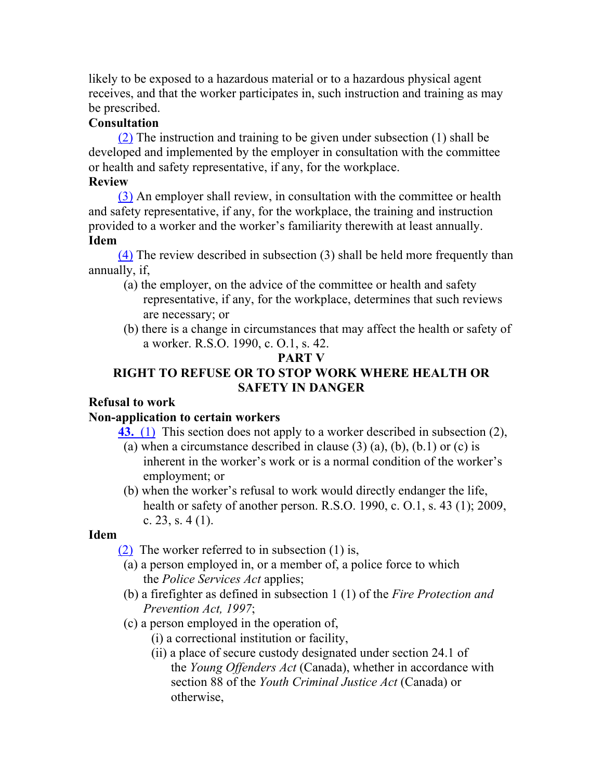likely to be exposed to a hazardous material or to a hazardous physical agent receives, and that the worker participates in, such instruction and training as may be prescribed.

## **Consultation**

(2) The instruction and training to be given under subsection (1) shall be developed and implemented by the employer in consultation with the committee or health and safety representative, if any, for the workplace.

## **Review**

(3) An employer shall review, in consultation with the committee or health and safety representative, if any, for the workplace, the training and instruction provided to a worker and the worker's familiarity therewith at least annually. **Idem**

(4) The review described in subsection (3) shall be held more frequently than annually, if,

- (a) the employer, on the advice of the committee or health and safety representative, if any, for the workplace, determines that such reviews are necessary; or
- (b) there is a change in circumstances that may affect the health or safety of a worker. R.S.O. 1990, c. O.1, s. 42.

## **PART V**

## **RIGHT TO REFUSE OR TO STOP WORK WHERE HEALTH OR SAFETY IN DANGER**

## **Refusal to work**

## **Non-application to certain workers**

**43.** (1) This section does not apply to a worker described in subsection (2),

- (a) when a circumstance described in clause  $(3)$  (a), (b), (b, 1) or (c) is inherent in the worker's work or is a normal condition of the worker's employment; or
- (b) when the worker's refusal to work would directly endanger the life, health or safety of another person. R.S.O. 1990, c. O.1, s. 43 (1); 2009, c. 23, s.  $4(1)$ .

## **Idem**

(2) The worker referred to in subsection (1) is,

- (a) a person employed in, or a member of, a police force to which the *Police Services Act* applies;
- (b) a firefighter as defined in subsection 1 (1) of the *Fire Protection and Prevention Act, 1997*;
- (c) a person employed in the operation of,
	- (i) a correctional institution or facility,
	- (ii) a place of secure custody designated under section 24.1 of the *Young Offenders Act* (Canada), whether in accordance with section 88 of the *Youth Criminal Justice Act* (Canada) or otherwise,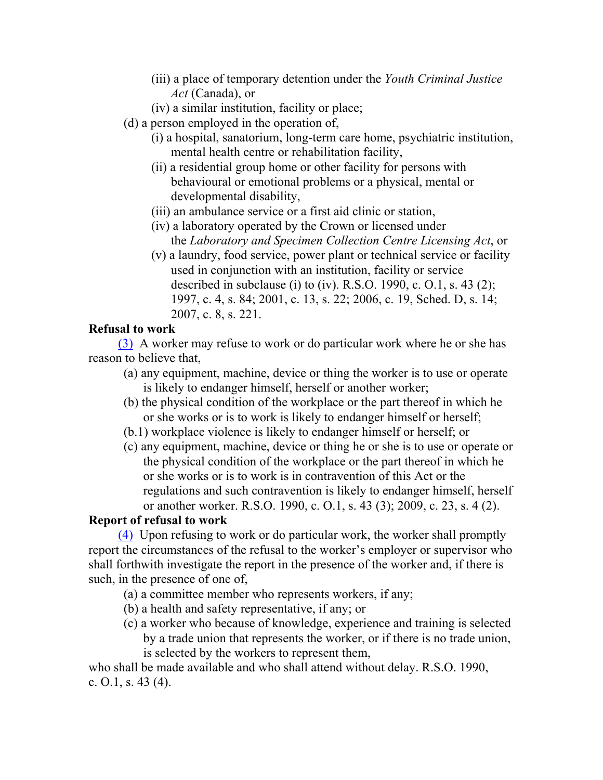- (iii) a place of temporary detention under the *Youth Criminal Justice Act* (Canada), or
- (iv) a similar institution, facility or place;
- (d) a person employed in the operation of,
	- (i) a hospital, sanatorium, long-term care home, psychiatric institution, mental health centre or rehabilitation facility,
	- (ii) a residential group home or other facility for persons with behavioural or emotional problems or a physical, mental or developmental disability,
	- (iii) an ambulance service or a first aid clinic or station,
	- (iv) a laboratory operated by the Crown or licensed under the *Laboratory and Specimen Collection Centre Licensing Act*, or
	- (v) a laundry, food service, power plant or technical service or facility used in conjunction with an institution, facility or service described in subclause (i) to (iv). R.S.O. 1990, c. O.1, s. 43 (2); 1997, c. 4, s. 84; 2001, c. 13, s. 22; 2006, c. 19, Sched. D, s. 14; 2007, c. 8, s. 221.

## **Refusal to work**

(3) A worker may refuse to work or do particular work where he or she has reason to believe that,

- (a) any equipment, machine, device or thing the worker is to use or operate is likely to endanger himself, herself or another worker;
- (b) the physical condition of the workplace or the part thereof in which he or she works or is to work is likely to endanger himself or herself;
- (b.1) workplace violence is likely to endanger himself or herself; or
- (c) any equipment, machine, device or thing he or she is to use or operate or the physical condition of the workplace or the part thereof in which he or she works or is to work is in contravention of this Act or the regulations and such contravention is likely to endanger himself, herself or another worker. R.S.O. 1990, c. O.1, s. 43 (3); 2009, c. 23, s. 4 (2).

## **Report of refusal to work**

(4) Upon refusing to work or do particular work, the worker shall promptly report the circumstances of the refusal to the worker's employer or supervisor who shall forthwith investigate the report in the presence of the worker and, if there is such, in the presence of one of,

- (a) a committee member who represents workers, if any;
- (b) a health and safety representative, if any; or
- (c) a worker who because of knowledge, experience and training is selected by a trade union that represents the worker, or if there is no trade union, is selected by the workers to represent them,

who shall be made available and who shall attend without delay. R.S.O. 1990, c. O.1, s. 43 (4).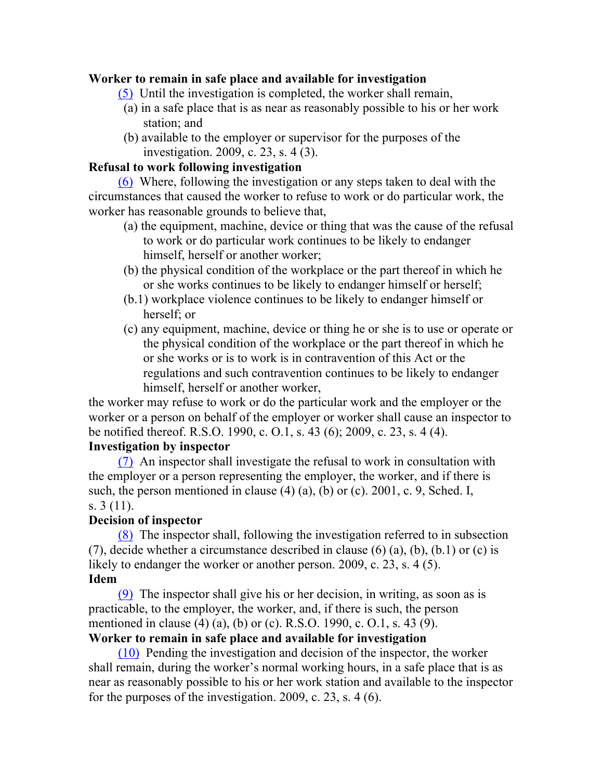#### **Worker to remain in safe place and available for investigation**

- (5) Until the investigation is completed, the worker shall remain,
- (a) in a safe place that is as near as reasonably possible to his or her work station; and
- (b) available to the employer or supervisor for the purposes of the investigation. 2009, c. 23, s. 4 (3).

#### **Refusal to work following investigation**

(6) Where, following the investigation or any steps taken to deal with the circumstances that caused the worker to refuse to work or do particular work, the worker has reasonable grounds to believe that,

- (a) the equipment, machine, device or thing that was the cause of the refusal to work or do particular work continues to be likely to endanger himself, herself or another worker;
- (b) the physical condition of the workplace or the part thereof in which he or she works continues to be likely to endanger himself or herself;
- (b.1) workplace violence continues to be likely to endanger himself or herself; or
- (c) any equipment, machine, device or thing he or she is to use or operate or the physical condition of the workplace or the part thereof in which he or she works or is to work is in contravention of this Act or the regulations and such contravention continues to be likely to endanger himself, herself or another worker,

the worker may refuse to work or do the particular work and the employer or the worker or a person on behalf of the employer or worker shall cause an inspector to be notified thereof. R.S.O. 1990, c. O.1, s. 43 (6); 2009, c. 23, s. 4 (4).

#### **Investigation by inspector**

(7) An inspector shall investigate the refusal to work in consultation with the employer or a person representing the employer, the worker, and if there is such, the person mentioned in clause  $(4)$   $(a)$ ,  $(b)$  or  $(c)$ . 2001, c. 9, Sched. I, s. 3 (11).

#### **Decision of inspector**

(8) The inspector shall, following the investigation referred to in subsection (7), decide whether a circumstance described in clause  $(6)$   $(a)$ ,  $(b)$ ,  $(b)$ ,  $(b)$  or  $(c)$  is likely to endanger the worker or another person. 2009, c. 23, s. 4 (5). **Idem**

(9) The inspector shall give his or her decision, in writing, as soon as is practicable, to the employer, the worker, and, if there is such, the person mentioned in clause (4) (a), (b) or (c). R.S.O. 1990, c. O.1, s. 43 (9).

## **Worker to remain in safe place and available for investigation**

(10) Pending the investigation and decision of the inspector, the worker shall remain, during the worker's normal working hours, in a safe place that is as near as reasonably possible to his or her work station and available to the inspector for the purposes of the investigation. 2009, c. 23, s. 4 (6).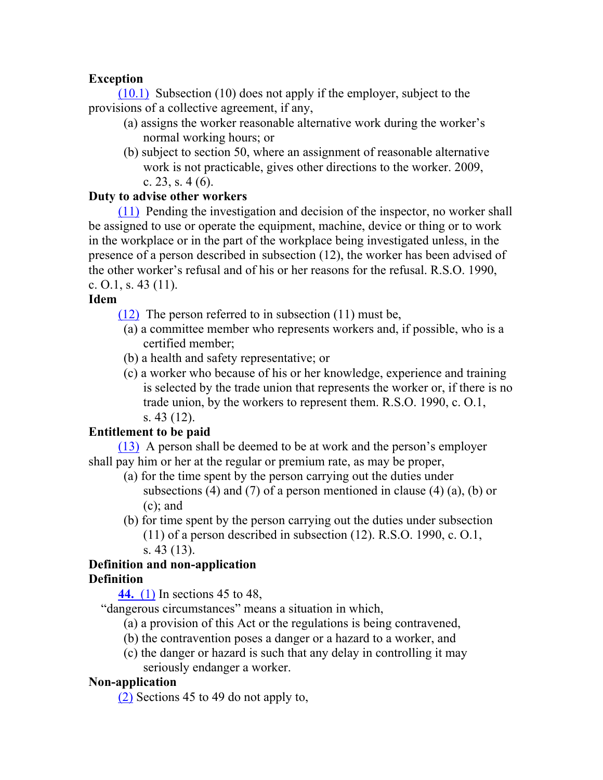## **Exception**

(10.1) Subsection (10) does not apply if the employer, subject to the provisions of a collective agreement, if any,

- (a) assigns the worker reasonable alternative work during the worker's normal working hours; or
- (b) subject to section 50, where an assignment of reasonable alternative work is not practicable, gives other directions to the worker. 2009, c. 23, s.  $4(6)$ .

## **Duty to advise other workers**

(11) Pending the investigation and decision of the inspector, no worker shall be assigned to use or operate the equipment, machine, device or thing or to work in the workplace or in the part of the workplace being investigated unless, in the presence of a person described in subsection (12), the worker has been advised of the other worker's refusal and of his or her reasons for the refusal. R.S.O. 1990, c.  $0.1$ , s.  $43(11)$ .

## **Idem**

(12) The person referred to in subsection (11) must be,

- (a) a committee member who represents workers and, if possible, who is a certified member;
- (b) a health and safety representative; or
- (c) a worker who because of his or her knowledge, experience and training is selected by the trade union that represents the worker or, if there is no trade union, by the workers to represent them. R.S.O. 1990, c. O.1, s. 43 (12).

## **Entitlement to be paid**

(13) A person shall be deemed to be at work and the person's employer shall pay him or her at the regular or premium rate, as may be proper,

- (a) for the time spent by the person carrying out the duties under subsections (4) and (7) of a person mentioned in clause (4) (a), (b) or (c); and
- (b) for time spent by the person carrying out the duties under subsection (11) of a person described in subsection (12). R.S.O. 1990, c. O.1, s. 43 (13).

## **Definition and non-application Definition**

**44.** (1) In sections 45 to 48,

"dangerous circumstances" means a situation in which,

- (a) a provision of this Act or the regulations is being contravened,
- (b) the contravention poses a danger or a hazard to a worker, and
- (c) the danger or hazard is such that any delay in controlling it may seriously endanger a worker.

## **Non-application**

(2) Sections 45 to 49 do not apply to,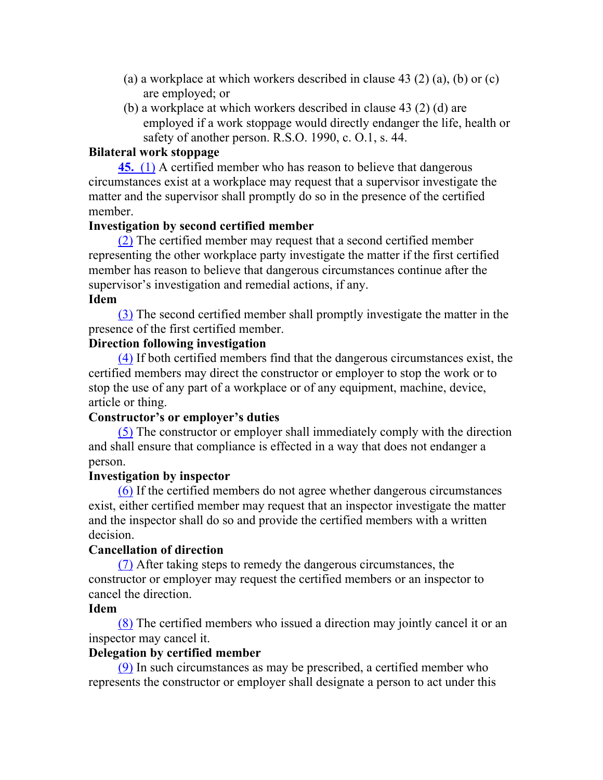- (a) a workplace at which workers described in clause 43 (2) (a), (b) or (c) are employed; or
- (b) a workplace at which workers described in clause 43 (2) (d) are employed if a work stoppage would directly endanger the life, health or safety of another person. R.S.O. 1990, c. O.1, s. 44.

#### **Bilateral work stoppage**

**45.** (1) A certified member who has reason to believe that dangerous circumstances exist at a workplace may request that a supervisor investigate the matter and the supervisor shall promptly do so in the presence of the certified member.

#### **Investigation by second certified member**

(2) The certified member may request that a second certified member representing the other workplace party investigate the matter if the first certified member has reason to believe that dangerous circumstances continue after the supervisor's investigation and remedial actions, if any.

#### **Idem**

(3) The second certified member shall promptly investigate the matter in the presence of the first certified member.

#### **Direction following investigation**

(4) If both certified members find that the dangerous circumstances exist, the certified members may direct the constructor or employer to stop the work or to stop the use of any part of a workplace or of any equipment, machine, device, article or thing.

#### **Constructor's or employer's duties**

(5) The constructor or employer shall immediately comply with the direction and shall ensure that compliance is effected in a way that does not endanger a person.

#### **Investigation by inspector**

(6) If the certified members do not agree whether dangerous circumstances exist, either certified member may request that an inspector investigate the matter and the inspector shall do so and provide the certified members with a written decision.

#### **Cancellation of direction**

(7) After taking steps to remedy the dangerous circumstances, the constructor or employer may request the certified members or an inspector to cancel the direction.

## **Idem**

(8) The certified members who issued a direction may jointly cancel it or an inspector may cancel it.

#### **Delegation by certified member**

(9) In such circumstances as may be prescribed, a certified member who represents the constructor or employer shall designate a person to act under this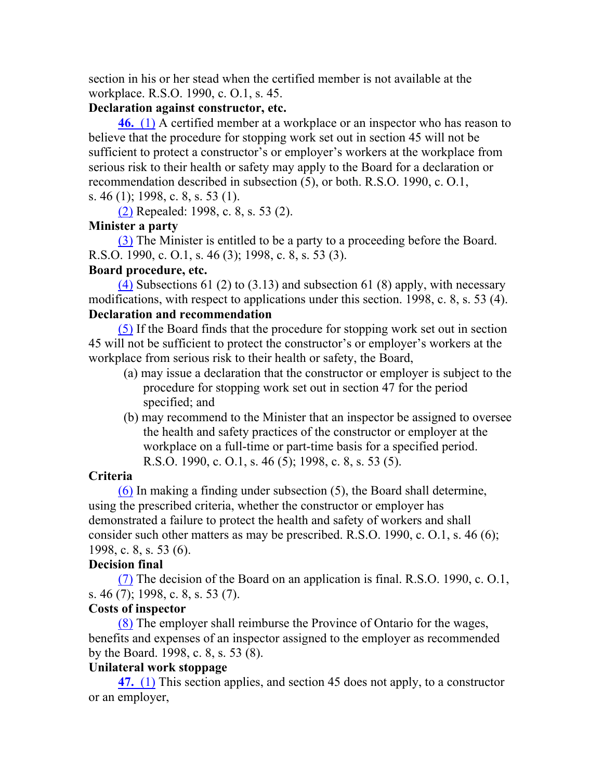section in his or her stead when the certified member is not available at the workplace. R.S.O. 1990, c. O.1, s. 45.

#### **Declaration against constructor, etc.**

**46.** (1) A certified member at a workplace or an inspector who has reason to believe that the procedure for stopping work set out in section 45 will not be sufficient to protect a constructor's or employer's workers at the workplace from serious risk to their health or safety may apply to the Board for a declaration or recommendation described in subsection (5), or both. R.S.O. 1990, c. O.1, s. 46 (1); 1998, c. 8, s. 53 (1).

(2) Repealed: 1998, c. 8, s. 53 (2).

#### **Minister a party**

(3) The Minister is entitled to be a party to a proceeding before the Board. R.S.O. 1990, c. O.1, s. 46 (3); 1998, c. 8, s. 53 (3).

#### **Board procedure, etc.**

(4) Subsections 61 (2) to (3.13) and subsection 61 (8) apply, with necessary modifications, with respect to applications under this section. 1998, c. 8, s. 53 (4). **Declaration and recommendation**

(5) If the Board finds that the procedure for stopping work set out in section 45 will not be sufficient to protect the constructor's or employer's workers at the workplace from serious risk to their health or safety, the Board,

- (a) may issue a declaration that the constructor or employer is subject to the procedure for stopping work set out in section 47 for the period specified; and
- (b) may recommend to the Minister that an inspector be assigned to oversee the health and safety practices of the constructor or employer at the workplace on a full-time or part-time basis for a specified period. R.S.O. 1990, c. O.1, s. 46 (5); 1998, c. 8, s. 53 (5).

#### **Criteria**

(6) In making a finding under subsection (5), the Board shall determine, using the prescribed criteria, whether the constructor or employer has demonstrated a failure to protect the health and safety of workers and shall consider such other matters as may be prescribed. R.S.O. 1990, c. O.1, s. 46 (6); 1998, c. 8, s. 53 (6).

## **Decision final**

(7) The decision of the Board on an application is final. R.S.O. 1990, c. O.1, s. 46 (7); 1998, c. 8, s. 53 (7).

#### **Costs of inspector**

(8) The employer shall reimburse the Province of Ontario for the wages, benefits and expenses of an inspector assigned to the employer as recommended by the Board. 1998, c. 8, s. 53 (8).

#### **Unilateral work stoppage**

**47.** (1) This section applies, and section 45 does not apply, to a constructor or an employer,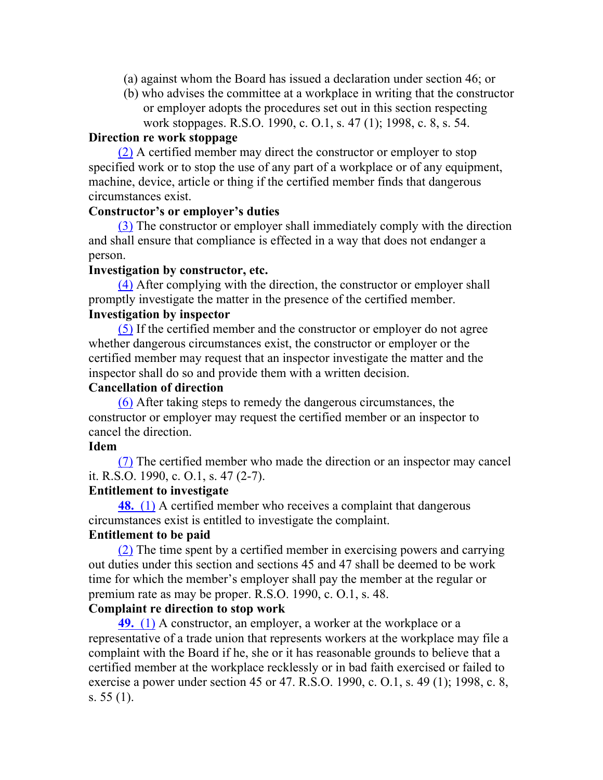- (a) against whom the Board has issued a declaration under section 46; or
- (b) who advises the committee at a workplace in writing that the constructor or employer adopts the procedures set out in this section respecting work stoppages. R.S.O. 1990, c. O.1, s. 47 (1); 1998, c. 8, s. 54.

#### **Direction re work stoppage**

(2) A certified member may direct the constructor or employer to stop specified work or to stop the use of any part of a workplace or of any equipment, machine, device, article or thing if the certified member finds that dangerous circumstances exist.

#### **Constructor's or employer's duties**

(3) The constructor or employer shall immediately comply with the direction and shall ensure that compliance is effected in a way that does not endanger a person.

#### **Investigation by constructor, etc.**

(4) After complying with the direction, the constructor or employer shall promptly investigate the matter in the presence of the certified member.

## **Investigation by inspector**

(5) If the certified member and the constructor or employer do not agree whether dangerous circumstances exist, the constructor or employer or the certified member may request that an inspector investigate the matter and the inspector shall do so and provide them with a written decision.

#### **Cancellation of direction**

(6) After taking steps to remedy the dangerous circumstances, the constructor or employer may request the certified member or an inspector to cancel the direction.

#### **Idem**

(7) The certified member who made the direction or an inspector may cancel it. R.S.O. 1990, c. O.1, s. 47 (2-7).

#### **Entitlement to investigate**

**48.** (1) A certified member who receives a complaint that dangerous circumstances exist is entitled to investigate the complaint.

#### **Entitlement to be paid**

(2) The time spent by a certified member in exercising powers and carrying out duties under this section and sections 45 and 47 shall be deemed to be work time for which the member's employer shall pay the member at the regular or premium rate as may be proper. R.S.O. 1990, c. O.1, s. 48.

#### **Complaint re direction to stop work**

**49.** (1) A constructor, an employer, a worker at the workplace or a representative of a trade union that represents workers at the workplace may file a complaint with the Board if he, she or it has reasonable grounds to believe that a certified member at the workplace recklessly or in bad faith exercised or failed to exercise a power under section 45 or 47. R.S.O. 1990, c. O.1, s. 49 (1); 1998, c. 8, s. 55 (1).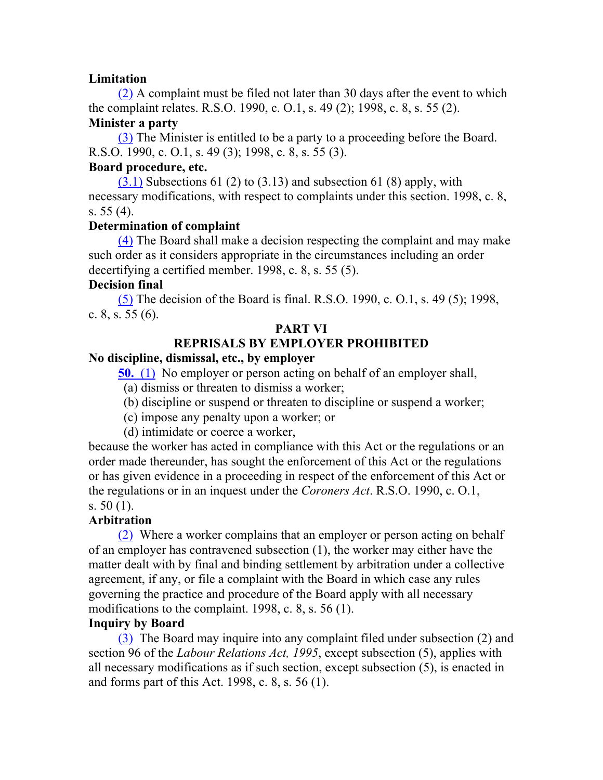## **Limitation**

(2) A complaint must be filed not later than 30 days after the event to which the complaint relates. R.S.O. 1990, c. O.1, s. 49 (2); 1998, c. 8, s. 55 (2).

## **Minister a party**

(3) The Minister is entitled to be a party to a proceeding before the Board. R.S.O. 1990, c. O.1, s. 49 (3); 1998, c. 8, s. 55 (3).

## **Board procedure, etc.**

 $(3.1)$  Subsections 61 (2) to (3.13) and subsection 61 (8) apply, with necessary modifications, with respect to complaints under this section. 1998, c. 8, s. 55 (4).

## **Determination of complaint**

(4) The Board shall make a decision respecting the complaint and may make such order as it considers appropriate in the circumstances including an order decertifying a certified member. 1998, c. 8, s. 55 (5).

## **Decision final**

(5) The decision of the Board is final. R.S.O. 1990, c. O.1, s. 49 (5); 1998, c. 8, s. 55 (6).

## **PART VI**

## **REPRISALS BY EMPLOYER PROHIBITED**

## **No discipline, dismissal, etc., by employer**

**50.** (1) No employer or person acting on behalf of an employer shall,

(a) dismiss or threaten to dismiss a worker;

- (b) discipline or suspend or threaten to discipline or suspend a worker;
- (c) impose any penalty upon a worker; or
- (d) intimidate or coerce a worker,

because the worker has acted in compliance with this Act or the regulations or an order made thereunder, has sought the enforcement of this Act or the regulations or has given evidence in a proceeding in respect of the enforcement of this Act or the regulations or in an inquest under the *Coroners Act*. R.S.O. 1990, c. O.1, s. 50 (1).

## **Arbitration**

(2) Where a worker complains that an employer or person acting on behalf of an employer has contravened subsection (1), the worker may either have the matter dealt with by final and binding settlement by arbitration under a collective agreement, if any, or file a complaint with the Board in which case any rules governing the practice and procedure of the Board apply with all necessary modifications to the complaint. 1998, c. 8, s. 56 (1).

## **Inquiry by Board**

(3) The Board may inquire into any complaint filed under subsection (2) and section 96 of the *Labour Relations Act, 1995*, except subsection (5), applies with all necessary modifications as if such section, except subsection (5), is enacted in and forms part of this Act. 1998, c. 8, s. 56 (1).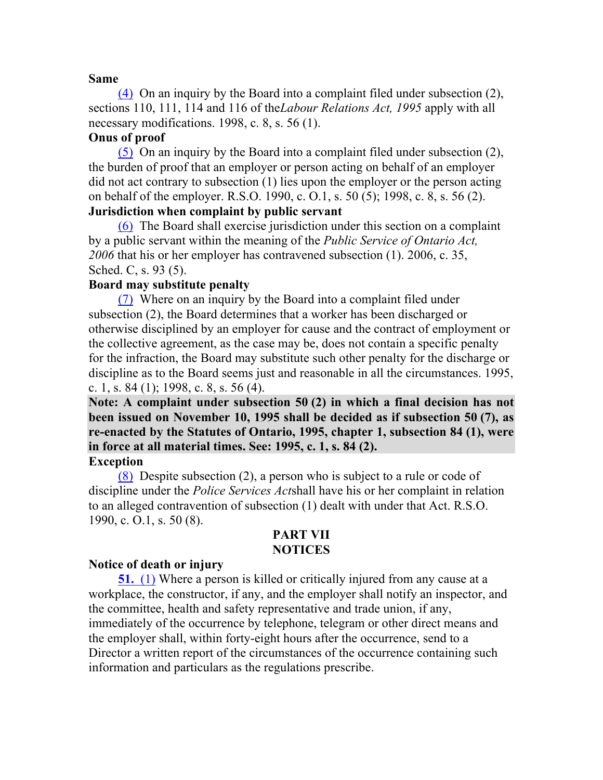#### **Same**

(4) On an inquiry by the Board into a complaint filed under subsection (2), sections 110, 111, 114 and 116 of the*Labour Relations Act, 1995* apply with all necessary modifications. 1998, c. 8, s. 56 (1).

## **Onus of proof**

(5) On an inquiry by the Board into a complaint filed under subsection (2), the burden of proof that an employer or person acting on behalf of an employer did not act contrary to subsection (1) lies upon the employer or the person acting on behalf of the employer. R.S.O. 1990, c. O.1, s. 50 (5); 1998, c. 8, s. 56 (2). **Jurisdiction when complaint by public servant**

(6) The Board shall exercise jurisdiction under this section on a complaint by a public servant within the meaning of the *Public Service of Ontario Act, 2006* that his or her employer has contravened subsection (1). 2006, c. 35, Sched. C, s. 93 (5).

#### **Board may substitute penalty**

(7) Where on an inquiry by the Board into a complaint filed under subsection (2), the Board determines that a worker has been discharged or otherwise disciplined by an employer for cause and the contract of employment or the collective agreement, as the case may be, does not contain a specific penalty for the infraction, the Board may substitute such other penalty for the discharge or discipline as to the Board seems just and reasonable in all the circumstances. 1995, c. 1, s. 84 (1); 1998, c. 8, s. 56 (4).

**Note: A complaint under subsection 50 (2) in which a final decision has not been issued on November 10, 1995 shall be decided as if subsection 50 (7), as re-enacted by the Statutes of Ontario, 1995, chapter 1, subsection 84 (1), were in force at all material times. See: 1995, c. 1, s. 84 (2).**

#### **Exception**

(8) Despite subsection (2), a person who is subject to a rule or code of discipline under the *Police Services Act*shall have his or her complaint in relation to an alleged contravention of subsection (1) dealt with under that Act. R.S.O. 1990, c. O.1, s. 50 (8).

#### **PART VII NOTICES**

#### **Notice of death or injury**

**51.** (1) Where a person is killed or critically injured from any cause at a workplace, the constructor, if any, and the employer shall notify an inspector, and the committee, health and safety representative and trade union, if any, immediately of the occurrence by telephone, telegram or other direct means and the employer shall, within forty-eight hours after the occurrence, send to a Director a written report of the circumstances of the occurrence containing such information and particulars as the regulations prescribe.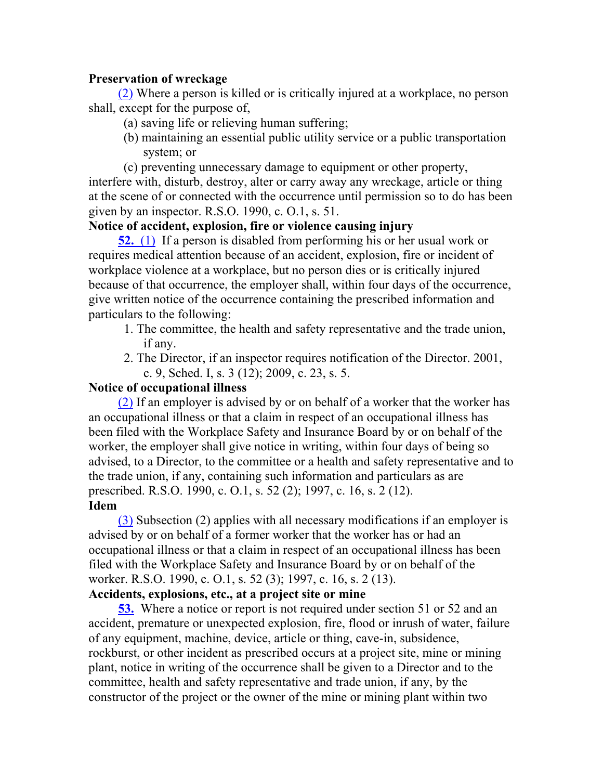## **Preservation of wreckage**

(2) Where a person is killed or is critically injured at a workplace, no person shall, except for the purpose of,

- (a) saving life or relieving human suffering;
- (b) maintaining an essential public utility service or a public transportation system; or

(c) preventing unnecessary damage to equipment or other property, interfere with, disturb, destroy, alter or carry away any wreckage, article or thing at the scene of or connected with the occurrence until permission so to do has been given by an inspector. R.S.O. 1990, c. O.1, s. 51.

## **Notice of accident, explosion, fire or violence causing injury**

**52.** (1) If a person is disabled from performing his or her usual work or requires medical attention because of an accident, explosion, fire or incident of workplace violence at a workplace, but no person dies or is critically injured because of that occurrence, the employer shall, within four days of the occurrence, give written notice of the occurrence containing the prescribed information and particulars to the following:

- 1. The committee, the health and safety representative and the trade union, if any.
- 2. The Director, if an inspector requires notification of the Director. 2001, c. 9, Sched. I, s. 3 (12); 2009, c. 23, s. 5.

## **Notice of occupational illness**

(2) If an employer is advised by or on behalf of a worker that the worker has an occupational illness or that a claim in respect of an occupational illness has been filed with the Workplace Safety and Insurance Board by or on behalf of the worker, the employer shall give notice in writing, within four days of being so advised, to a Director, to the committee or a health and safety representative and to the trade union, if any, containing such information and particulars as are prescribed. R.S.O. 1990, c. O.1, s. 52 (2); 1997, c. 16, s. 2 (12). **Idem**

(3) Subsection (2) applies with all necessary modifications if an employer is advised by or on behalf of a former worker that the worker has or had an occupational illness or that a claim in respect of an occupational illness has been filed with the Workplace Safety and Insurance Board by or on behalf of the worker. R.S.O. 1990, c. O.1, s. 52 (3); 1997, c. 16, s. 2 (13).

## **Accidents, explosions, etc., at a project site or mine**

**53.** Where a notice or report is not required under section 51 or 52 and an accident, premature or unexpected explosion, fire, flood or inrush of water, failure of any equipment, machine, device, article or thing, cave-in, subsidence, rockburst, or other incident as prescribed occurs at a project site, mine or mining plant, notice in writing of the occurrence shall be given to a Director and to the committee, health and safety representative and trade union, if any, by the constructor of the project or the owner of the mine or mining plant within two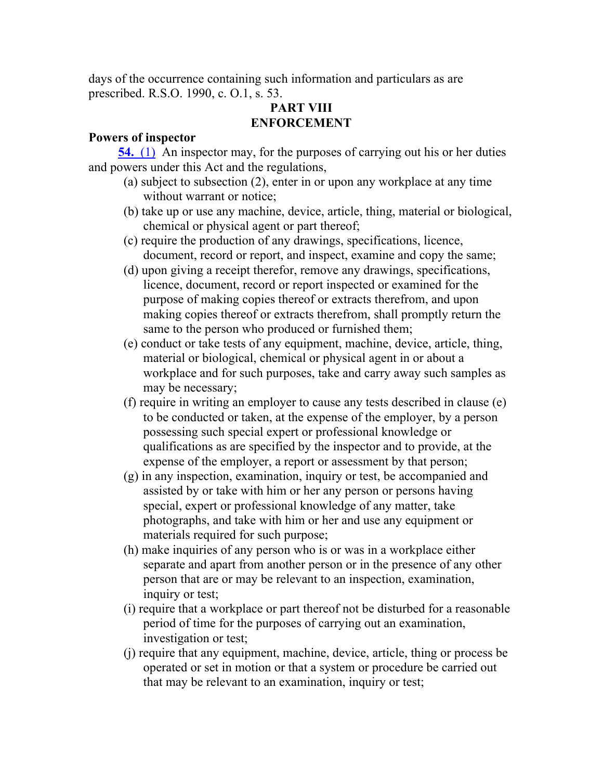days of the occurrence containing such information and particulars as are prescribed. R.S.O. 1990, c. O.1, s. 53.

## **PART VIII ENFORCEMENT**

## **Powers of inspector**

**54.** (1) An inspector may, for the purposes of carrying out his or her duties and powers under this Act and the regulations,

- (a) subject to subsection (2), enter in or upon any workplace at any time without warrant or notice;
- (b) take up or use any machine, device, article, thing, material or biological, chemical or physical agent or part thereof;
- (c) require the production of any drawings, specifications, licence, document, record or report, and inspect, examine and copy the same;
- (d) upon giving a receipt therefor, remove any drawings, specifications, licence, document, record or report inspected or examined for the purpose of making copies thereof or extracts therefrom, and upon making copies thereof or extracts therefrom, shall promptly return the same to the person who produced or furnished them;
- (e) conduct or take tests of any equipment, machine, device, article, thing, material or biological, chemical or physical agent in or about a workplace and for such purposes, take and carry away such samples as may be necessary;
- (f) require in writing an employer to cause any tests described in clause (e) to be conducted or taken, at the expense of the employer, by a person possessing such special expert or professional knowledge or qualifications as are specified by the inspector and to provide, at the expense of the employer, a report or assessment by that person;
- (g) in any inspection, examination, inquiry or test, be accompanied and assisted by or take with him or her any person or persons having special, expert or professional knowledge of any matter, take photographs, and take with him or her and use any equipment or materials required for such purpose;
- (h) make inquiries of any person who is or was in a workplace either separate and apart from another person or in the presence of any other person that are or may be relevant to an inspection, examination, inquiry or test;
- (i) require that a workplace or part thereof not be disturbed for a reasonable period of time for the purposes of carrying out an examination, investigation or test;
- (j) require that any equipment, machine, device, article, thing or process be operated or set in motion or that a system or procedure be carried out that may be relevant to an examination, inquiry or test;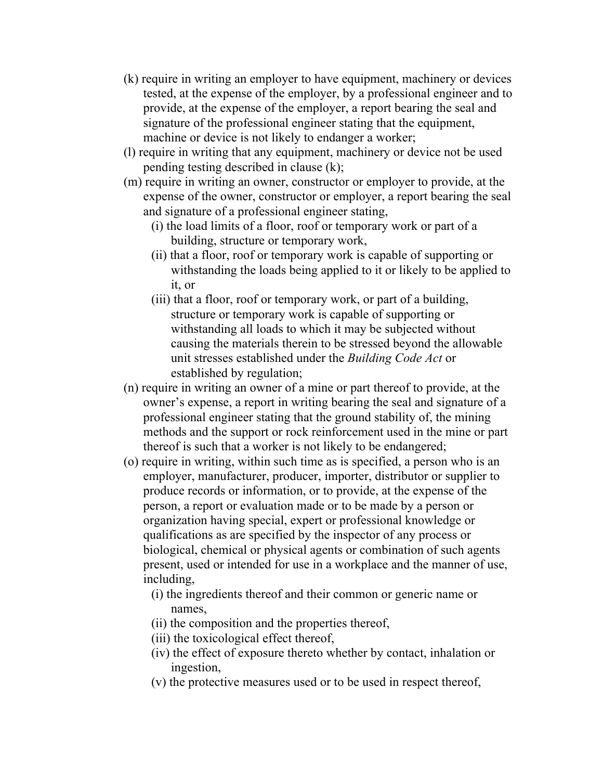- (k) require in writing an employer to have equipment, machinery or devices tested, at the expense of the employer, by a professional engineer and to provide, at the expense of the employer, a report bearing the seal and signature of the professional engineer stating that the equipment, machine or device is not likely to endanger a worker;
- (l) require in writing that any equipment, machinery or device not be used pending testing described in clause (k);
- (m) require in writing an owner, constructor or employer to provide, at the expense of the owner, constructor or employer, a report bearing the seal and signature of a professional engineer stating,
	- (i) the load limits of a floor, roof or temporary work or part of a building, structure or temporary work,
	- (ii) that a floor, roof or temporary work is capable of supporting or withstanding the loads being applied to it or likely to be applied to it, or
	- (iii) that a floor, roof or temporary work, or part of a building, structure or temporary work is capable of supporting or withstanding all loads to which it may be subjected without causing the materials therein to be stressed beyond the allowable unit stresses established under the *Building Code Act* or established by regulation;
- (n) require in writing an owner of a mine or part thereof to provide, at the owner's expense, a report in writing bearing the seal and signature of a professional engineer stating that the ground stability of, the mining methods and the support or rock reinforcement used in the mine or part thereof is such that a worker is not likely to be endangered;
- (o) require in writing, within such time as is specified, a person who is an employer, manufacturer, producer, importer, distributor or supplier to produce records or information, or to provide, at the expense of the person, a report or evaluation made or to be made by a person or organization having special, expert or professional knowledge or qualifications as are specified by the inspector of any process or biological, chemical or physical agents or combination of such agents present, used or intended for use in a workplace and the manner of use, including,
	- (i) the ingredients thereof and their common or generic name or names,
	- (ii) the composition and the properties thereof,
	- (iii) the toxicological effect thereof,
	- (iv) the effect of exposure thereto whether by contact, inhalation or ingestion,
	- (v) the protective measures used or to be used in respect thereof,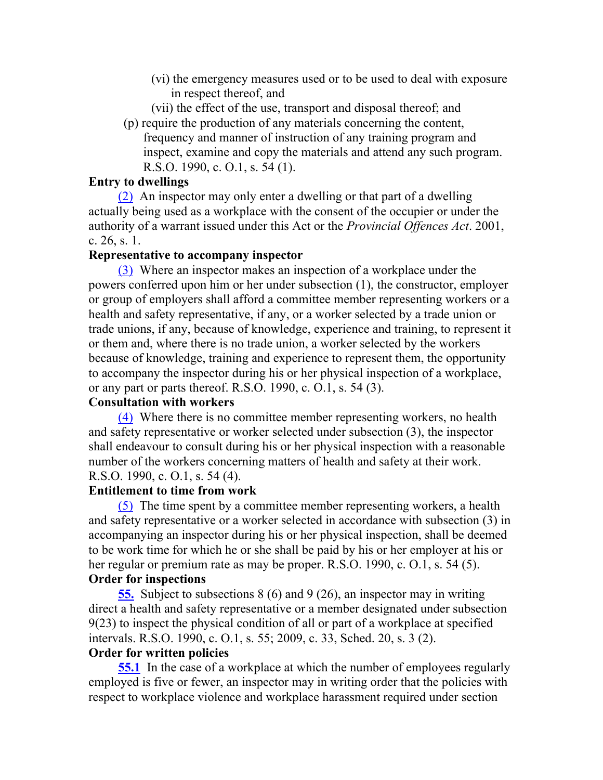- (vi) the emergency measures used or to be used to deal with exposure in respect thereof, and
- (vii) the effect of the use, transport and disposal thereof; and
- (p) require the production of any materials concerning the content, frequency and manner of instruction of any training program and inspect, examine and copy the materials and attend any such program. R.S.O. 1990, c. O.1, s. 54 (1).

## **Entry to dwellings**

(2) An inspector may only enter a dwelling or that part of a dwelling actually being used as a workplace with the consent of the occupier or under the authority of a warrant issued under this Act or the *Provincial Offences Act*. 2001, c. 26, s. 1.

#### **Representative to accompany inspector**

(3) Where an inspector makes an inspection of a workplace under the powers conferred upon him or her under subsection (1), the constructor, employer or group of employers shall afford a committee member representing workers or a health and safety representative, if any, or a worker selected by a trade union or trade unions, if any, because of knowledge, experience and training, to represent it or them and, where there is no trade union, a worker selected by the workers because of knowledge, training and experience to represent them, the opportunity to accompany the inspector during his or her physical inspection of a workplace, or any part or parts thereof. R.S.O. 1990, c. O.1, s. 54 (3).

## **Consultation with workers**

(4) Where there is no committee member representing workers, no health and safety representative or worker selected under subsection (3), the inspector shall endeavour to consult during his or her physical inspection with a reasonable number of the workers concerning matters of health and safety at their work. R.S.O. 1990, c. O.1, s. 54 (4).

#### **Entitlement to time from work**

(5) The time spent by a committee member representing workers, a health and safety representative or a worker selected in accordance with subsection (3) in accompanying an inspector during his or her physical inspection, shall be deemed to be work time for which he or she shall be paid by his or her employer at his or her regular or premium rate as may be proper. R.S.O. 1990, c. O.1, s. 54 (5).

#### **Order for inspections**

**55.** Subject to subsections 8 (6) and 9 (26), an inspector may in writing direct a health and safety representative or a member designated under subsection 9(23) to inspect the physical condition of all or part of a workplace at specified intervals. R.S.O. 1990, c. O.1, s. 55; 2009, c. 33, Sched. 20, s. 3 (2).

#### **Order for written policies**

**55.1** In the case of a workplace at which the number of employees regularly employed is five or fewer, an inspector may in writing order that the policies with respect to workplace violence and workplace harassment required under section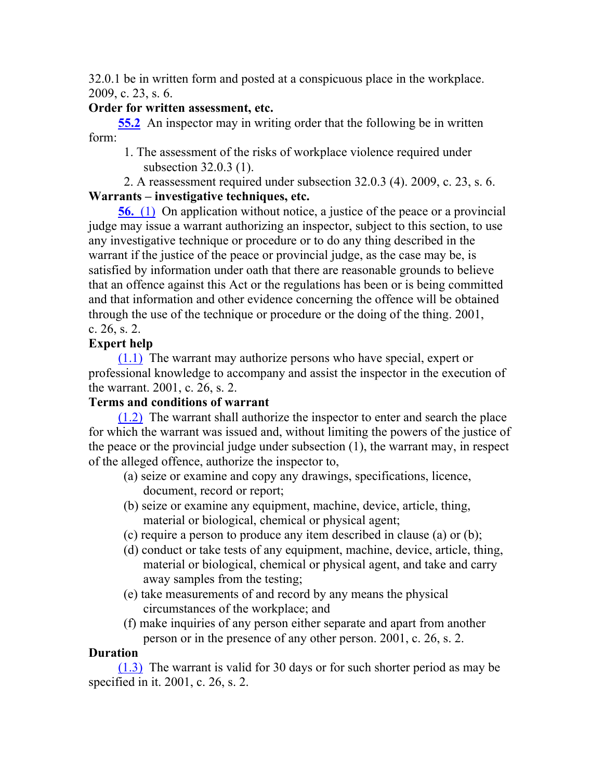32.0.1 be in written form and posted at a conspicuous place in the workplace. 2009, c. 23, s. 6.

## **Order for written assessment, etc.**

**55.2** An inspector may in writing order that the following be in written form:

1. The assessment of the risks of workplace violence required under subsection 32.0.3 (1).

2. A reassessment required under subsection 32.0.3 (4). 2009, c. 23, s. 6. **Warrants – investigative techniques, etc.**

**56.** (1) On application without notice, a justice of the peace or a provincial judge may issue a warrant authorizing an inspector, subject to this section, to use any investigative technique or procedure or to do any thing described in the warrant if the justice of the peace or provincial judge, as the case may be, is satisfied by information under oath that there are reasonable grounds to believe that an offence against this Act or the regulations has been or is being committed and that information and other evidence concerning the offence will be obtained through the use of the technique or procedure or the doing of the thing. 2001, c. 26, s. 2.

## **Expert help**

(1.1) The warrant may authorize persons who have special, expert or professional knowledge to accompany and assist the inspector in the execution of the warrant. 2001, c. 26, s. 2.

## **Terms and conditions of warrant**

(1.2) The warrant shall authorize the inspector to enter and search the place for which the warrant was issued and, without limiting the powers of the justice of the peace or the provincial judge under subsection (1), the warrant may, in respect of the alleged offence, authorize the inspector to,

- (a) seize or examine and copy any drawings, specifications, licence, document, record or report;
- (b) seize or examine any equipment, machine, device, article, thing, material or biological, chemical or physical agent;
- (c) require a person to produce any item described in clause (a) or (b);
- (d) conduct or take tests of any equipment, machine, device, article, thing, material or biological, chemical or physical agent, and take and carry away samples from the testing;
- (e) take measurements of and record by any means the physical circumstances of the workplace; and
- (f) make inquiries of any person either separate and apart from another person or in the presence of any other person. 2001, c. 26, s. 2.

## **Duration**

(1.3) The warrant is valid for 30 days or for such shorter period as may be specified in it. 2001, c. 26, s. 2.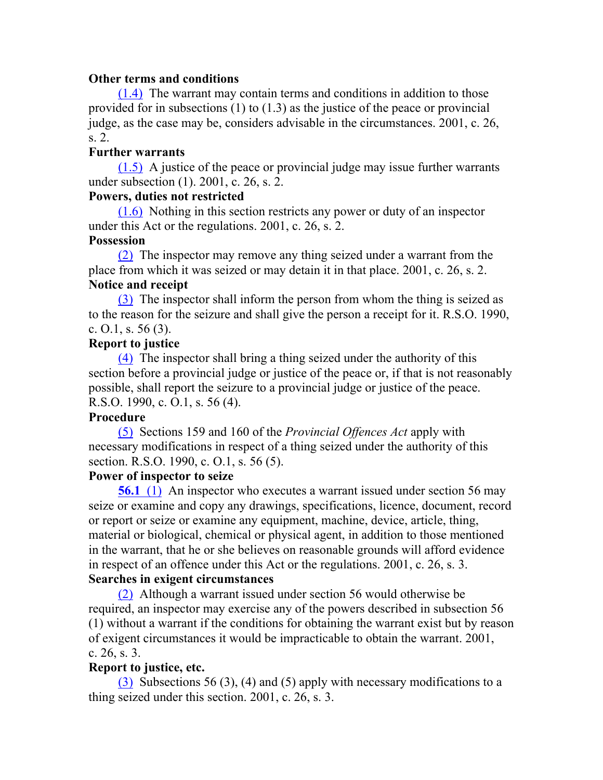#### **Other terms and conditions**

(1.4) The warrant may contain terms and conditions in addition to those provided for in subsections (1) to (1.3) as the justice of the peace or provincial judge, as the case may be, considers advisable in the circumstances. 2001, c. 26, s. 2.

## **Further warrants**

(1.5) A justice of the peace or provincial judge may issue further warrants under subsection (1). 2001, c. 26, s. 2.

## **Powers, duties not restricted**

(1.6) Nothing in this section restricts any power or duty of an inspector under this Act or the regulations. 2001, c. 26, s. 2.

#### **Possession**

(2) The inspector may remove any thing seized under a warrant from the place from which it was seized or may detain it in that place. 2001, c. 26, s. 2. **Notice and receipt**

(3) The inspector shall inform the person from whom the thing is seized as to the reason for the seizure and shall give the person a receipt for it. R.S.O. 1990, c. O.1, s.  $56(3)$ .

## **Report to justice**

(4) The inspector shall bring a thing seized under the authority of this section before a provincial judge or justice of the peace or, if that is not reasonably possible, shall report the seizure to a provincial judge or justice of the peace. R.S.O. 1990, c. O.1, s. 56 (4).

#### **Procedure**

(5) Sections 159 and 160 of the *Provincial Offences Act* apply with necessary modifications in respect of a thing seized under the authority of this section. R.S.O. 1990, c. O.1, s. 56 (5).

#### **Power of inspector to seize**

**56.1** (1) An inspector who executes a warrant issued under section 56 may seize or examine and copy any drawings, specifications, licence, document, record or report or seize or examine any equipment, machine, device, article, thing, material or biological, chemical or physical agent, in addition to those mentioned in the warrant, that he or she believes on reasonable grounds will afford evidence in respect of an offence under this Act or the regulations. 2001, c. 26, s. 3.

## **Searches in exigent circumstances**

(2) Although a warrant issued under section 56 would otherwise be required, an inspector may exercise any of the powers described in subsection 56 (1) without a warrant if the conditions for obtaining the warrant exist but by reason of exigent circumstances it would be impracticable to obtain the warrant. 2001, c. 26, s. 3.

## **Report to justice, etc.**

(3) Subsections 56 (3), (4) and (5) apply with necessary modifications to a thing seized under this section. 2001, c. 26, s. 3.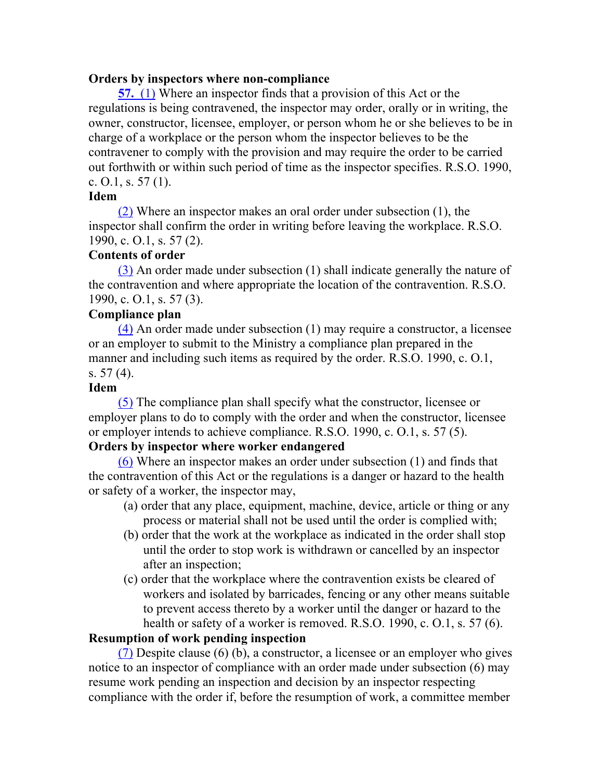#### **Orders by inspectors where non-compliance**

**57.** (1) Where an inspector finds that a provision of this Act or the regulations is being contravened, the inspector may order, orally or in writing, the owner, constructor, licensee, employer, or person whom he or she believes to be in charge of a workplace or the person whom the inspector believes to be the contravener to comply with the provision and may require the order to be carried out forthwith or within such period of time as the inspector specifies. R.S.O. 1990, c.  $0.1$ , s.  $57(1)$ .

#### **Idem**

(2) Where an inspector makes an oral order under subsection (1), the inspector shall confirm the order in writing before leaving the workplace. R.S.O. 1990, c. O.1, s. 57 (2).

#### **Contents of order**

(3) An order made under subsection (1) shall indicate generally the nature of the contravention and where appropriate the location of the contravention. R.S.O. 1990, c. O.1, s. 57 (3).

#### **Compliance plan**

(4) An order made under subsection (1) may require a constructor, a licensee or an employer to submit to the Ministry a compliance plan prepared in the manner and including such items as required by the order. R.S.O. 1990, c. O.1, s. 57 (4).

#### **Idem**

(5) The compliance plan shall specify what the constructor, licensee or employer plans to do to comply with the order and when the constructor, licensee or employer intends to achieve compliance. R.S.O. 1990, c. O.1, s. 57 (5).

#### **Orders by inspector where worker endangered**

(6) Where an inspector makes an order under subsection (1) and finds that the contravention of this Act or the regulations is a danger or hazard to the health or safety of a worker, the inspector may,

- (a) order that any place, equipment, machine, device, article or thing or any process or material shall not be used until the order is complied with;
- (b) order that the work at the workplace as indicated in the order shall stop until the order to stop work is withdrawn or cancelled by an inspector after an inspection;
- (c) order that the workplace where the contravention exists be cleared of workers and isolated by barricades, fencing or any other means suitable to prevent access thereto by a worker until the danger or hazard to the health or safety of a worker is removed. R.S.O. 1990, c. O.1, s. 57 (6).

#### **Resumption of work pending inspection**

(7) Despite clause (6) (b), a constructor, a licensee or an employer who gives notice to an inspector of compliance with an order made under subsection (6) may resume work pending an inspection and decision by an inspector respecting compliance with the order if, before the resumption of work, a committee member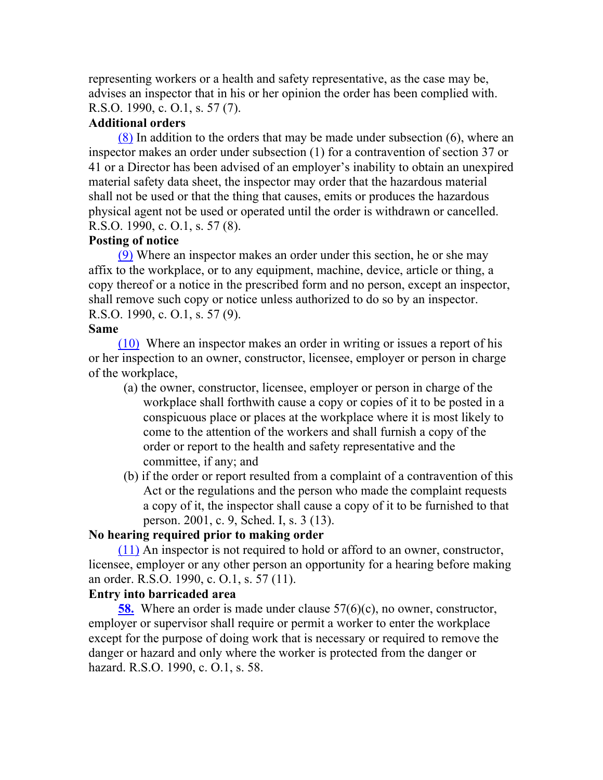representing workers or a health and safety representative, as the case may be, advises an inspector that in his or her opinion the order has been complied with. R.S.O. 1990, c. O.1, s. 57 (7).

## **Additional orders**

(8) In addition to the orders that may be made under subsection (6), where an inspector makes an order under subsection (1) for a contravention of section 37 or 41 or a Director has been advised of an employer's inability to obtain an unexpired material safety data sheet, the inspector may order that the hazardous material shall not be used or that the thing that causes, emits or produces the hazardous physical agent not be used or operated until the order is withdrawn or cancelled. R.S.O. 1990, c. O.1, s. 57 (8).

## **Posting of notice**

(9) Where an inspector makes an order under this section, he or she may affix to the workplace, or to any equipment, machine, device, article or thing, a copy thereof or a notice in the prescribed form and no person, except an inspector, shall remove such copy or notice unless authorized to do so by an inspector. R.S.O. 1990, c. O.1, s. 57 (9).

#### **Same**

(10) Where an inspector makes an order in writing or issues a report of his or her inspection to an owner, constructor, licensee, employer or person in charge of the workplace,

- (a) the owner, constructor, licensee, employer or person in charge of the workplace shall forthwith cause a copy or copies of it to be posted in a conspicuous place or places at the workplace where it is most likely to come to the attention of the workers and shall furnish a copy of the order or report to the health and safety representative and the committee, if any; and
- (b) if the order or report resulted from a complaint of a contravention of this Act or the regulations and the person who made the complaint requests a copy of it, the inspector shall cause a copy of it to be furnished to that person. 2001, c. 9, Sched. I, s. 3 (13).

#### **No hearing required prior to making order**

(11) An inspector is not required to hold or afford to an owner, constructor, licensee, employer or any other person an opportunity for a hearing before making an order. R.S.O. 1990, c. O.1, s. 57 (11).

#### **Entry into barricaded area**

**58.** Where an order is made under clause 57(6)(c), no owner, constructor, employer or supervisor shall require or permit a worker to enter the workplace except for the purpose of doing work that is necessary or required to remove the danger or hazard and only where the worker is protected from the danger or hazard. R.S.O. 1990, c. O.1, s. 58.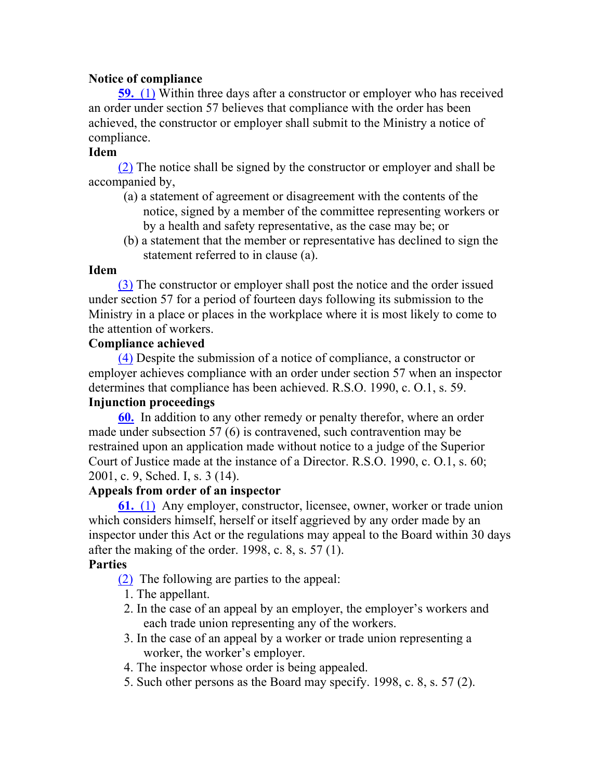## **Notice of compliance**

**59.** (1) Within three days after a constructor or employer who has received an order under section 57 believes that compliance with the order has been achieved, the constructor or employer shall submit to the Ministry a notice of compliance.

## **Idem**

(2) The notice shall be signed by the constructor or employer and shall be accompanied by,

- (a) a statement of agreement or disagreement with the contents of the notice, signed by a member of the committee representing workers or by a health and safety representative, as the case may be; or
- (b) a statement that the member or representative has declined to sign the statement referred to in clause (a).

#### **Idem**

(3) The constructor or employer shall post the notice and the order issued under section 57 for a period of fourteen days following its submission to the Ministry in a place or places in the workplace where it is most likely to come to the attention of workers.

#### **Compliance achieved**

(4) Despite the submission of a notice of compliance, a constructor or employer achieves compliance with an order under section 57 when an inspector determines that compliance has been achieved. R.S.O. 1990, c. O.1, s. 59.

# **Injunction proceedings**

**60.** In addition to any other remedy or penalty therefor, where an order made under subsection 57 (6) is contravened, such contravention may be restrained upon an application made without notice to a judge of the Superior Court of Justice made at the instance of a Director. R.S.O. 1990, c. O.1, s. 60; 2001, c. 9, Sched. I, s. 3 (14).

## **Appeals from order of an inspector**

**61.** (1) Any employer, constructor, licensee, owner, worker or trade union which considers himself, herself or itself aggrieved by any order made by an inspector under this Act or the regulations may appeal to the Board within 30 days after the making of the order. 1998, c.  $8$ , s.  $57(1)$ .

## **Parties**

- (2) The following are parties to the appeal:
- 1. The appellant.
- 2. In the case of an appeal by an employer, the employer's workers and each trade union representing any of the workers.
- 3. In the case of an appeal by a worker or trade union representing a worker, the worker's employer.
- 4. The inspector whose order is being appealed.
- 5. Such other persons as the Board may specify. 1998, c. 8, s. 57 (2).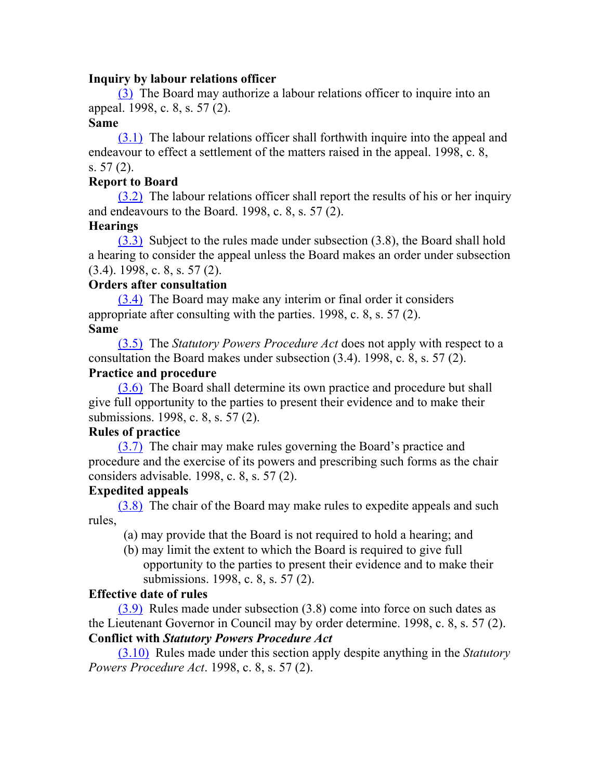#### **Inquiry by labour relations officer**

(3) The Board may authorize a labour relations officer to inquire into an appeal. 1998, c. 8, s. 57 (2).

#### **Same**

(3.1) The labour relations officer shall forthwith inquire into the appeal and endeavour to effect a settlement of the matters raised in the appeal. 1998, c. 8, s. 57 (2).

#### **Report to Board**

(3.2) The labour relations officer shall report the results of his or her inquiry and endeavours to the Board. 1998, c. 8, s. 57 (2).

#### **Hearings**

(3.3) Subject to the rules made under subsection (3.8), the Board shall hold a hearing to consider the appeal unless the Board makes an order under subsection (3.4). 1998, c. 8, s. 57 (2).

#### **Orders after consultation**

(3.4) The Board may make any interim or final order it considers appropriate after consulting with the parties. 1998, c. 8, s. 57 (2). **Same**

(3.5) The *Statutory Powers Procedure Act* does not apply with respect to a consultation the Board makes under subsection (3.4). 1998, c. 8, s. 57 (2).

#### **Practice and procedure**

(3.6) The Board shall determine its own practice and procedure but shall give full opportunity to the parties to present their evidence and to make their submissions. 1998, c. 8, s. 57 (2).

#### **Rules of practice**

(3.7) The chair may make rules governing the Board's practice and procedure and the exercise of its powers and prescribing such forms as the chair considers advisable. 1998, c. 8, s. 57 (2).

#### **Expedited appeals**

(3.8) The chair of the Board may make rules to expedite appeals and such rules,

(a) may provide that the Board is not required to hold a hearing; and

(b) may limit the extent to which the Board is required to give full opportunity to the parties to present their evidence and to make their submissions. 1998, c. 8, s. 57 (2).

#### **Effective date of rules**

(3.9) Rules made under subsection (3.8) come into force on such dates as the Lieutenant Governor in Council may by order determine. 1998, c. 8, s. 57 (2). **Conflict with** *Statutory Powers Procedure Act*

(3.10) Rules made under this section apply despite anything in the *Statutory Powers Procedure Act*. 1998, c. 8, s. 57 (2).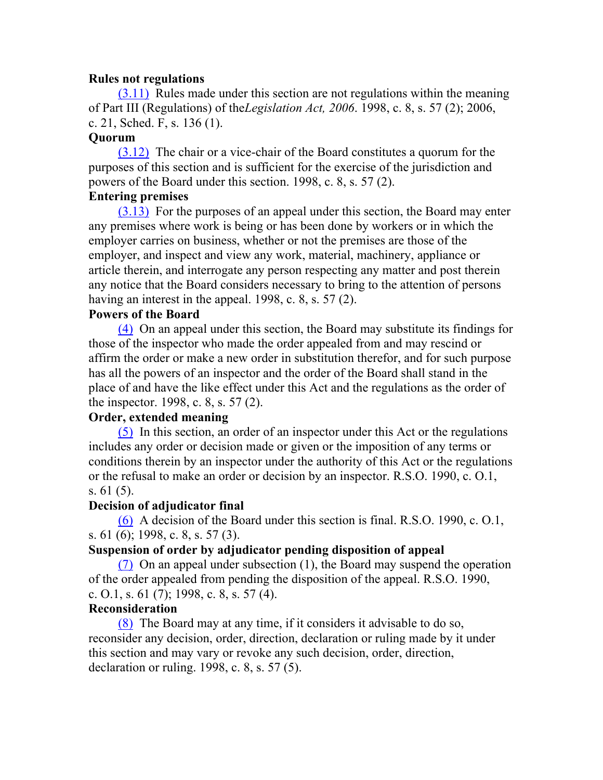#### **Rules not regulations**

(3.11) Rules made under this section are not regulations within the meaning of Part III (Regulations) of the*Legislation Act, 2006*. 1998, c. 8, s. 57 (2); 2006, c. 21, Sched. F, s. 136 (1).

## **Quorum**

(3.12) The chair or a vice-chair of the Board constitutes a quorum for the purposes of this section and is sufficient for the exercise of the jurisdiction and powers of the Board under this section. 1998, c. 8, s. 57 (2).

## **Entering premises**

(3.13) For the purposes of an appeal under this section, the Board may enter any premises where work is being or has been done by workers or in which the employer carries on business, whether or not the premises are those of the employer, and inspect and view any work, material, machinery, appliance or article therein, and interrogate any person respecting any matter and post therein any notice that the Board considers necessary to bring to the attention of persons having an interest in the appeal. 1998, c. 8, s. 57 (2).

#### **Powers of the Board**

(4) On an appeal under this section, the Board may substitute its findings for those of the inspector who made the order appealed from and may rescind or affirm the order or make a new order in substitution therefor, and for such purpose has all the powers of an inspector and the order of the Board shall stand in the place of and have the like effect under this Act and the regulations as the order of the inspector. 1998, c. 8, s. 57 (2).

## **Order, extended meaning**

(5) In this section, an order of an inspector under this Act or the regulations includes any order or decision made or given or the imposition of any terms or conditions therein by an inspector under the authority of this Act or the regulations or the refusal to make an order or decision by an inspector. R.S.O. 1990, c. O.1, s. 61 (5).

#### **Decision of adjudicator final**

(6) A decision of the Board under this section is final. R.S.O. 1990, c. O.1, s. 61 (6); 1998, c. 8, s. 57 (3).

#### **Suspension of order by adjudicator pending disposition of appeal**

(7) On an appeal under subsection (1), the Board may suspend the operation of the order appealed from pending the disposition of the appeal. R.S.O. 1990, c. O.1, s. 61 (7); 1998, c. 8, s. 57 (4).

#### **Reconsideration**

(8) The Board may at any time, if it considers it advisable to do so, reconsider any decision, order, direction, declaration or ruling made by it under this section and may vary or revoke any such decision, order, direction, declaration or ruling. 1998, c. 8, s. 57 (5).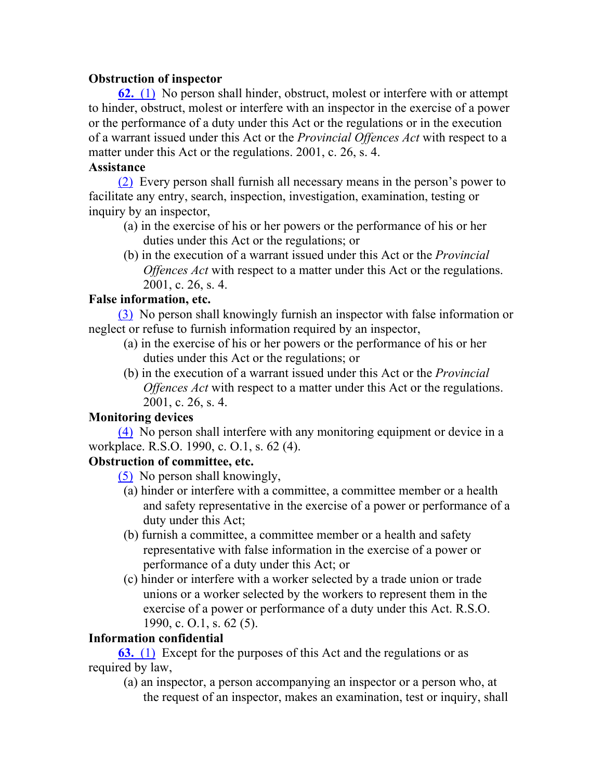## **Obstruction of inspector**

**62.** (1) No person shall hinder, obstruct, molest or interfere with or attempt to hinder, obstruct, molest or interfere with an inspector in the exercise of a power or the performance of a duty under this Act or the regulations or in the execution of a warrant issued under this Act or the *Provincial Offences Act* with respect to a matter under this Act or the regulations. 2001, c. 26, s. 4.

## **Assistance**

(2) Every person shall furnish all necessary means in the person's power to facilitate any entry, search, inspection, investigation, examination, testing or inquiry by an inspector,

- (a) in the exercise of his or her powers or the performance of his or her duties under this Act or the regulations; or
- (b) in the execution of a warrant issued under this Act or the *Provincial Offences Act* with respect to a matter under this Act or the regulations. 2001, c. 26, s. 4.

## **False information, etc.**

(3) No person shall knowingly furnish an inspector with false information or neglect or refuse to furnish information required by an inspector,

- (a) in the exercise of his or her powers or the performance of his or her duties under this Act or the regulations; or
- (b) in the execution of a warrant issued under this Act or the *Provincial Offences Act* with respect to a matter under this Act or the regulations. 2001, c. 26, s. 4.

## **Monitoring devices**

(4) No person shall interfere with any monitoring equipment or device in a workplace. R.S.O. 1990, c. O.1, s. 62 (4).

## **Obstruction of committee, etc.**

(5) No person shall knowingly,

- (a) hinder or interfere with a committee, a committee member or a health and safety representative in the exercise of a power or performance of a duty under this Act;
- (b) furnish a committee, a committee member or a health and safety representative with false information in the exercise of a power or performance of a duty under this Act; or
- (c) hinder or interfere with a worker selected by a trade union or trade unions or a worker selected by the workers to represent them in the exercise of a power or performance of a duty under this Act. R.S.O. 1990, c. O.1, s. 62 (5).

## **Information confidential**

**63.** (1) Except for the purposes of this Act and the regulations or as required by law,

(a) an inspector, a person accompanying an inspector or a person who, at the request of an inspector, makes an examination, test or inquiry, shall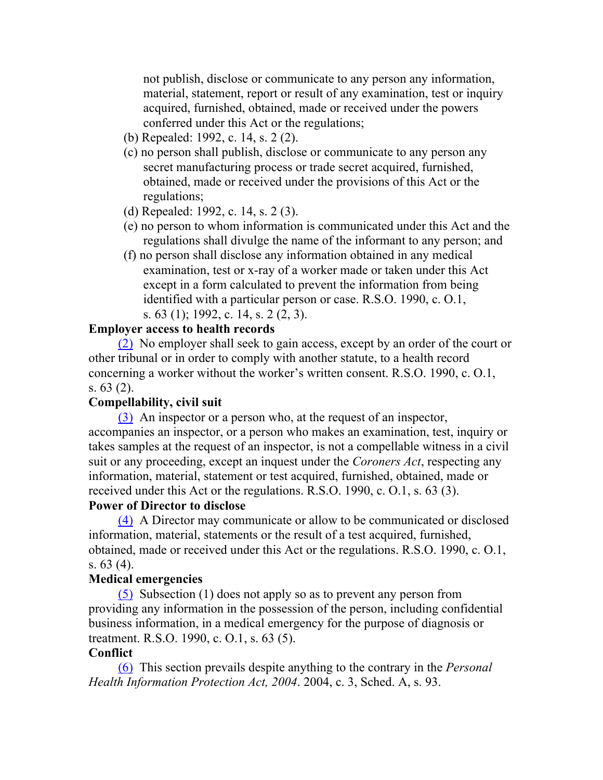not publish, disclose or communicate to any person any information, material, statement, report or result of any examination, test or inquiry acquired, furnished, obtained, made or received under the powers conferred under this Act or the regulations;

- (b) Repealed: 1992, c. 14, s. 2 (2).
- (c) no person shall publish, disclose or communicate to any person any secret manufacturing process or trade secret acquired, furnished, obtained, made or received under the provisions of this Act or the regulations;
- (d) Repealed: 1992, c. 14, s. 2 (3).
- (e) no person to whom information is communicated under this Act and the regulations shall divulge the name of the informant to any person; and
- (f) no person shall disclose any information obtained in any medical examination, test or x-ray of a worker made or taken under this Act except in a form calculated to prevent the information from being identified with a particular person or case. R.S.O. 1990, c. O.1, s. 63 (1); 1992, c. 14, s. 2 (2, 3).

#### **Employer access to health records**

(2) No employer shall seek to gain access, except by an order of the court or other tribunal or in order to comply with another statute, to a health record concerning a worker without the worker's written consent. R.S.O. 1990, c. O.1, s. 63 (2).

## **Compellability, civil suit**

(3) An inspector or a person who, at the request of an inspector, accompanies an inspector, or a person who makes an examination, test, inquiry or takes samples at the request of an inspector, is not a compellable witness in a civil suit or any proceeding, except an inquest under the *Coroners Act*, respecting any information, material, statement or test acquired, furnished, obtained, made or received under this Act or the regulations. R.S.O. 1990, c. O.1, s. 63 (3).

#### **Power of Director to disclose**

(4) A Director may communicate or allow to be communicated or disclosed information, material, statements or the result of a test acquired, furnished, obtained, made or received under this Act or the regulations. R.S.O. 1990, c. O.1, s. 63 (4).

#### **Medical emergencies**

(5) Subsection (1) does not apply so as to prevent any person from providing any information in the possession of the person, including confidential business information, in a medical emergency for the purpose of diagnosis or treatment. R.S.O. 1990, c. O.1, s. 63 (5).

#### **Conflict**

(6) This section prevails despite anything to the contrary in the *Personal Health Information Protection Act, 2004*. 2004, c. 3, Sched. A, s. 93.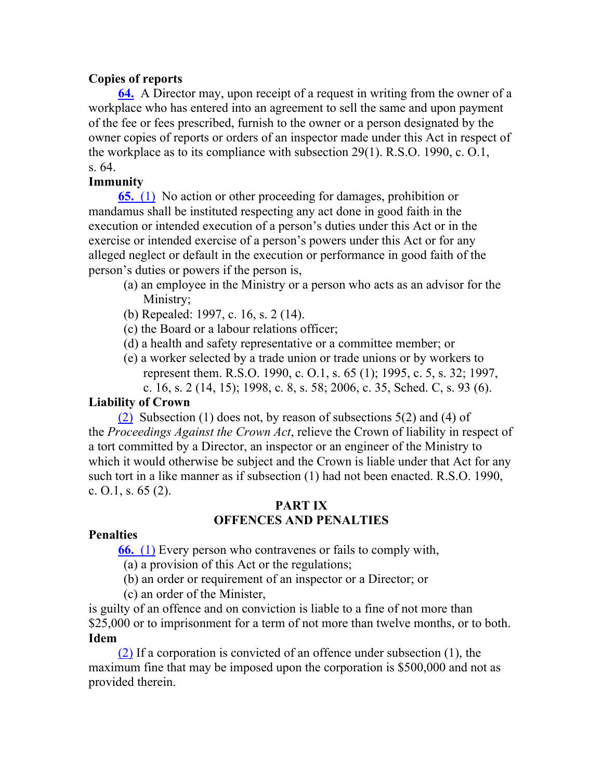## **Copies of reports**

**64.** A Director may, upon receipt of a request in writing from the owner of a workplace who has entered into an agreement to sell the same and upon payment of the fee or fees prescribed, furnish to the owner or a person designated by the owner copies of reports or orders of an inspector made under this Act in respect of the workplace as to its compliance with subsection 29(1). R.S.O. 1990, c. O.1, s. 64.

## **Immunity**

**65.** (1) No action or other proceeding for damages, prohibition or mandamus shall be instituted respecting any act done in good faith in the execution or intended execution of a person's duties under this Act or in the exercise or intended exercise of a person's powers under this Act or for any alleged neglect or default in the execution or performance in good faith of the person's duties or powers if the person is,

- (a) an employee in the Ministry or a person who acts as an advisor for the Ministry;
- (b) Repealed: 1997, c. 16, s. 2 (14).
- (c) the Board or a labour relations officer;
- (d) a health and safety representative or a committee member; or
- (e) a worker selected by a trade union or trade unions or by workers to represent them. R.S.O. 1990, c. O.1, s. 65 (1); 1995, c. 5, s. 32; 1997, c. 16, s. 2 (14, 15); 1998, c. 8, s. 58; 2006, c. 35, Sched. C, s. 93 (6).

## **Liability of Crown**

(2) Subsection (1) does not, by reason of subsections 5(2) and (4) of the *Proceedings Against the Crown Act*, relieve the Crown of liability in respect of a tort committed by a Director, an inspector or an engineer of the Ministry to which it would otherwise be subject and the Crown is liable under that Act for any such tort in a like manner as if subsection (1) had not been enacted. R.S.O. 1990, c.  $0.1$ , s.  $65(2)$ .

#### **PART IX OFFENCES AND PENALTIES**

#### **Penalties**

**66.** (1) Every person who contravenes or fails to comply with,

(a) a provision of this Act or the regulations;

(b) an order or requirement of an inspector or a Director; or

(c) an order of the Minister,

is guilty of an offence and on conviction is liable to a fine of not more than \$25,000 or to imprisonment for a term of not more than twelve months, or to both. **Idem**

(2) If a corporation is convicted of an offence under subsection (1), the maximum fine that may be imposed upon the corporation is \$500,000 and not as provided therein.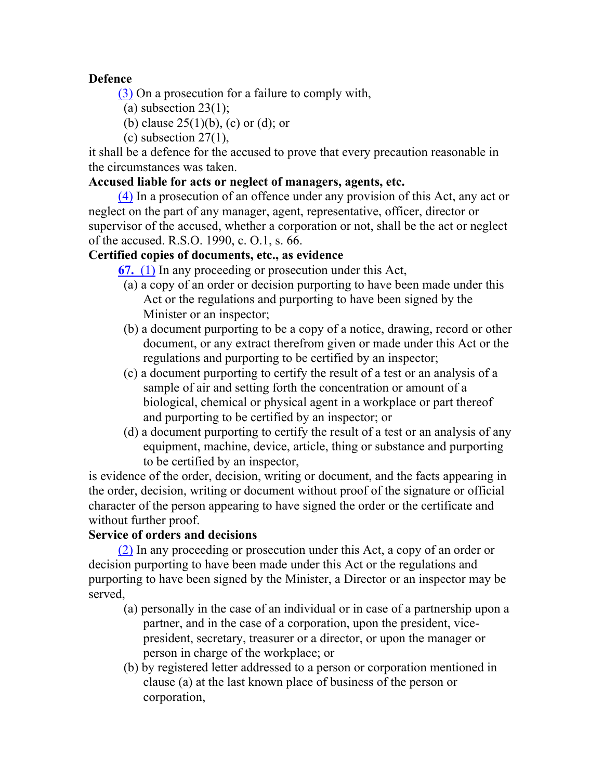## **Defence**

(3) On a prosecution for a failure to comply with,

- (a) subsection  $23(1)$ ;
- (b) clause  $25(1)(b)$ , (c) or (d); or
- (c) subsection  $27(1)$ ,

it shall be a defence for the accused to prove that every precaution reasonable in the circumstances was taken.

## **Accused liable for acts or neglect of managers, agents, etc.**

(4) In a prosecution of an offence under any provision of this Act, any act or neglect on the part of any manager, agent, representative, officer, director or supervisor of the accused, whether a corporation or not, shall be the act or neglect of the accused. R.S.O. 1990, c. O.1, s. 66.

## **Certified copies of documents, etc., as evidence**

**67.** (1) In any proceeding or prosecution under this Act,

- (a) a copy of an order or decision purporting to have been made under this Act or the regulations and purporting to have been signed by the Minister or an inspector;
- (b) a document purporting to be a copy of a notice, drawing, record or other document, or any extract therefrom given or made under this Act or the regulations and purporting to be certified by an inspector;
- (c) a document purporting to certify the result of a test or an analysis of a sample of air and setting forth the concentration or amount of a biological, chemical or physical agent in a workplace or part thereof and purporting to be certified by an inspector; or
- (d) a document purporting to certify the result of a test or an analysis of any equipment, machine, device, article, thing or substance and purporting to be certified by an inspector,

is evidence of the order, decision, writing or document, and the facts appearing in the order, decision, writing or document without proof of the signature or official character of the person appearing to have signed the order or the certificate and without further proof.

## **Service of orders and decisions**

(2) In any proceeding or prosecution under this Act, a copy of an order or decision purporting to have been made under this Act or the regulations and purporting to have been signed by the Minister, a Director or an inspector may be served,

- (a) personally in the case of an individual or in case of a partnership upon a partner, and in the case of a corporation, upon the president, vicepresident, secretary, treasurer or a director, or upon the manager or person in charge of the workplace; or
- (b) by registered letter addressed to a person or corporation mentioned in clause (a) at the last known place of business of the person or corporation,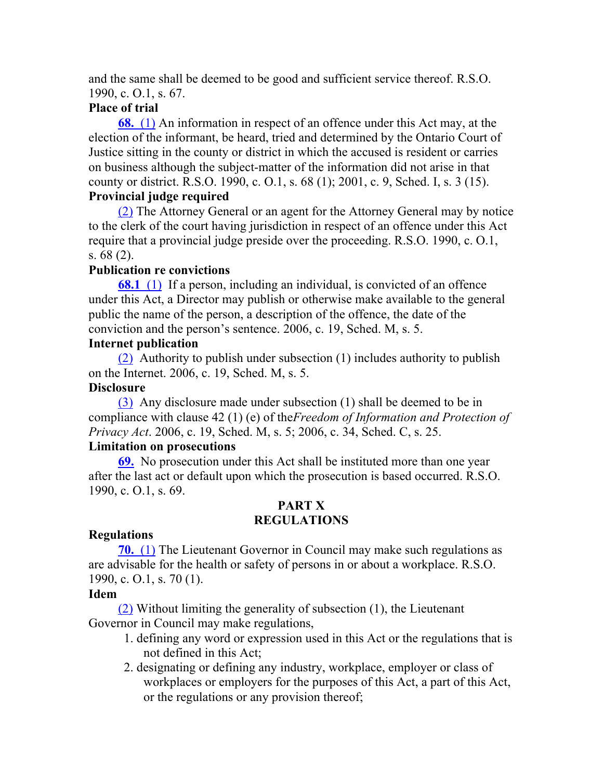and the same shall be deemed to be good and sufficient service thereof. R.S.O. 1990, c. O.1, s. 67.

## **Place of trial**

**68.** (1) An information in respect of an offence under this Act may, at the election of the informant, be heard, tried and determined by the Ontario Court of Justice sitting in the county or district in which the accused is resident or carries on business although the subject-matter of the information did not arise in that county or district. R.S.O. 1990, c. O.1, s. 68 (1); 2001, c. 9, Sched. I, s. 3 (15). **Provincial judge required**

(2) The Attorney General or an agent for the Attorney General may by notice to the clerk of the court having jurisdiction in respect of an offence under this Act require that a provincial judge preside over the proceeding. R.S.O. 1990, c. O.1, s. 68 (2).

## **Publication re convictions**

**68.1** (1) If a person, including an individual, is convicted of an offence under this Act, a Director may publish or otherwise make available to the general public the name of the person, a description of the offence, the date of the conviction and the person's sentence. 2006, c. 19, Sched. M, s. 5.

## **Internet publication**

(2) Authority to publish under subsection (1) includes authority to publish on the Internet. 2006, c. 19, Sched. M, s. 5.

## **Disclosure**

(3) Any disclosure made under subsection (1) shall be deemed to be in compliance with clause 42 (1) (e) of the*Freedom of Information and Protection of Privacy Act*. 2006, c. 19, Sched. M, s. 5; 2006, c. 34, Sched. C, s. 25.

#### **Limitation on prosecutions**

**69.** No prosecution under this Act shall be instituted more than one year after the last act or default upon which the prosecution is based occurred. R.S.O. 1990, c. O.1, s. 69.

## **PART X REGULATIONS**

## **Regulations**

**70.** (1) The Lieutenant Governor in Council may make such regulations as are advisable for the health or safety of persons in or about a workplace. R.S.O. 1990, c. O.1, s. 70 (1).

## **Idem**

(2) Without limiting the generality of subsection (1), the Lieutenant Governor in Council may make regulations,

- 1. defining any word or expression used in this Act or the regulations that is not defined in this Act;
- 2. designating or defining any industry, workplace, employer or class of workplaces or employers for the purposes of this Act, a part of this Act, or the regulations or any provision thereof;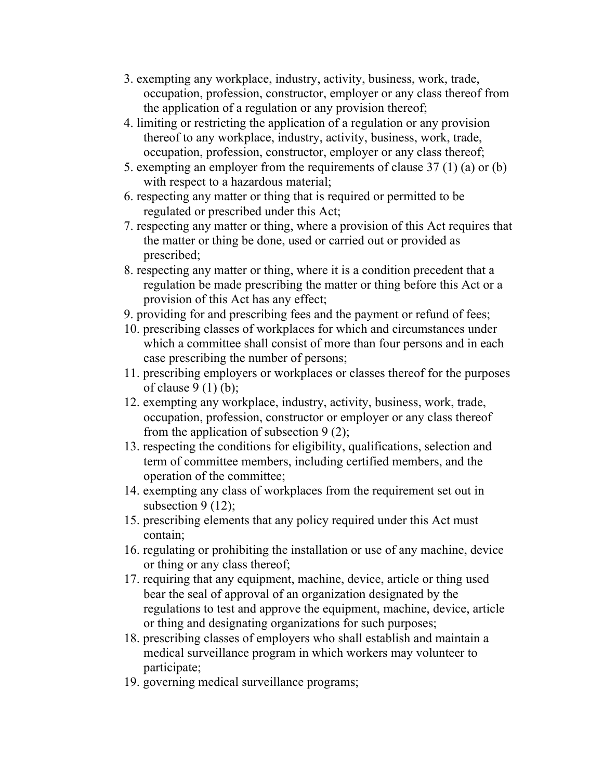- 3. exempting any workplace, industry, activity, business, work, trade, occupation, profession, constructor, employer or any class thereof from the application of a regulation or any provision thereof;
- 4. limiting or restricting the application of a regulation or any provision thereof to any workplace, industry, activity, business, work, trade, occupation, profession, constructor, employer or any class thereof;
- 5. exempting an employer from the requirements of clause 37 (1) (a) or (b) with respect to a hazardous material;
- 6. respecting any matter or thing that is required or permitted to be regulated or prescribed under this Act;
- 7. respecting any matter or thing, where a provision of this Act requires that the matter or thing be done, used or carried out or provided as prescribed;
- 8. respecting any matter or thing, where it is a condition precedent that a regulation be made prescribing the matter or thing before this Act or a provision of this Act has any effect;
- 9. providing for and prescribing fees and the payment or refund of fees;
- 10. prescribing classes of workplaces for which and circumstances under which a committee shall consist of more than four persons and in each case prescribing the number of persons;
- 11. prescribing employers or workplaces or classes thereof for the purposes of clause  $9(1)(b)$ ;
- 12. exempting any workplace, industry, activity, business, work, trade, occupation, profession, constructor or employer or any class thereof from the application of subsection 9 (2);
- 13. respecting the conditions for eligibility, qualifications, selection and term of committee members, including certified members, and the operation of the committee;
- 14. exempting any class of workplaces from the requirement set out in subsection 9 (12);
- 15. prescribing elements that any policy required under this Act must contain;
- 16. regulating or prohibiting the installation or use of any machine, device or thing or any class thereof;
- 17. requiring that any equipment, machine, device, article or thing used bear the seal of approval of an organization designated by the regulations to test and approve the equipment, machine, device, article or thing and designating organizations for such purposes;
- 18. prescribing classes of employers who shall establish and maintain a medical surveillance program in which workers may volunteer to participate;
- 19. governing medical surveillance programs;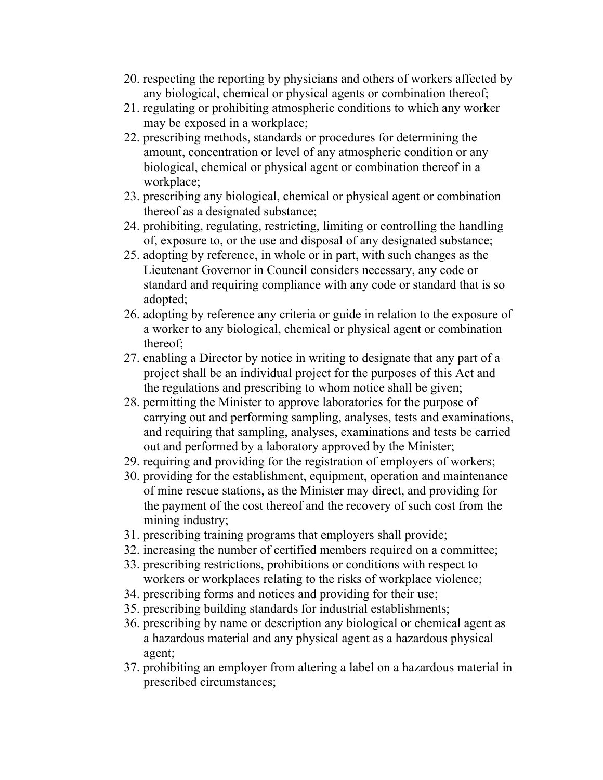- 20. respecting the reporting by physicians and others of workers affected by any biological, chemical or physical agents or combination thereof;
- 21. regulating or prohibiting atmospheric conditions to which any worker may be exposed in a workplace;
- 22. prescribing methods, standards or procedures for determining the amount, concentration or level of any atmospheric condition or any biological, chemical or physical agent or combination thereof in a workplace;
- 23. prescribing any biological, chemical or physical agent or combination thereof as a designated substance;
- 24. prohibiting, regulating, restricting, limiting or controlling the handling of, exposure to, or the use and disposal of any designated substance;
- 25. adopting by reference, in whole or in part, with such changes as the Lieutenant Governor in Council considers necessary, any code or standard and requiring compliance with any code or standard that is so adopted;
- 26. adopting by reference any criteria or guide in relation to the exposure of a worker to any biological, chemical or physical agent or combination thereof;
- 27. enabling a Director by notice in writing to designate that any part of a project shall be an individual project for the purposes of this Act and the regulations and prescribing to whom notice shall be given;
- 28. permitting the Minister to approve laboratories for the purpose of carrying out and performing sampling, analyses, tests and examinations, and requiring that sampling, analyses, examinations and tests be carried out and performed by a laboratory approved by the Minister;
- 29. requiring and providing for the registration of employers of workers;
- 30. providing for the establishment, equipment, operation and maintenance of mine rescue stations, as the Minister may direct, and providing for the payment of the cost thereof and the recovery of such cost from the mining industry;
- 31. prescribing training programs that employers shall provide;
- 32. increasing the number of certified members required on a committee;
- 33. prescribing restrictions, prohibitions or conditions with respect to workers or workplaces relating to the risks of workplace violence;
- 34. prescribing forms and notices and providing for their use;
- 35. prescribing building standards for industrial establishments;
- 36. prescribing by name or description any biological or chemical agent as a hazardous material and any physical agent as a hazardous physical agent;
- 37. prohibiting an employer from altering a label on a hazardous material in prescribed circumstances;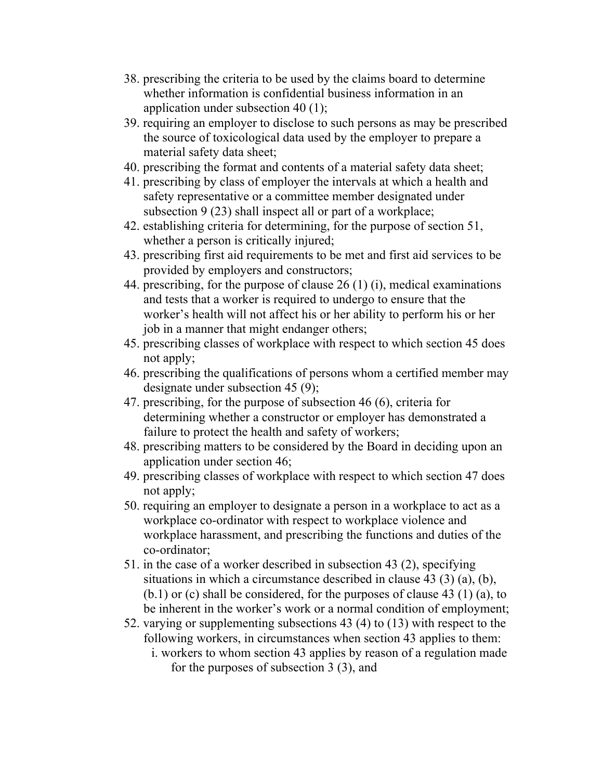- 38. prescribing the criteria to be used by the claims board to determine whether information is confidential business information in an application under subsection 40 (1);
- 39. requiring an employer to disclose to such persons as may be prescribed the source of toxicological data used by the employer to prepare a material safety data sheet;
- 40. prescribing the format and contents of a material safety data sheet;
- 41. prescribing by class of employer the intervals at which a health and safety representative or a committee member designated under subsection 9 (23) shall inspect all or part of a workplace;
- 42. establishing criteria for determining, for the purpose of section 51, whether a person is critically injured;
- 43. prescribing first aid requirements to be met and first aid services to be provided by employers and constructors;
- 44. prescribing, for the purpose of clause 26 (1) (i), medical examinations and tests that a worker is required to undergo to ensure that the worker's health will not affect his or her ability to perform his or her job in a manner that might endanger others;
- 45. prescribing classes of workplace with respect to which section 45 does not apply;
- 46. prescribing the qualifications of persons whom a certified member may designate under subsection 45 (9);
- 47. prescribing, for the purpose of subsection 46 (6), criteria for determining whether a constructor or employer has demonstrated a failure to protect the health and safety of workers;
- 48. prescribing matters to be considered by the Board in deciding upon an application under section 46;
- 49. prescribing classes of workplace with respect to which section 47 does not apply;
- 50. requiring an employer to designate a person in a workplace to act as a workplace co-ordinator with respect to workplace violence and workplace harassment, and prescribing the functions and duties of the co-ordinator;
- 51. in the case of a worker described in subsection 43 (2), specifying situations in which a circumstance described in clause 43 (3) (a), (b),  $(b.1)$  or (c) shall be considered, for the purposes of clause 43 (1) (a), to be inherent in the worker's work or a normal condition of employment;
- 52. varying or supplementing subsections 43 (4) to (13) with respect to the following workers, in circumstances when section 43 applies to them: i. workers to whom section 43 applies by reason of a regulation made
	- for the purposes of subsection 3 (3), and